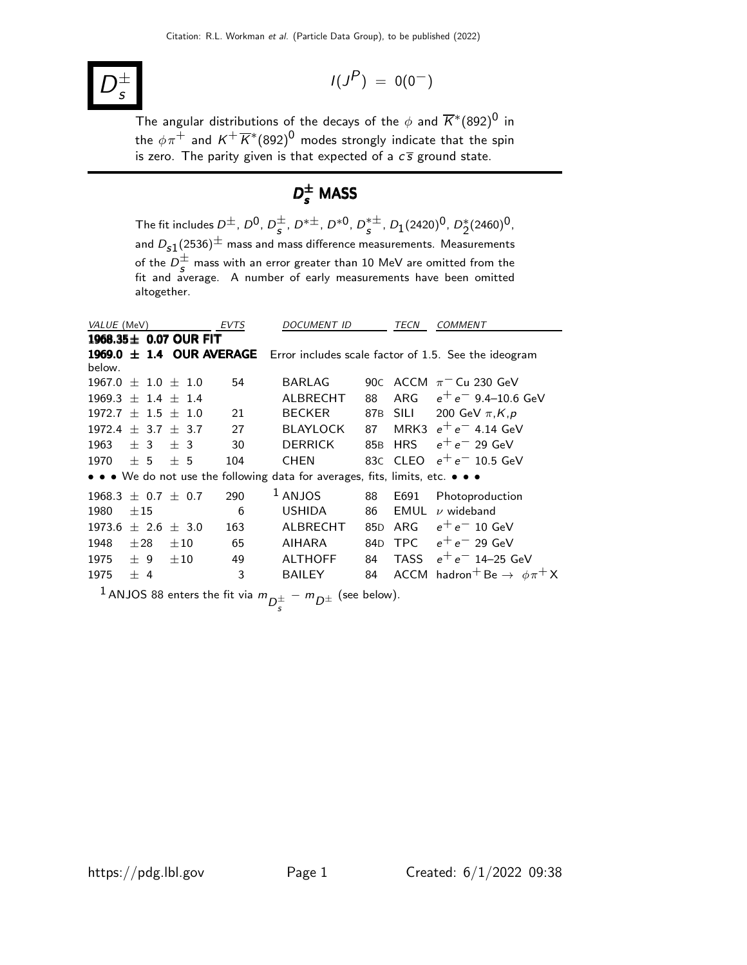#### D ± s

$$
I(J^P) = 0(0^-)
$$

The angular distributions of the decays of the  $\phi$  and  $\overline{K}^*(892)^0$  in the  $\phi\pi^+$  and  $K^+\overline{K}{}^*(892)^0$  modes strongly indicate that the spin is zero. The parity given is that expected of a  $c\bar{s}$  ground state.

# $D_{s}^{\pm}$  MASS

The fit includes  $D^{\pm}$ ,  $D^0$ ,  $D^{\pm}_{s}$ ,  $D^{*\pm}$ ,  $D^{*0}$ ,  $D^{*\pm}_{s}$ ,  $D_1(2420)^0$ ,  $D^{*}_2(2460)^0$ , and  $D_{\bf s1}(2536)^\pm$  mass and mass difference measurements. Measurements of the  $D_{\mathcal{S}}^{\pm}$  mass with an error greater than 10 MeV are omitted from the fit and average. A number of early measurements have been omitted altogether.

| VALUE (MeV)              |                            |                     |          |  | EVTS | <i>DOCUMENT ID</i>                                                                                      |                 | TECN       | COMMENT                                                              |
|--------------------------|----------------------------|---------------------|----------|--|------|---------------------------------------------------------------------------------------------------------|-----------------|------------|----------------------------------------------------------------------|
|                          | 1968.35 $\pm$ 0.07 OUR FIT |                     |          |  |      |                                                                                                         |                 |            |                                                                      |
| 1969.0<br>below.         | $+$                        |                     |          |  |      |                                                                                                         |                 |            | 1.4 OUR AVERAGE Error includes scale factor of 1.5. See the ideogram |
| $1967.0 \pm 1.0 \pm 1.0$ |                            |                     |          |  | 54   | <b>BARLAG</b>                                                                                           | 90C             |            | ACCM $\pi$ <sup>-</sup> Cu 230 GeV                                   |
| $1969.3 + 1.4 + 1.4$     |                            |                     |          |  |      | ALBRECHT                                                                                                | 88              | <b>ARG</b> | $e^+e^-$ 9.4–10.6 GeV                                                |
| 1972.7                   |                            | $+$ 1.5 $+$ 1.0     |          |  | 21   | <b>BECKER</b>                                                                                           |                 | 87B SILI   | 200 GeV $\pi$ , K, p                                                 |
| 1972.4                   |                            | $+$ 3.7 $+$ 3.7     |          |  | 27   | <b>BLAYLOCK</b>                                                                                         | 87              | MRK3       | $e^+e^-$ 4.14 GeV                                                    |
| 1963                     | $+3$                       |                     | ± 3      |  | 30   | <b>DERRICK</b>                                                                                          | 85 <sub>B</sub> | <b>HRS</b> | $e^+e^-$ 29 GeV                                                      |
| 1970                     | $+5$                       |                     | $+5$     |  | 104  | <b>CHEN</b>                                                                                             |                 | 83C CLEO   | $e^+e^-$ 10.5 GeV                                                    |
|                          |                            |                     |          |  |      | • • • We do not use the following data for averages, fits, limits, etc. • • •                           |                 |            |                                                                      |
| 1968.3                   |                            | $\pm$ 0.7 $\pm$ 0.7 |          |  | 290  | LANJOS                                                                                                  | 88              | E691       | Photoproduction                                                      |
| 1980                     | $\pm 15$                   |                     |          |  | 6    | <b>USHIDA</b>                                                                                           | 86              | EMUL       | $\nu$ wideband                                                       |
| 1973.6                   |                            | $+2.6 + 3.0$        |          |  | 163  | AI BRECHT                                                                                               | 85 <sub>D</sub> | ARG        | $e^+e^-$ 10 GeV                                                      |
| 1948                     | $+28$                      |                     | $\pm 10$ |  | 65   | <b>AIHARA</b>                                                                                           | 84 <sub>D</sub> | TPC        | $e^+e^-$ 29 GeV                                                      |
| 1975                     | $+9$                       |                     | $\pm10$  |  | 49   | <b>ALTHOFF</b>                                                                                          | 84              | TASS       | $e^+e^-$ 14–25 GeV                                                   |
| 1975                     | $+4$                       |                     |          |  | 3    | <b>BAILEY</b>                                                                                           | 84              |            | ACCM hadron <sup>+</sup> Be $\rightarrow \phi \pi^+ X$               |
|                          |                            |                     |          |  |      | <sup>1</sup> ANJOS 88 enters the fit via $m_{\overline{D}^{\pm}} - m_{\overline{D}^{\pm}}$ (see below). |                 |            |                                                                      |

s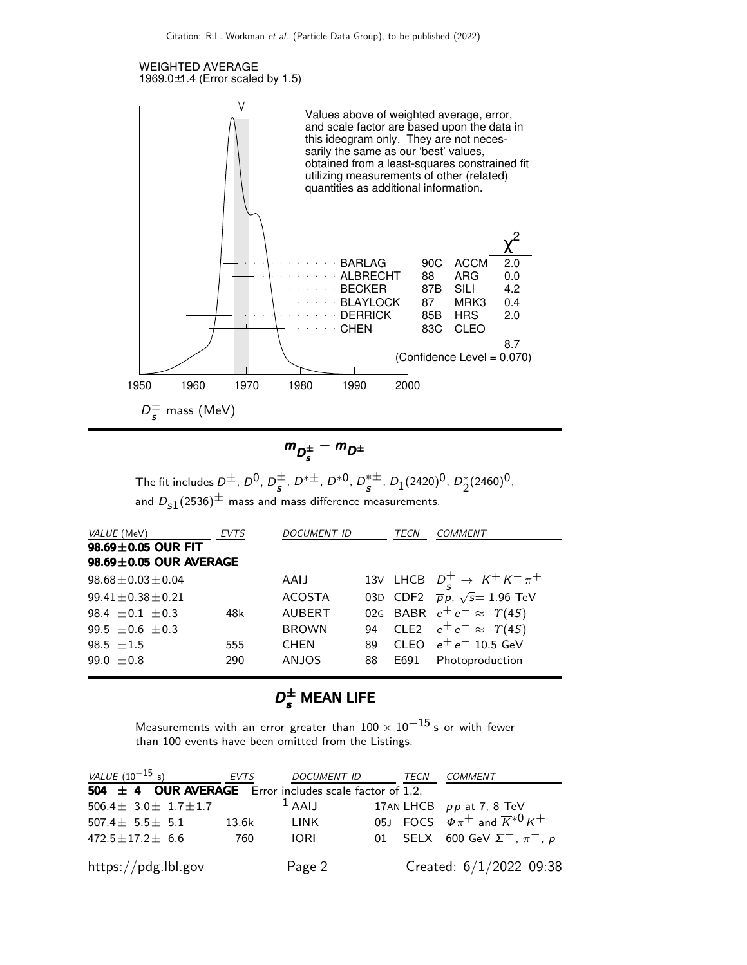

$$
m_{D_s^{\pm}} - m_{D^{\pm}}
$$

The fit includes  $D^{\pm}$ ,  $D^0$ ,  $D^{\pm}_{\bf s}$ ,  $D^{*\pm}$ ,  $D^{*0}$ ,  $D^{*\pm}_{\bf s}$ ,  $D_1(2420)^0$ ,  $D^*_{\bf 2}(2460)^0$ , and  $D_{s1}(2536)^{\pm}$  mass and mass difference measurements.

| VALUE (MeV)                  | <b>EVTS</b> | <i>DOCUMENT ID</i> |    | TECN  | <i>COMMENT</i>                              |
|------------------------------|-------------|--------------------|----|-------|---------------------------------------------|
| 98.69±0.05 OUR FIT           |             |                    |    |       |                                             |
| $98.69 \pm 0.05$ OUR AVERAGE |             |                    |    |       |                                             |
| $98.68 + 0.03 + 0.04$        |             | AAIJ               |    |       | 13V LHCB $D_c^+ \rightarrow K^+ K^- \pi^+$  |
| $99.41 + 0.38 + 0.21$        |             | <b>ACOSTA</b>      |    |       | 03D CDF2 $\bar{p}p$ , $\sqrt{s}$ = 1.96 TeV |
| $98.4 + 0.1 + 0.3$           | 48k         | <b>AUBERT</b>      |    |       | 02G BABR $e^+e^- \approx \Upsilon(4S)$      |
| 99.5 $\pm$ 0.6 $\pm$ 0.3     |             | <b>BROWN</b>       | 94 |       | CLE2 $e^+e^- \approx \Upsilon(4S)$          |
| 98.5 $\pm 1.5$               | 555         | <b>CHEN</b>        | 89 | CLEO. | $\rm e^+e^-$ 10.5 GeV                       |
| 99.0 $\pm$ 0.8               | 290         | <b>ANJOS</b>       | 88 | E691  | Photoproduction                             |
|                              |             |                    |    |       |                                             |

### $D_s^{\pm}$  Mean Life

Measurements with an error greater than  $100 \times 10^{-15}$  s or with fewer than 100 events have been omitted from the Listings.

| VALUE $(10^{-15}$ s)                                        | EVTS  | DOCUMENT ID | TECN | COMMENT                                           |
|-------------------------------------------------------------|-------|-------------|------|---------------------------------------------------|
| 504 $\pm$ 4 OUR AVERAGE Error includes scale factor of 1.2. |       |             |      |                                                   |
| 506.4 $\pm$ 3.0 $\pm$ 1.7 $\pm$ 1.7                         |       | $1$ AAIJ    |      | 17AN LHCB $pp$ at 7, 8 TeV                        |
| $507.4\pm$ 5.5 $\pm$ 5.1                                    | 13.6k | LINK        |      | 05J FOCS $\Phi \pi^+$ and $\overline{K}^{*0} K^+$ |
| $472.5 \pm 17.2 \pm 6.6$                                    | 760   | <b>IORI</b> |      | 01 SELX 600 GeV $\Sigma^-$ , $\pi^-$ , p          |
| https://pdg.lbl.gov                                         |       | Page 2      |      | Created: $6/1/2022$ 09:38                         |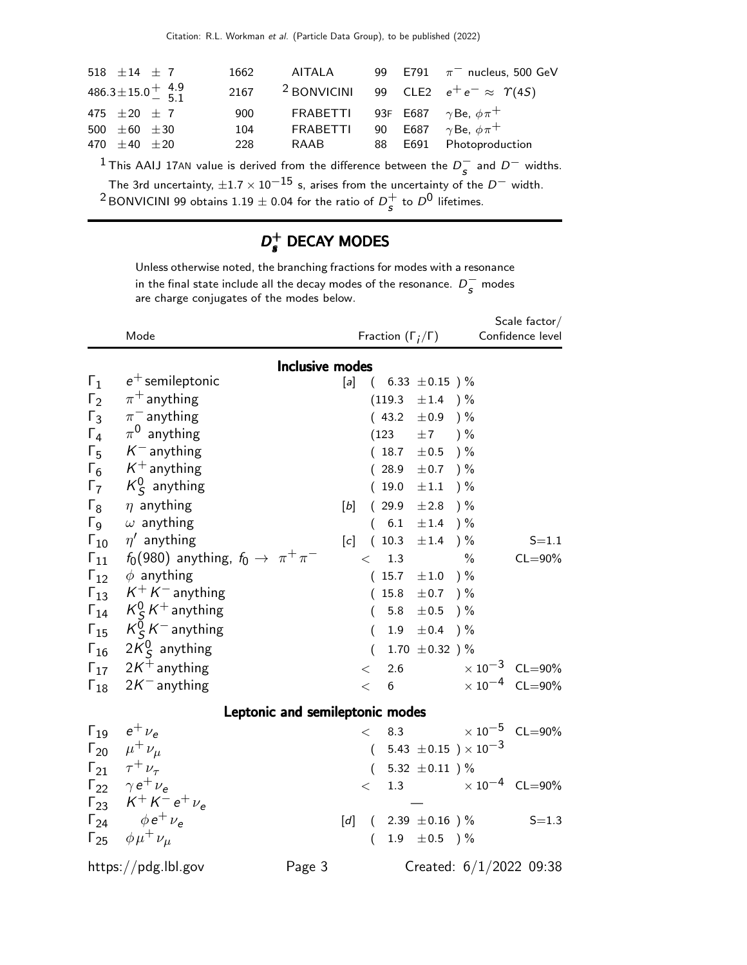| 518 $\pm 14$ $\pm$ 7                           | 1662 | AITALA                                      |  | 99 E791 $\pi^-$ nucleus, 500 GeV                             |
|------------------------------------------------|------|---------------------------------------------|--|--------------------------------------------------------------|
| $486.3 \pm 15.0 \frac{+}{5}$ $\frac{4.9}{5.1}$ | 2167 |                                             |  | <sup>2</sup> BONVICINI 99 CLE2 $e^+e^- \approx \Upsilon(45)$ |
| 475 $\pm 20 \pm 7$                             | 900  | FRABETTI 93F E687 $\gamma$ Be, $\phi \pi^+$ |  |                                                              |
| 500 $\pm 60$ $\pm 30$                          | 104  | <b>FRABETTI</b>                             |  | 90 E687 $\gamma$ Be, $\phi \pi^+$                            |
| 470 $\pm 40$ $\pm 20$                          | 228  | RAAB                                        |  | 88 E691 Photoproduction                                      |
|                                                |      |                                             |  |                                                              |

<sup>1</sup> This AAIJ 17AN value is derived from the difference between the  $D_s^-$  and  $D^-$  widths. The 3rd uncertainty,  $\pm 1.7 \times 10^{-15}$  s, arises from the uncertainty of the  $D^-$  width.  $^2$ BONVICINI 99 obtains 1.19  $\pm$  0.04 for the ratio of  $D_{\cal S}^+$  $\frac{1}{s}$  to  $D^0$  lifetimes.

#### $D_{\epsilon}^+$ s DECAY MODES

Unless otherwise noted, the branching fractions for modes with a resonance in the final state include all the decay modes of the resonance.  $D_s^-$  modes are charge conjugates of the modes below.

|                        | Mode                                              |                        | Fraction $(\Gamma_i/\Gamma)$ |         | Scale factor $/$<br>Confidence level |                                       |                           |
|------------------------|---------------------------------------------------|------------------------|------------------------------|---------|--------------------------------------|---------------------------------------|---------------------------|
|                        |                                                   | <b>Inclusive modes</b> |                              |         |                                      |                                       |                           |
| $\Gamma_1$             | $e^+$ semileptonic                                | $[a]$                  | $\left($                     |         | 6.33 $\pm$ 0.15 ) %                  |                                       |                           |
| $\Gamma_2$             | $\pi^+$ anything                                  |                        |                              | (119.3) | $\pm 1.4$                            | ) %                                   |                           |
| $\Gamma_3$             | $\pi^-$ anything                                  |                        |                              | (43.2)  | $\pm 0.9$                            | ) %                                   |                           |
| $\Gamma_4$             | $\pi^0$ anything                                  |                        |                              | (123)   | ±7                                   | ) %                                   |                           |
| $\Gamma_5$             | $K^-$ anything                                    |                        |                              | (18.7)  | ±0.5                                 | ) %                                   |                           |
| $\Gamma_6$             | $K^+$ anything                                    |                        |                              | (28.9)  | $\pm 0.7$ ) %                        |                                       |                           |
| $\Gamma_7$             | $K_S^0$ anything                                  |                        |                              | (19.0)  | $\pm 1.1$                            | $) \%$                                |                           |
| $\Gamma_8$             | $\eta$ anything                                   | $[b]$                  |                              | (29.9)  | ±2.8                                 | $)$ %                                 |                           |
| $\Gamma$ <sub>9</sub>  | $\omega$ anything                                 |                        | (                            | 6.1     | $\pm 1.4$                            | ) $\%$                                |                           |
| $\Gamma_{10}$          | $\eta'$ anything                                  | [c]                    |                              | (10.3)  | ±1.4                                 | $) \%$                                | $S = 1.1$                 |
| $\Gamma_{11}$          | $f_0(980)$ anything, $f_0 \rightarrow \pi^+\pi^-$ |                        | $\lt$                        | 1.3     |                                      | $\frac{0}{0}$                         | $CL = 90\%$               |
| $\Gamma_{12}$          | $\phi$ anything                                   |                        |                              | (15.7)  | $\pm 1.0$ )%                         |                                       |                           |
| $\Gamma_{13}$          | $K^+ K^-$ anything                                |                        |                              | 15.8    | ±0.7                                 | $)$ %                                 |                           |
|                        | $\Gamma_{14}$ $K^0_S K^+$ anything                |                        | $\left($                     | 5.8     | $\pm 0.5$                            | ) %                                   |                           |
| $\Gamma_{15}$          | $K^0_S K^-$ anything                              |                        | (                            | 1.9     | ±0.4                                 | $)$ %                                 |                           |
| $\Gamma_{16}$          | $2K^0_S$ anything                                 |                        | $\left($                     |         | 1.70 $\pm$ 0.32 ) %                  |                                       |                           |
| $\Gamma_{17}$          | $2K^+$ anything                                   |                        | $\,<\,$                      | 2.6     |                                      |                                       | $\times 10^{-3}$ CL=90%   |
| $\mathsf{\Gamma}_{18}$ | $2K^-$ anything                                   |                        | $\lt$                        | $6\,$   |                                      |                                       | $\times 10^{-4}$ CL=90%   |
|                        | Leptonic and semileptonic modes                   |                        |                              |         |                                      |                                       |                           |
| $\Gamma_{19}$          | $e^+$ $\nu_e$                                     |                        | $\lt$                        | 8.3     |                                      |                                       | $\times 10^{-5}$ CL=90%   |
|                        | $\Gamma_{20}$ $\mu^+ \nu_\mu$                     |                        | $\left($                     |         |                                      | 5.43 $\pm$ 0.15 $\rm) \times 10^{-3}$ |                           |
|                        | $\Gamma_{21}$ $\tau^+ \nu_{\tau}$                 |                        |                              |         |                                      |                                       |                           |
|                        | $\Gamma_{22}$ $\gamma e^+ \nu_e$                  |                        | $\left($                     | 1.3     | 5.32 $\pm 0.11$ ) %                  |                                       | $\times 10^{-4}$ CL=90%   |
|                        | $\Gamma_{23}$ $K^+ K^- e^+ \nu_e$                 |                        | $\lt$                        |         |                                      |                                       |                           |
|                        | $\Gamma_{24}$ $\phi e^+ \nu_e$                    | [d]                    | $\left($                     |         | 2.39 $\pm 0.16$ ) %                  |                                       | $S = 1.3$                 |
|                        | $\Gamma_{25}$ $\phi \mu^+ \nu_\mu$                |                        | $\left($                     |         | 1.9 $\pm 0.5$ ) %                    |                                       |                           |
|                        |                                                   |                        |                              |         |                                      |                                       |                           |
|                        | https://pdg.lbl.gov<br>Page 3                     |                        |                              |         |                                      |                                       | Created: $6/1/2022$ 09:38 |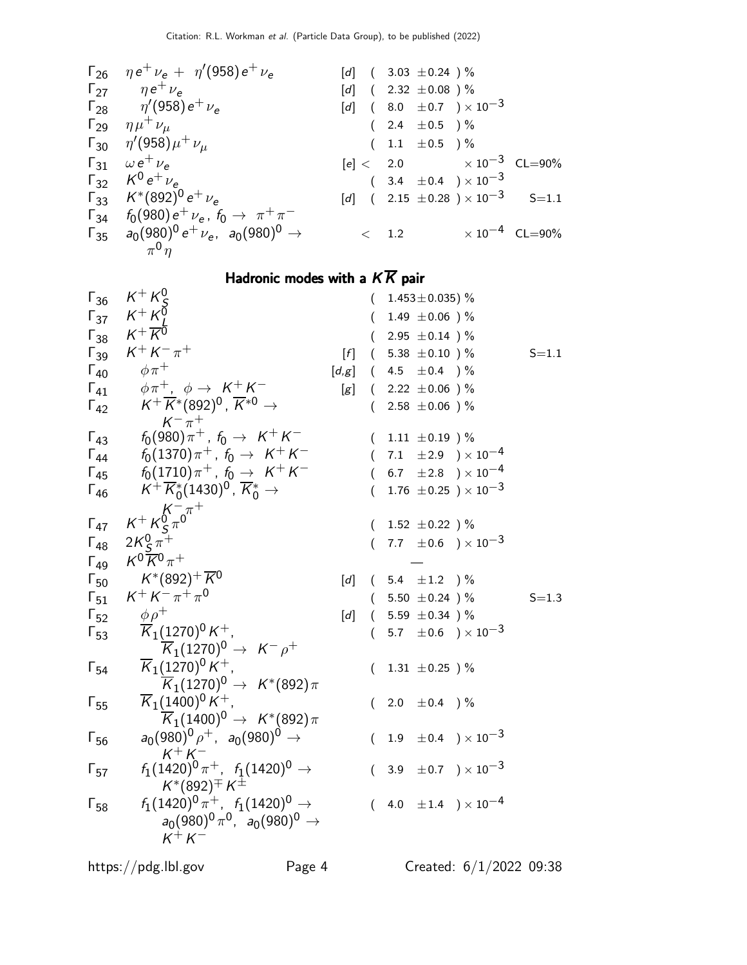| $\Gamma_{26}$ | $\eta e^{+} \nu_{e} + \eta'(958) e^{+} \nu_{e}$ | [d]                                         | ( 3.03 ±0.24 ) %                       |
|---------------|-------------------------------------------------|---------------------------------------------|----------------------------------------|
| $\Gamma_{27}$ | $\eta e^{+} \nu_{e}$                            | [d]                                         | ( 2.32 ±0.08 ) %                       |
| $\Gamma_{28}$ | $\eta'(958) e^{+} \nu_{e}$                      | [d]                                         | ( 8.0 ±0.7 ) × 10 <sup>-3</sup>        |
| $\Gamma_{29}$ | $\eta \mu^{+} \nu_{\mu}$                        | ( 2.4 ±0.5 ) %                              |                                        |
| $\Gamma_{30}$ | $\eta'(958) \mu^{+} \nu_{\mu}$                  | ( 1.1 ±0.5 ) %                              |                                        |
| $\Gamma_{30}$ | $\omega e^{+} \nu_{e}$                          | [e] < 2.0 × 10 <sup>-3</sup> CL=90%         |                                        |
| $\Gamma_{32}$ | $K^{0} e^{+} \nu_{e}$                           | [d] ( 2.15 ±0.28 ) × 10 <sup>-3</sup> S=1.1 |                                        |
| $\Gamma_{34}$ | $f_{0}(980) e^{+} \nu_{e}$                      | $f_{0} \rightarrow \pi^{+} \pi^{-}$         |                                        |
| $\Gamma_{35}$ | $a_{0}(980)^{0} e^{+} \nu_{e}$                  | $a_{0}(980)^{0} \rightarrow$                | $\times$ 1.2 × 10 <sup>-4</sup> CL=90% |

# Hadronic modes with a  $K\overline{K}$  pair

| $\Gamma_{36}$          | $K^+ K^0_S$                                                                                   |                   | $\left($ | 1.453 $\pm$ 0.035) %                                  |           |
|------------------------|-----------------------------------------------------------------------------------------------|-------------------|----------|-------------------------------------------------------|-----------|
| $\mathsf{\Gamma}_{37}$ | $K^+ K^0$                                                                                     |                   |          | 1.49 $\pm 0.06$ ) %                                   |           |
|                        | $\Gamma_{38}$ $K^+\overline{K}^5$                                                             |                   |          | $(2.95 \pm 0.14)$ %                                   |           |
|                        | $\Gamma_{39}$ $K^+ K^- \pi^+$                                                                 |                   |          | $[f]$ ( 5.38 ± 0.10 ) %                               | $S = 1.1$ |
| $\Gamma_{40}$          | $\phi \pi^+$                                                                                  |                   |          | $[d,g]$ ( 4.5 $\pm 0.4$ )%                            |           |
| $\Gamma_{41}$          | $\phi \pi^+$ , $\phi \rightarrow \ K^+ K^-$                                                   |                   |          | [g] $(2.22 \pm 0.06)$ %                               |           |
| $\Gamma_{42}$          | $\mathcal{K}^+\,\overline{\mathcal{K}}{}^*(892)^0$ , $\overline{\mathcal{K}}{}^{*0}\to$       |                   |          | $(2.58 \pm 0.06)$ %                                   |           |
|                        | $K^{-} \pi^{+}$                                                                               |                   |          |                                                       |           |
| $\Gamma_{43}$          | $f_0(980)\pi^+$ , $f_0\rightarrow~$ $\mathcal{K}^+$ $\mathcal{K}^-$                           |                   |          | $(1.11 \pm 0.19)$ %                                   |           |
|                        | $\Gamma_{44}$ $f_0(1370)\pi^+$ , $f_0 \to K^+K^-$                                             |                   |          | $(7.1 \pm 2.9) \times 10^{-4}$                        |           |
| $\Gamma_{45}$          | $f_0(1710)\pi^+$ , $f_0\rightarrow~$ $K^+$ $K^-$                                              |                   |          | $(6.7 \pm 2.8) \times 10^{-4}$                        |           |
| $\Gamma_{46}$          | $\mathcal{K}^+\,\overline{\mathcal{K}}^*_0(1430)^0$ , $\overline{\mathcal{K}}^*_0\rightarrow$ |                   |          | 1.76 $\pm$ 0.25 $) \times 10^{-3}$                    |           |
|                        | $K^{+} K^{0}_{S} \pi^{0}$                                                                     |                   |          |                                                       |           |
| $\Gamma_{47}$          |                                                                                               |                   |          | $(1.52 \pm 0.22)$ %                                   |           |
| $\Gamma_{48}$          | $2K_{\rm S}^{0} \pi^{+}$                                                                      |                   |          | $(7.7 \pm 0.6) \times 10^{-3}$                        |           |
| $\Gamma_{49}$          | $K^0 \overline{K}{}^0 \pi^+$                                                                  |                   |          |                                                       |           |
| $\mathsf{\Gamma}_{50}$ | $\mathsf{K}^*(892)^+ \overline{\mathsf{K}}{}^0$                                               | [d]               |          | $(5.4 \pm 1.2)$ %                                     |           |
| $\Gamma_{51}$          | $K^+ K^- \pi^+ \pi^0$                                                                         |                   |          | $(5.50 \pm 0.24)$ %                                   | $S = 1.3$ |
| $\Gamma_{52}$          | $\phi \rho^+$                                                                                 | $\left[ d\right]$ |          | $(5.59 \pm 0.34)$ %                                   |           |
| $\Gamma_{53}$          | $\overline{K}_1(1270)^0 K^+$ ,                                                                |                   |          | 5.7 $\pm$ 0.6 $\rightarrow$ $\times$ 10 <sup>-3</sup> |           |
|                        | $\overline{K}_1(1270)^0 \rightarrow K^- \rho^+$                                               |                   |          |                                                       |           |
| $\Gamma_{54}$          | $\overline{K}_1(1270)^0 K^+$ ,                                                                |                   |          | $(1.31 \pm 0.25)$ %                                   |           |
|                        | $\overline{\textsf{K}}_{1}(1270)^{0} \rightarrow K^{*}(892)\pi$                               |                   |          |                                                       |           |
| $\Gamma_{55}$          | $\overline{K}_1(1400)^0 K^+$ ,                                                                |                   | (        | 2.0 $\pm$ 0.4 $\prime$ %                              |           |
|                        | $\overline{\mathcal{K}}_1(1400)^0\rightarrow\ \mathcal{K}^*(892)\pi$                          |                   |          |                                                       |           |
| $\Gamma_{56}$          | $a_0(980)^0 \rho^+$ , $a_0(980)^0 \rightarrow$                                                |                   |          | $(1.9 \pm 0.4) \times 10^{-3}$                        |           |
|                        | $K^+ K^-$                                                                                     |                   |          |                                                       |           |
| $\Gamma_{57}$          | $f_1(1420)^0 \pi^+$ , $f_1(1420)^0 \rightarrow$                                               |                   |          | $(3.9 \pm 0.7) \times 10^{-3}$                        |           |
|                        | $K^{*}(892)^{\mp} K^{\pm}$                                                                    |                   |          |                                                       |           |
| $\Gamma_{58}$          | $f_1(1420)^0 \pi^+$ , $f_1(1420)^0 \rightarrow$                                               |                   |          | 4.0 $\pm 1.4$ ) $\times 10^{-4}$                      |           |
|                        | $a_0(980)^0 \pi^0$ , $a_0(980)^0 \to$                                                         |                   |          |                                                       |           |
|                        | $K^+ K^-$                                                                                     |                   |          |                                                       |           |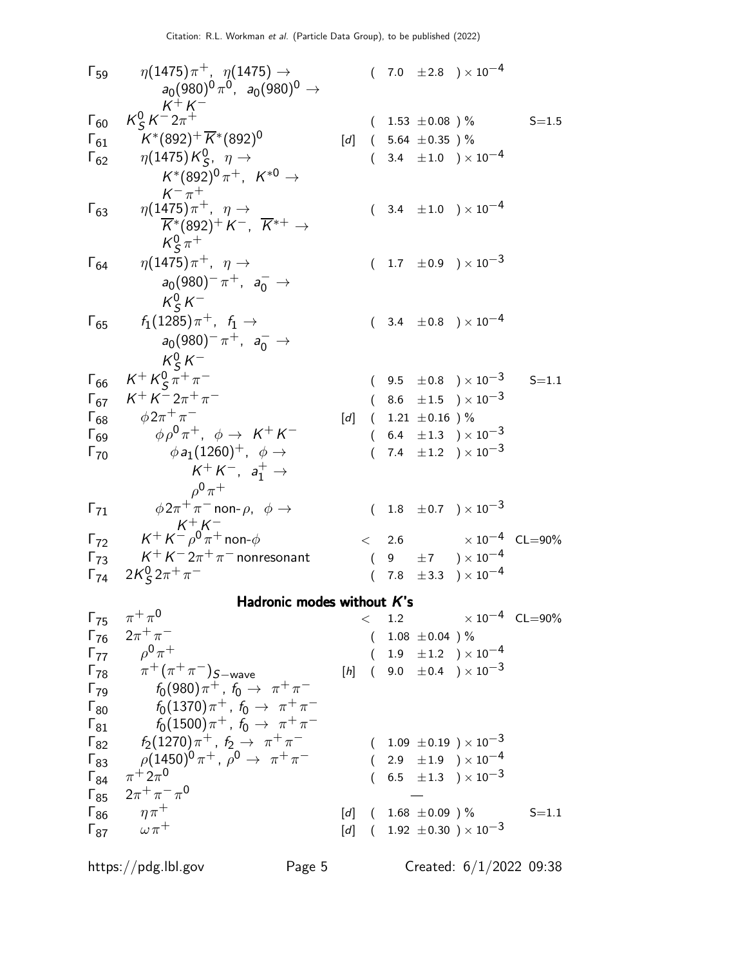$$
\Gamma_{59} \eta(1475)\pi^{+}, \eta(1475) \rightarrow \rho(980)^{0} \rightarrow \Gamma_{60} \frac{R_{5}^{0}K^{-2}\pi^{+}}{R_{51}^{0}K^{0}} \quad (7.0 \pm 2.8) \times 10^{-4} \quad \text{R}_{62} \text{N} \text{m}^{-3} \text{m}^{-3} \text{m}^{-3} \text{m}^{-3} \text{m}^{-3} \text{m}^{-3} \text{m}^{-3} \text{m}^{-3} \text{m}^{-3} \text{m}^{-3} \text{m}^{-3} \text{m}^{-3} \text{m}^{-3} \text{m}^{-3} \text{m}^{-3} \text{m}^{-3} \text{m}^{-3} \text{m}^{-3} \text{m}^{-3} \text{m}^{-3} \text{m}^{-3} \text{m}^{-3} \text{m}^{-3} \text{m}^{-3} \text{m}^{-3} \text{m}^{-3} \text{m}^{-3} \text{m}^{-3} \text{m}^{-3} \text{m}^{-3} \text{m}^{-3} \text{m}^{-3} \text{m}^{-3} \text{m}^{-3} \text{m}^{-3} \text{m}^{-3} \text{m}^{-3} \text{m}^{-3} \text{m}^{-3} \text{m}^{-3} \text{m}^{-3} \text{m}^{-3} \text{m}^{-3} \text{m}^{-3} \text{m}^{-3} \text{m}^{-3} \text{m}^{-3} \text{m}^{-3} \text{m}^{-3} \text{m}^{-3} \text{m}^{-3} \text{m}^{-3} \text{m}^{-3} \text{m}^{-3} \text{m}^{-3} \text{m}^{-3} \text{m}^{-3} \text{m}^{-3} \text{m}^{-3} \text{m}^{-3} \text{m}^{-3} \text{m}^{-3} \text{m}^{-3} \text{m}^{-3} \text{m}^{-3} \text{m}^{-3} \text{m}^{-3} \text{m}^{-3} \text{m}^{-3} \text{m}^{-3} \text{m}^{-3} \text{m}^{-3} \text{m}^{-3} \text{m}^{-3} \text{m}^{-3} \text{m}^{-3} \text{m}^{-3} \text{m}^{-3} \text{m}^{-3} \text{m}^{-3} \text{m}^{-3
$$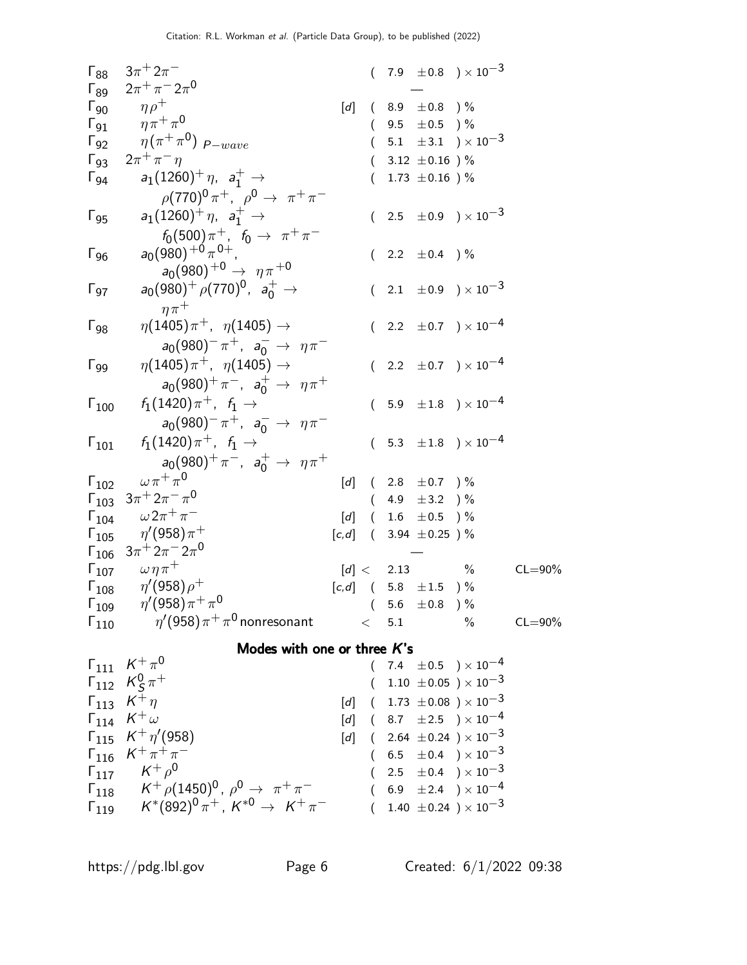| $3\pi + 2\pi^-$                                    |                                                                                                                                                                                                                                                                                                                                                                                                                                                              |                                                                                                                                                                                    |  |                                                                                               |                                                                                                                                                                                                                                                                                                                                                                                                                                                                                                                                                                                                                                                                                              |
|----------------------------------------------------|--------------------------------------------------------------------------------------------------------------------------------------------------------------------------------------------------------------------------------------------------------------------------------------------------------------------------------------------------------------------------------------------------------------------------------------------------------------|------------------------------------------------------------------------------------------------------------------------------------------------------------------------------------|--|-----------------------------------------------------------------------------------------------|----------------------------------------------------------------------------------------------------------------------------------------------------------------------------------------------------------------------------------------------------------------------------------------------------------------------------------------------------------------------------------------------------------------------------------------------------------------------------------------------------------------------------------------------------------------------------------------------------------------------------------------------------------------------------------------------|
| $2\pi^{+}\pi^{-}2\pi^{0}$                          |                                                                                                                                                                                                                                                                                                                                                                                                                                                              |                                                                                                                                                                                    |  |                                                                                               |                                                                                                                                                                                                                                                                                                                                                                                                                                                                                                                                                                                                                                                                                              |
|                                                    | [d]                                                                                                                                                                                                                                                                                                                                                                                                                                                          |                                                                                                                                                                                    |  |                                                                                               |                                                                                                                                                                                                                                                                                                                                                                                                                                                                                                                                                                                                                                                                                              |
|                                                    |                                                                                                                                                                                                                                                                                                                                                                                                                                                              |                                                                                                                                                                                    |  |                                                                                               |                                                                                                                                                                                                                                                                                                                                                                                                                                                                                                                                                                                                                                                                                              |
|                                                    |                                                                                                                                                                                                                                                                                                                                                                                                                                                              |                                                                                                                                                                                    |  |                                                                                               |                                                                                                                                                                                                                                                                                                                                                                                                                                                                                                                                                                                                                                                                                              |
| $2\pi^{+}\pi^{-}\eta$                              |                                                                                                                                                                                                                                                                                                                                                                                                                                                              |                                                                                                                                                                                    |  |                                                                                               |                                                                                                                                                                                                                                                                                                                                                                                                                                                                                                                                                                                                                                                                                              |
| $a_1(1260)^+ \eta$ , $a_1^+ \to$                   |                                                                                                                                                                                                                                                                                                                                                                                                                                                              |                                                                                                                                                                                    |  |                                                                                               |                                                                                                                                                                                                                                                                                                                                                                                                                                                                                                                                                                                                                                                                                              |
|                                                    |                                                                                                                                                                                                                                                                                                                                                                                                                                                              |                                                                                                                                                                                    |  |                                                                                               |                                                                                                                                                                                                                                                                                                                                                                                                                                                                                                                                                                                                                                                                                              |
| $a_1(1260)^+ \eta$ , $a_1^+ \to$                   |                                                                                                                                                                                                                                                                                                                                                                                                                                                              |                                                                                                                                                                                    |  |                                                                                               |                                                                                                                                                                                                                                                                                                                                                                                                                                                                                                                                                                                                                                                                                              |
|                                                    |                                                                                                                                                                                                                                                                                                                                                                                                                                                              |                                                                                                                                                                                    |  |                                                                                               |                                                                                                                                                                                                                                                                                                                                                                                                                                                                                                                                                                                                                                                                                              |
|                                                    |                                                                                                                                                                                                                                                                                                                                                                                                                                                              |                                                                                                                                                                                    |  |                                                                                               |                                                                                                                                                                                                                                                                                                                                                                                                                                                                                                                                                                                                                                                                                              |
|                                                    |                                                                                                                                                                                                                                                                                                                                                                                                                                                              |                                                                                                                                                                                    |  |                                                                                               |                                                                                                                                                                                                                                                                                                                                                                                                                                                                                                                                                                                                                                                                                              |
| $a_0(980)^+$ $\rho(770)^0$ , $a_0^+$ $\rightarrow$ |                                                                                                                                                                                                                                                                                                                                                                                                                                                              |                                                                                                                                                                                    |  |                                                                                               |                                                                                                                                                                                                                                                                                                                                                                                                                                                                                                                                                                                                                                                                                              |
| $n\pi^+$                                           |                                                                                                                                                                                                                                                                                                                                                                                                                                                              |                                                                                                                                                                                    |  |                                                                                               |                                                                                                                                                                                                                                                                                                                                                                                                                                                                                                                                                                                                                                                                                              |
| $\eta(1405)\pi^+$ , $\eta(1405) \to$               |                                                                                                                                                                                                                                                                                                                                                                                                                                                              |                                                                                                                                                                                    |  |                                                                                               |                                                                                                                                                                                                                                                                                                                                                                                                                                                                                                                                                                                                                                                                                              |
|                                                    |                                                                                                                                                                                                                                                                                                                                                                                                                                                              |                                                                                                                                                                                    |  |                                                                                               |                                                                                                                                                                                                                                                                                                                                                                                                                                                                                                                                                                                                                                                                                              |
| $\eta(1405)\pi^+$ , $\eta(1405) \to$               |                                                                                                                                                                                                                                                                                                                                                                                                                                                              |                                                                                                                                                                                    |  |                                                                                               |                                                                                                                                                                                                                                                                                                                                                                                                                                                                                                                                                                                                                                                                                              |
|                                                    |                                                                                                                                                                                                                                                                                                                                                                                                                                                              |                                                                                                                                                                                    |  |                                                                                               |                                                                                                                                                                                                                                                                                                                                                                                                                                                                                                                                                                                                                                                                                              |
| $f_1(1420)\pi^+$ , $f_1 \to$                       |                                                                                                                                                                                                                                                                                                                                                                                                                                                              |                                                                                                                                                                                    |  |                                                                                               |                                                                                                                                                                                                                                                                                                                                                                                                                                                                                                                                                                                                                                                                                              |
|                                                    |                                                                                                                                                                                                                                                                                                                                                                                                                                                              |                                                                                                                                                                                    |  |                                                                                               |                                                                                                                                                                                                                                                                                                                                                                                                                                                                                                                                                                                                                                                                                              |
| $f_1(1420)\pi^+$ , $f_1 \to$                       |                                                                                                                                                                                                                                                                                                                                                                                                                                                              |                                                                                                                                                                                    |  |                                                                                               |                                                                                                                                                                                                                                                                                                                                                                                                                                                                                                                                                                                                                                                                                              |
|                                                    |                                                                                                                                                                                                                                                                                                                                                                                                                                                              |                                                                                                                                                                                    |  |                                                                                               |                                                                                                                                                                                                                                                                                                                                                                                                                                                                                                                                                                                                                                                                                              |
| $\omega \pi^+ \pi^0$                               |                                                                                                                                                                                                                                                                                                                                                                                                                                                              |                                                                                                                                                                                    |  |                                                                                               |                                                                                                                                                                                                                                                                                                                                                                                                                                                                                                                                                                                                                                                                                              |
| $3\pi + 2\pi - \pi^0$<br>$\mathsf{\Gamma}_{103}$   |                                                                                                                                                                                                                                                                                                                                                                                                                                                              |                                                                                                                                                                                    |  |                                                                                               |                                                                                                                                                                                                                                                                                                                                                                                                                                                                                                                                                                                                                                                                                              |
| $\omega\,2\pi^+\,\pi^-$<br>$\mathsf{\Gamma}_{104}$ |                                                                                                                                                                                                                                                                                                                                                                                                                                                              |                                                                                                                                                                                    |  |                                                                                               |                                                                                                                                                                                                                                                                                                                                                                                                                                                                                                                                                                                                                                                                                              |
|                                                    |                                                                                                                                                                                                                                                                                                                                                                                                                                                              |                                                                                                                                                                                    |  |                                                                                               |                                                                                                                                                                                                                                                                                                                                                                                                                                                                                                                                                                                                                                                                                              |
| $\mathsf{\Gamma}_{106}$                            |                                                                                                                                                                                                                                                                                                                                                                                                                                                              |                                                                                                                                                                                    |  |                                                                                               |                                                                                                                                                                                                                                                                                                                                                                                                                                                                                                                                                                                                                                                                                              |
| $\Gamma_{107}$ $\omega \eta \pi^+$                 |                                                                                                                                                                                                                                                                                                                                                                                                                                                              |                                                                                                                                                                                    |  |                                                                                               | $CL = 90\%$                                                                                                                                                                                                                                                                                                                                                                                                                                                                                                                                                                                                                                                                                  |
|                                                    |                                                                                                                                                                                                                                                                                                                                                                                                                                                              |                                                                                                                                                                                    |  |                                                                                               |                                                                                                                                                                                                                                                                                                                                                                                                                                                                                                                                                                                                                                                                                              |
|                                                    |                                                                                                                                                                                                                                                                                                                                                                                                                                                              |                                                                                                                                                                                    |  |                                                                                               |                                                                                                                                                                                                                                                                                                                                                                                                                                                                                                                                                                                                                                                                                              |
| $\mathsf{\Gamma}_{110}$                            |                                                                                                                                                                                                                                                                                                                                                                                                                                                              |                                                                                                                                                                                    |  | $\%$                                                                                          | $CL = 90\%$                                                                                                                                                                                                                                                                                                                                                                                                                                                                                                                                                                                                                                                                                  |
|                                                    |                                                                                                                                                                                                                                                                                                                                                                                                                                                              |                                                                                                                                                                                    |  |                                                                                               |                                                                                                                                                                                                                                                                                                                                                                                                                                                                                                                                                                                                                                                                                              |
| $\Gamma_{111}$ $K^{+} \pi^{0}$                     |                                                                                                                                                                                                                                                                                                                                                                                                                                                              |                                                                                                                                                                                    |  |                                                                                               |                                                                                                                                                                                                                                                                                                                                                                                                                                                                                                                                                                                                                                                                                              |
|                                                    |                                                                                                                                                                                                                                                                                                                                                                                                                                                              |                                                                                                                                                                                    |  |                                                                                               |                                                                                                                                                                                                                                                                                                                                                                                                                                                                                                                                                                                                                                                                                              |
| $\Gamma_{113}$ $K^{\ddagger} \eta$                 | $\left[ d\right] % \begin{pmatrix} \frac{1}{2} & \frac{1}{2} & \frac{1}{2} & \frac{1}{2} & \frac{1}{2} & \frac{1}{2} & \frac{1}{2} & \frac{1}{2} & \frac{1}{2} \end{pmatrix} \begin{pmatrix} \frac{1}{2} & \frac{1}{2} & \frac{1}{2} & \frac{1}{2} & \frac{1}{2} & \frac{1}{2} & \frac{1}{2} & \frac{1}{2} & \frac{1}{2} & \frac{1}{2} & \frac{1}{2} & \frac{1}{2} \end{pmatrix}$                                                                            |                                                                                                                                                                                    |  |                                                                                               |                                                                                                                                                                                                                                                                                                                                                                                                                                                                                                                                                                                                                                                                                              |
|                                                    | $\eta \rho^+$<br>$\eta \pi^+ \pi^0$<br>$\eta(\pi^+\pi^0)$ $_{\rm P-wave}$<br>$\rho(770)^0 \pi^+$ , $\rho^0 \to \pi^+ \pi^-$<br>$f_0(500)\pi^+$ , $f_0 \to \pi^+\pi^-$<br>$a_0(980)^{+0} \pi^{0+}$ .<br>$a_0(980)^{+0} \rightarrow \eta \pi^{+0}$<br>$\Gamma_{105}$ $\eta'(958)\pi^+$<br>$3\pi$ <sup>+</sup> $2\pi$ <sup>-</sup> $2\pi$ <sup>0</sup><br>$\eta^\prime(958)\rho^+$<br>$\Gamma_{109}$ $\eta'(958)\pi^{+}\pi^{0}$<br>$\Gamma_{112}$ $K_S^0 \pi^+$ | $a_0(980)^-\pi^+$ , $a_0^-\to \eta\pi^-$<br>$a_0(980)^+ \pi^-$ , $a_0^+ \to \eta \pi^+$<br>$a_0(980)^-\pi^+$ , $a_0^-\to \eta\pi^-$<br>$a_0(980)^+ \pi^-$ , $a_0^+ \to \eta \pi^+$ |  | $\eta^\prime(958)\pi^+\pi^0$ nonresonant $\qquad\qquad$ 5.1<br>Modes with one or three $K$ 's | $(7.9 \pm 0.8) \times 10^{-3}$<br>$(8.9 \pm 0.8)$ %<br>$(9.5 \pm 0.5)$ %<br>5.1 $\pm 3.1$ $\times 10^{-3}$<br>3.12 $\pm 0.16$ ) %<br>1.73 $\pm 0.16$ ) %<br>$(2.5 \pm 0.9) \times 10^{-3}$<br>$(2.2 \pm 0.4)$ %<br>$(2.1 \pm 0.9) \times 10^{-3}$<br>$(2.2 \pm 0.7) \times 10^{-4}$<br>$(2.2 \pm 0.7) \times 10^{-4}$<br>$(5.9 \pm 1.8) \times 10^{-4}$<br>$(5.3 \pm 1.8) \times 10^{-4}$<br>[d] $(2.8 \pm 0.7)$ %<br>$(4.9 \pm 3.2)$ %<br>[d] $(1.6 \pm 0.5)$ %<br>$[c,d]$ ( 3.94 $\pm$ 0.25 ) %<br>$[d] < 2.13$ %<br>$[c,d]$ ( 5.8 $\pm 1.5$ )%<br>$(5.6 \pm 0.8) \%$<br>$(7.4 \pm 0.5) \times 10^{-4}$<br>1.10 $\pm$ 0.05 $\times$ 10 <sup>-3</sup><br>$(1.73\ \pm0.08\ ) \times 10^{-3}$ |

|                | 113 N H                                                                                         |  |  | $ q $ (1.13 $\pm$ 0.00 $\pm$ 1.0     |
|----------------|-------------------------------------------------------------------------------------------------|--|--|--------------------------------------|
|                | $\mathsf{\Gamma}_{114}$ $\mathsf{K}^{+}\omega$                                                  |  |  | [d] $(8.7 \pm 2.5) \times 10^{-4}$   |
|                | $\Gamma_{115}$ $K^+ \eta' (958)$                                                                |  |  | [d] $(2.64 \pm 0.24) \times 10^{-3}$ |
|                | $\Gamma_{116}$ $K^+\pi^+\pi^-$                                                                  |  |  | $(6.5 \pm 0.4) \times 10^{-3}$       |
|                | $\Gamma_{117}$ $K^+$ $\rho^0$                                                                   |  |  | $(2.5 \pm 0.4) \times 10^{-3}$       |
|                | $\Gamma_{118}$ $K^+$ $\rho$ (1450) <sup>0</sup> , $\rho$ <sup>0</sup> $\rightarrow \pi^+ \pi^-$ |  |  | $(6.9 \pm 2.4) \times 10^{-4}$       |
| $\Gamma_{119}$ | $K^*(892)^0 \pi^+$ , $K^{*0} \rightarrow K^+ \pi^-$                                             |  |  | $(1.40 \pm 0.24) \times 10^{-3}$     |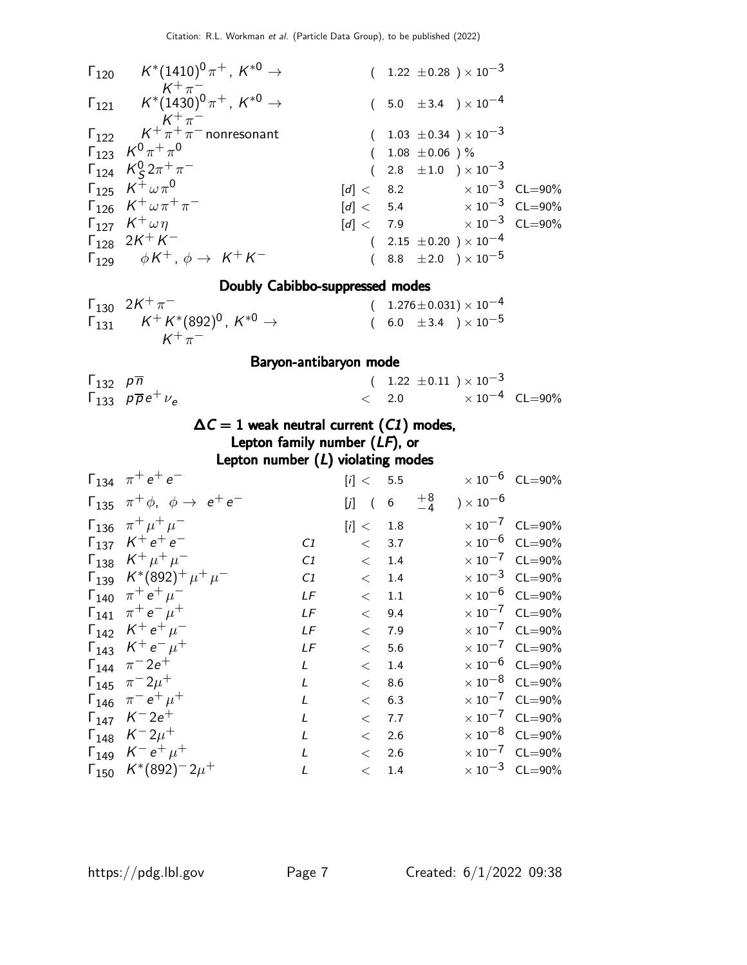| $\mathsf{\Gamma}_{120} \qquad \mathsf{K}^*(1410)^0 \, \pi^+$ , $\mathsf{K}^{*0} \to$      |  |                     | $(1.22 \pm 0.28) \times 10^{-3}$    |  |
|-------------------------------------------------------------------------------------------|--|---------------------|-------------------------------------|--|
| $K^+\pi^-$<br>$\Gamma_{121}$ $K^*(1430)^0 \pi^+$ , $K^{*0} \rightarrow$<br>$K^{+}\pi^{-}$ |  |                     | $(5.0 \pm 3.4) \times 10^{-4}$      |  |
| $\Gamma_{122}$ $K^+\pi^+\pi^-$ nonresonant                                                |  |                     | $(1.03 \pm 0.34) \times 10^{-3}$    |  |
| $\Gamma_{123}$ $K^0 \pi^+ \pi^0$                                                          |  | $(1.08 \pm 0.06)$ % |                                     |  |
| $\Gamma_{124}$ $K_S^0 2\pi^+\pi^-$                                                        |  |                     | $(2.8 \pm 1.0) \times 10^{-3}$      |  |
| $\Gamma_{125}$ $K^{+}\omega\pi^{0}$                                                       |  |                     | $[d] < 8.2$ $\times 10^{-3}$ CL=90% |  |
| $\Gamma_{126}$ $K^{+}\omega\pi^{+}\pi^{-}$                                                |  |                     | $[d] < 5.4$ $\times 10^{-3}$ CL=90% |  |
| $\Gamma_{127}$ $K^+\omega\eta$                                                            |  |                     | $[d] < 7.9$ $\times 10^{-3}$ CL=90% |  |
| $\Gamma_{128}$ 2K <sup>+</sup> K <sup>-</sup>                                             |  |                     | $(2.15 \pm 0.20) \times 10^{-4}$    |  |
| $\Gamma_{129}$ $\phi K^+$ , $\phi \rightarrow K^+ K^-$                                    |  |                     | $(8.8 \pm 2.0) \times 10^{-5}$      |  |
|                                                                                           |  |                     |                                     |  |

#### Doubly Cabibbo-suppressed modes

| $\Gamma_{130}$ 2K <sup>+</sup> $\pi^-$                                                                   | $(1.276 \pm 0.031) \times 10^{-4}$ |
|----------------------------------------------------------------------------------------------------------|------------------------------------|
| $\mathsf{F}_{131}$ $\mathsf{K}^{+}\mathsf{K}^{*}(892)^{0}$ , $\mathsf{K}^{*0}\rightarrow\mathsf{K}^{*0}$ | $(6.0 \pm 3.4) \times 10^{-5}$     |
| $K^+\pi^-$                                                                                               |                                    |

#### Baryon-antibaryon mode

| $\Gamma_{132}$ $p\overline{n}$ |                                                 | $(1.22 \pm 0.11) \times 10^{-3}$ |                                  |  |
|--------------------------------|-------------------------------------------------|----------------------------------|----------------------------------|--|
|                                | $\Gamma_{133}$ $\rho \overline{\rho} e^+ \nu_e$ | $\leq$ 2.0                       | $\times$ 10 <sup>-4</sup> CL=90% |  |

#### $\Delta C = 1$  weak neutral current (C1) modes, Lepton family number (LF), or

Lepton number  $(L)$  violating modes

| $\Gamma_{134}$ $\pi^+e^+e^-$                                 |                                                                                                                                                                                                           |       |                                                                                                                                                                          |                       | $\times 10^{-6}$ CL=90% |
|--------------------------------------------------------------|-----------------------------------------------------------------------------------------------------------------------------------------------------------------------------------------------------------|-------|--------------------------------------------------------------------------------------------------------------------------------------------------------------------------|-----------------------|-------------------------|
| $\Gamma_{135}$ $\pi^{+}\phi$ , $\phi \rightarrow e^{+}e^{-}$ |                                                                                                                                                                                                           |       | $\begin{array}{c} +8 \\ -4 \end{array}$                                                                                                                                  | ) $\times$ 10 $^{-6}$ |                         |
| $\Gamma_{136}$ $\pi^{+}\mu^{+}\mu^{-}$                       |                                                                                                                                                                                                           |       |                                                                                                                                                                          |                       | $\times 10^{-7}$ CL=90% |
|                                                              | C1                                                                                                                                                                                                        |       |                                                                                                                                                                          |                       | $\times 10^{-6}$ CL=90% |
| $\Gamma_{138}$ $K^+ \mu^+ \mu^-$                             | C1                                                                                                                                                                                                        |       |                                                                                                                                                                          |                       | $\times 10^{-7}$ CL=90% |
| $\Gamma_{139}$ $K^*(892)^+ \mu^+ \mu^-$                      | C1                                                                                                                                                                                                        |       |                                                                                                                                                                          |                       | $\times 10^{-3}$ CL=90% |
|                                                              | LF                                                                                                                                                                                                        | $\lt$ |                                                                                                                                                                          |                       | $\times 10^{-6}$ CL=90% |
| $\Gamma_{141}$ $\pi^+e^-\mu^+$                               | LF                                                                                                                                                                                                        |       |                                                                                                                                                                          |                       | $\times 10^{-7}$ CL=90% |
|                                                              | LF                                                                                                                                                                                                        |       |                                                                                                                                                                          |                       | $\times 10^{-7}$ CL=90% |
|                                                              | LF                                                                                                                                                                                                        |       |                                                                                                                                                                          |                       | $\times 10^{-7}$ CL=90% |
| $\Gamma_{144}$ $\pi^{-}2e^{+}$                               | $\mathsf{L}$                                                                                                                                                                                              |       |                                                                                                                                                                          |                       | $\times 10^{-6}$ CL=90% |
| $\Gamma_{145}$ $\pi^{-}2\mu^{+}$                             | $\mathbf{I}$                                                                                                                                                                                              |       |                                                                                                                                                                          |                       | $\times 10^{-8}$ CL=90% |
|                                                              | L                                                                                                                                                                                                         |       |                                                                                                                                                                          |                       | $\times 10^{-7}$ CL=90% |
| $\Gamma_{147}$ $K^-2e^+$                                     | L                                                                                                                                                                                                         |       |                                                                                                                                                                          |                       | $\times 10^{-7}$ CL=90% |
| $\Gamma_{148}$ $K^-2\mu^+$                                   | L                                                                                                                                                                                                         |       |                                                                                                                                                                          |                       | $\times 10^{-8}$ CL=90% |
| $\Gamma_{149}$ $K^- e^+ \mu^+$                               | $\mathbf{I}$                                                                                                                                                                                              |       |                                                                                                                                                                          |                       | $\times 10^{-7}$ CL=90% |
|                                                              |                                                                                                                                                                                                           |       |                                                                                                                                                                          |                       | $\times 10^{-3}$ CL=90% |
|                                                              | $\Gamma_{137}$ $K^+e^+e^-$<br>$\Gamma_{140}$ $\pi^+ e^+ \mu^-$<br>$\Gamma_{142}$ $K^+e^+\mu^-$<br>$\Gamma_{143}$ $K^+e^-\mu^+$<br>$\Gamma_{146}$ $\pi^- e^+ \mu^+$<br>$\Gamma_{150}$ $K^*(892)^{-2}\mu^+$ |       | [i] < 5.5<br>$[j]$ (6<br>[i] < 1.8<br>< 3.7<br>< 1.4<br>$<$ 1.4<br>1.1<br>< 9.4<br>$<$ 7.9<br>< 5.6<br>$<$ 1.4<br>< 8.6<br>$<$ 6.3<br>< 7.7<br>< 2.6<br>< 2.6<br>$<$ 1.4 |                       |                         |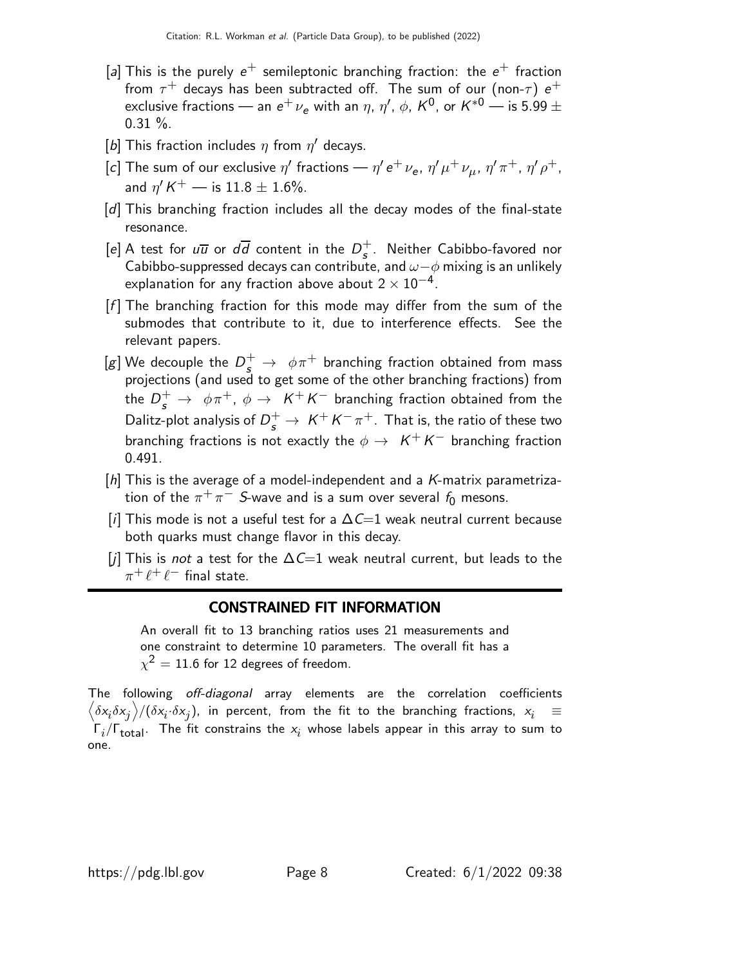- [a] This is the purely  $e^+$  semileptonic branching fraction: the  $e^+$  fraction from  $\tau^+$  decays has been subtracted off. The sum of our (non- $\tau)$   $e^+$ exclusive fractions — an  $e^+ \, \nu_e$  with an  $\eta$ ,  $\eta'$ ,  $\phi$ ,  $K^0$ , or  $K^{*0}$  — is 5.99  $\pm$  $0.31 \%$ .
- [b] This fraction includes  $\eta$  from  $\eta'$  decays.
- [c] The sum of our exclusive  $\eta'$  fractions  $\eta'$  e $^+$   $\nu_{\sf e}$ ,  $\eta'\mu^+\nu_{\mu}$ ,  $\eta'\pi^+$ ,  $\eta'\rho^+$ , and  $\eta^{\prime} K^+$  — is  $11.8 \pm 1.6 \%$ .
- [d] This branching fraction includes all the decay modes of the final-state resonance.
- [e] A test for  $u\overline{u}$  or  $d\overline{d}$  content in the  $D_{s}^{+}$  $\frac{1}{s}$ . Neither Cabibbo-favored nor Cabibbo-suppressed decays can contribute, and  $\omega-\phi$  mixing is an unlikely explanation for any fraction above about  $2\times 10^{-4}$ .
- $[f]$  The branching fraction for this mode may differ from the sum of the submodes that contribute to it, due to interference effects. See the relevant papers.
- [g] We decouple the  $D_s^+ \rightarrow \ \phi \pi^+$  branching fraction obtained from mass projections (and used to get some of the other branching fractions) from the  $D_s^+ \, \rightarrow \, \, \phi \pi^+, \, \phi \rightarrow \, \, \, \mathcal{K}^+ \, \mathcal{K}^-$  branching fraction obtained from the Dalitz-plot analysis of  $D_s^+ \rightarrow \ K^+ K^- \pi^+$  . That is, the ratio of these two branching fractions is not exactly the  $\phi\rightarrow\ K^+K^-$  branching fraction 0.491.
- $[h]$  This is the average of a model-independent and a K-matrix parametrization of the  $\pi^+\pi^-$  S-wave and is a sum over several  $f_0$  mesons.
- [i] This mode is not a useful test for a  $\Delta \mathcal{C}=1$  weak neutral current because both quarks must change flavor in this decay.
- [j] This is not a test for the  $\Delta C=1$  weak neutral current, but leads to the  $\pi^+ \ell^+ \ell^-$  final state.

#### CONSTRAINED FIT INFORMATION

An overall fit to 13 branching ratios uses 21 measurements and one constraint to determine 10 parameters. The overall fit has a  $\chi^2=11.6$  for 12 degrees of freedom.

The following off-diagonal array elements are the correlation coefficients  $\left<\delta x_i\delta x_j\right>$ / $(\delta x_i\cdot\delta x_j)$ , in percent, from the fit to the branching fractions,  $x_i$   $\;\equiv$  $\Gamma_i/\Gamma_{\rm total}$ . The fit constrains the  $x_i$  whose labels appear in this array to sum to one.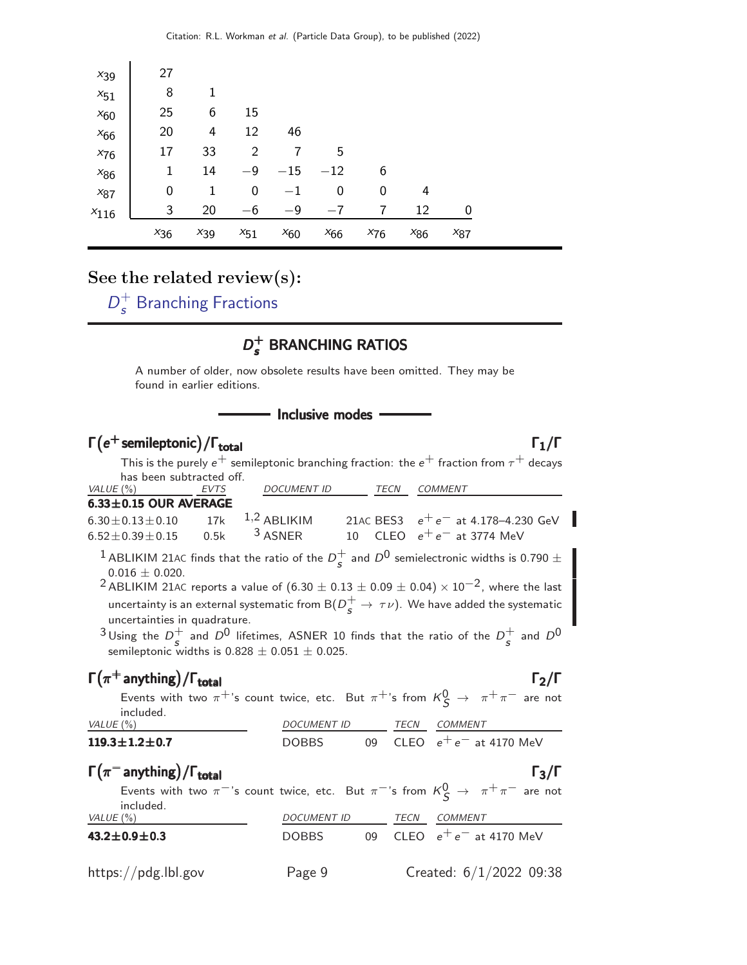| $x_{39}$  | 27       |          |          |          |          |          |          |          |  |
|-----------|----------|----------|----------|----------|----------|----------|----------|----------|--|
| $x_{51}$  | 8        |          |          |          |          |          |          |          |  |
| $x_{60}$  | 25       | 6        | 15       |          |          |          |          |          |  |
| $x_{66}$  | 20       | 4        | 12       | 46       |          |          |          |          |  |
| $x_{76}$  | 17       | 33       | 2        |          | 5        |          |          |          |  |
| $x_{86}$  | 1        | 14       | $-9$     | $-15$    | $-12$    | 6        |          |          |  |
| $x_{87}$  | 0        | 1        | 0        | $^{-1}$  | 0        | 0        | 4        |          |  |
| $x_{116}$ | 3        | 20       | $-6$     | $-9$     | $-7$     | 7        | 12       | 0        |  |
|           | $x_{36}$ | $x_{39}$ | $x_{51}$ | $x_{60}$ | $x_{66}$ | $x_{76}$ | $x_{86}$ | $x_{87}$ |  |

#### See the related review(s):

 $D^+$  $\frac{1}{s}$  [Branching Fractions](http://pdg.lbl.gov/2022/reviews/rpp2021-rev-ds-plus-branching-fractions.pdf)

#### $D_{\epsilon}^+$ s BRANCHING RATIOS

A number of older, now obsolete results have been omitted. They may be found in earlier editions.

#### - Inclusive modes

#### $\Gamma(e^+$  semileptonic) / Γ<sub>total</sub> Γ<sub>1</sub>/Γ /Γ $_{\rm total}$ Γ $_{\rm 1/}$ Γ

This is the purely  $e^+$  semileptonic branching fraction: the  $e^+$  fraction from  $\tau^+$  decays has been subtracted off.

| VALUE (%)                 | <b>EVTS</b> | <b>DOCUMENT ID</b> | TFCN | COMMENT                               |
|---------------------------|-------------|--------------------|------|---------------------------------------|
| $6.33\pm0.15$ OUR AVERAGE |             |                    |      |                                       |
| $6.30 \pm 0.13 \pm 0.10$  |             | 17k $1,2$ ABI IKIM |      | 21AC BES3 $e^+e^-$ at 4.178-4.230 GeV |
| $6.52 + 0.39 + 0.15$      |             | $0.5k$ $3$ ASNER   |      | 10 CLEO $e^+e^-$ at 3774 MeV          |

<sup>1</sup> ABLIKIM 21AC finds that the ratio of the  $D_c^+$  $^{+}_{s}$  and  $D^{0}$  semielectronic widths is 0.790  $\pm$  $0.016 \pm 0.020$ .

 $2$  ABLIKIM 21AC reports a value of  $(6.30 \pm 0.13 \pm 0.09 \pm 0.04) \times 10^{-2}$ , where the last uncertainty is an external systematic from  $\mathsf{B}(D_{\bm{s}}^+ \to \, \tau \nu).$  We have added the systematic uncertainties in quadrature.

<sup>3</sup> Using the  $D_c^+$  $s$  and  $D^0$  lifetimes, ASNER 10 finds that the ratio of the  $D_s^+$  $\frac{1}{s}$  and  $D^0$ semileptonic widths is  $0.828 \pm 0.051 \pm 0.025$ .

#### $\Gamma(\pi^+$  anything) /  $\Gamma_{\text{total}}$   $\Gamma_2/\Gamma$

 $\overline{\phantom{a}}$ 

Events with two  $\pi^+$ 's count twice, etc. But  $\pi^+$ 's from  $\kappa_S^0 \to \pi^+ \pi^-$  are not included.

| VALUE (%)                                                                                                               | <i>DOCUMENT ID</i> |    | TECN | <b>COMMENT</b>            |
|-------------------------------------------------------------------------------------------------------------------------|--------------------|----|------|---------------------------|
| $119.3 \pm 1.2 \pm 0.7$                                                                                                 | <b>DOBBS</b>       | 0Q |      | CLEO $e^+e^-$ at 4170 MeV |
| $\Gamma(\pi^-$ anything) / $\Gamma_{total}$                                                                             |                    |    |      | $\Gamma_3/\Gamma$         |
| Events with two $\pi^{-1}$ 's count twice, etc. But $\pi^{-1}$ 's from $K^0_S \to \pi^{+} \pi^{-}$ are not<br>included. |                    |    |      |                           |
| VALUE (%)                                                                                                               | DOCUMENT ID        |    | TECN | COMMENT                   |
| $43.2 \pm 0.9 \pm 0.3$                                                                                                  | <b>DOBBS</b>       | 09 |      | CLEO $e^+e^-$ at 4170 MeV |
| https://pdg.lbl.gov                                                                                                     | Page 9             |    |      | Created: $6/1/2022$ 09:38 |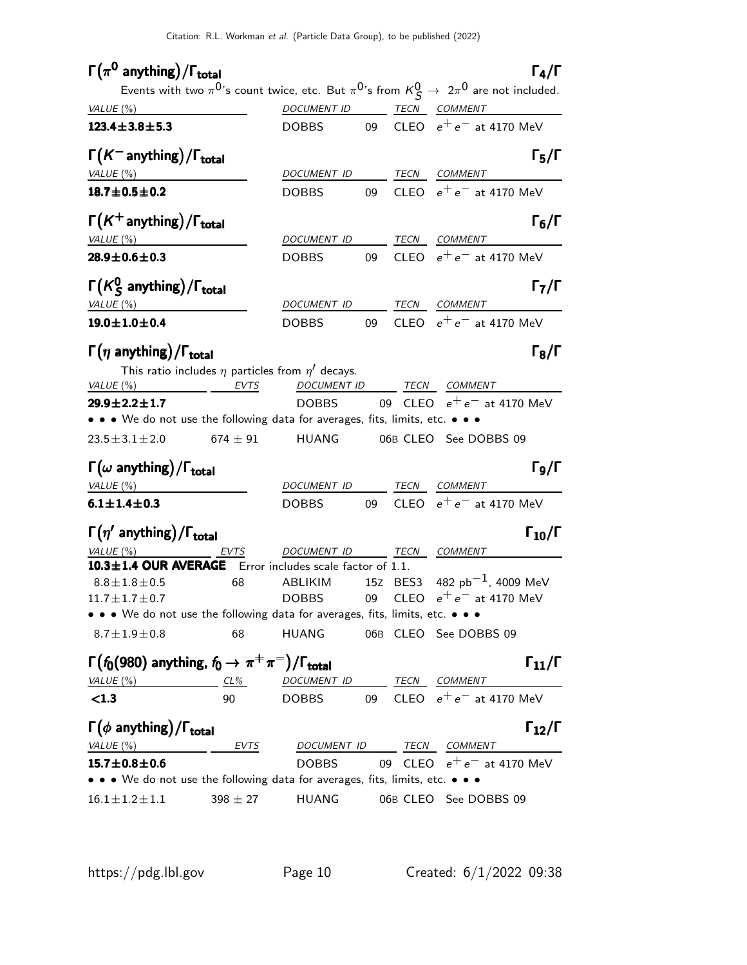#### $\Gamma(\pi^0$  anything)/ $\Gamma_{\text{total}}$  (π

| VALUE $(\%)$                                                                                                                         |              | Events with two $\pi^{0}$ 's count twice, etc. But $\pi^{0}$ 's from $K_S^0 \rightarrow 2\pi^0$ are not included.<br>DOCUMENT ID TECN COMMENT |  |                                                      |
|--------------------------------------------------------------------------------------------------------------------------------------|--------------|-----------------------------------------------------------------------------------------------------------------------------------------------|--|------------------------------------------------------|
| $123.4 \pm 3.8 \pm 5.3$                                                                                                              |              |                                                                                                                                               |  | DOBBS 09 CLEO $e^+e^-$ at 4170 MeV                   |
| $\Gamma(K^-$ anything) / $\Gamma_{\text{total}}$                                                                                     |              |                                                                                                                                               |  | $\Gamma_5/\Gamma$                                    |
| VALUE(%)                                                                                                                             |              | DOCUMENT ID                                                                                                                                   |  | TECN COMMENT                                         |
| $18.7 \pm 0.5 \pm 0.2$                                                                                                               |              | <b>DOBBS</b>                                                                                                                                  |  | 09 CLEO $e^+e^-$ at 4170 MeV                         |
| $\Gamma(K^+$ anything) / $\Gamma_{\text{total}}$                                                                                     |              |                                                                                                                                               |  | $\Gamma_6/\Gamma$                                    |
| VALUE (%)                                                                                                                            |              | DOCUMENT ID TECN COMMENT                                                                                                                      |  |                                                      |
| $28.9 \pm 0.6 \pm 0.3$                                                                                                               |              | <b>DOBBS</b>                                                                                                                                  |  | 09 CLEO $e^+e^-$ at 4170 MeV                         |
| $\Gamma(K_S^0$ anything)/ $\Gamma_{total}$                                                                                           |              | DOCUMENT ID                                                                                                                                   |  | $\Gamma_7/\Gamma$<br>TECN COMMENT                    |
| VALUE(%)<br>$19.0 \pm 1.0 \pm 0.4$                                                                                                   |              |                                                                                                                                               |  | 09 CLEO $e^+e^-$ at 4170 MeV                         |
|                                                                                                                                      |              | DOBBS                                                                                                                                         |  |                                                      |
| $\Gamma(\eta \text{ anything})/\Gamma_{\text{total}}$<br>VALUE $(\%)$                                                                | EVTS         | This ratio includes $\eta$ particles from $\eta'$ decays.<br>DOCUMENT ID TECN COMMENT                                                         |  | $\Gamma_8/\Gamma$                                    |
| $29.9 \pm 2.2 \pm 1.7$                                                                                                               |              |                                                                                                                                               |  | DOBBS 09 CLEO $e^+e^-$ at 4170 MeV                   |
| • • • We do not use the following data for averages, fits, limits, etc. • • •                                                        |              |                                                                                                                                               |  |                                                      |
| $23.5 \pm 3.1 \pm 2.0$                                                                                                               | 674 $\pm$ 91 |                                                                                                                                               |  | HUANG 06B CLEO See DOBBS 09                          |
| $\Gamma(\omega \text{ anything})/\Gamma_{\text{total}}$                                                                              |              |                                                                                                                                               |  | $\Gamma_9/\Gamma$                                    |
| VALUE(%)                                                                                                                             |              |                                                                                                                                               |  | DOCUMENT ID TECN COMMENT                             |
| $6.1 \pm 1.4 \pm 0.3$                                                                                                                |              | <b>DOBBS</b>                                                                                                                                  |  | 09 CLEO $e^+e^-$ at 4170 MeV                         |
| $\Gamma(\eta'$ anything)/ $\Gamma_{total}$                                                                                           |              |                                                                                                                                               |  | $\Gamma_{10}/\Gamma$                                 |
|                                                                                                                                      |              |                                                                                                                                               |  |                                                      |
| $VALUE(%)$ EVTS<br>10.3±1.4 OUR AVERAGE Error includes scale factor of 1.1.                                                          |              | DOCUMENT ID TECN COMMENT                                                                                                                      |  |                                                      |
| $8.8 \pm 1.8 \pm 0.5$ 68                                                                                                             |              |                                                                                                                                               |  | ABLIKIM $15z$ BES3 482 pb $^{-1}$ , 4009 MeV         |
| $11.7 \pm 1.7 \pm 0.7$                                                                                                               |              |                                                                                                                                               |  | DOBBS 09 CLEO $e^+e^-$ at 4170 MeV                   |
| $\bullet\,\bullet\,\bullet\,$ We do not use the following data for averages, fits, limits, etc. $\bullet\,\bullet\,\bullet\,\bullet$ |              |                                                                                                                                               |  |                                                      |
| $8.7 \pm 1.9 \pm 0.8$                                                                                                                | 68           |                                                                                                                                               |  | HUANG 06B CLEO See DOBBS 09                          |
| $\Gamma(f_0(980)$ anything, $f_0 \to \pi^+\pi^-)/\Gamma_{\text{total}}$                                                              |              |                                                                                                                                               |  |                                                      |
| VALUE $(\%)$                                                                                                                         |              | <u>CL% DOCUMENT ID TECN COMMENT</u>                                                                                                           |  |                                                      |
| < 1.3                                                                                                                                | 90           | <b>DOBBS</b>                                                                                                                                  |  | $\Gamma_{11}/\Gamma$<br>09 CLEO $e^+e^-$ at 4170 MeV |
| $\Gamma(\phi \text{ anything})/\Gamma_{\text{total}}$                                                                                |              |                                                                                                                                               |  |                                                      |
| VALUE(%)                                                                                                                             | <b>EVTS</b>  | DOCUMENT ID TECN COMMENT<br><b>DOBBS</b>                                                                                                      |  |                                                      |
| $15.7 \pm 0.8 \pm 0.6$<br>• • • We do not use the following data for averages, fits, limits, etc. • • •                              |              |                                                                                                                                               |  | $\Gamma_{12}/\Gamma$<br>09 CLEO $e^+e^-$ at 4170 MeV |
| $16.1 \pm 1.2 \pm 1.1$                                                                                                               | $398 \pm 27$ |                                                                                                                                               |  | HUANG 06B CLEO See DOBBS 09                          |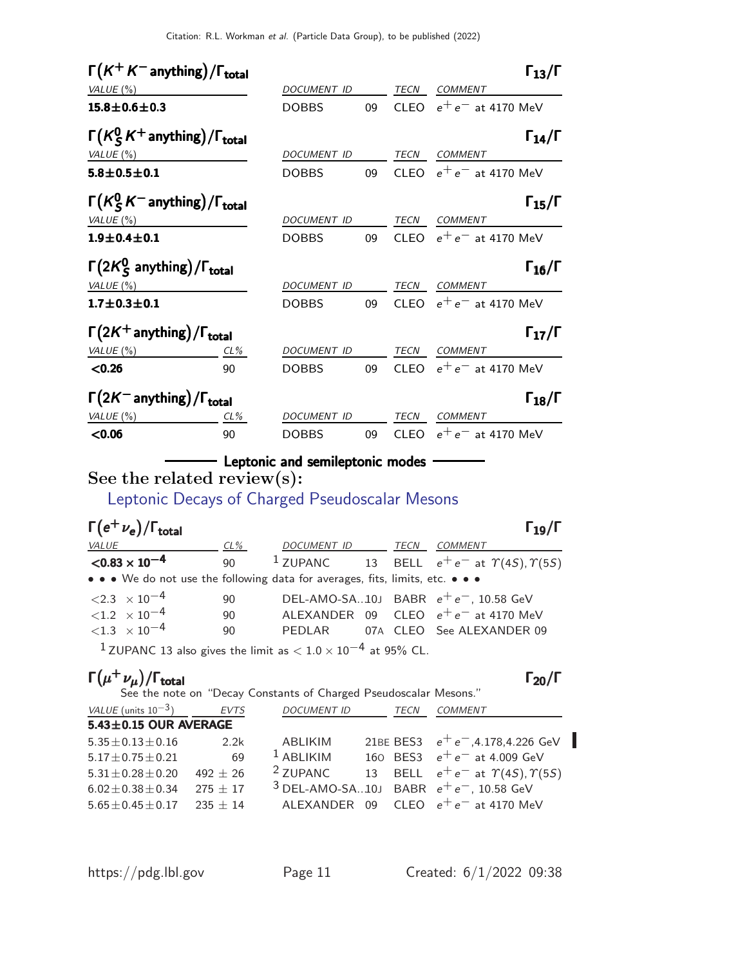| $\Gamma(K^+K^-$ anything) / $\Gamma_{\text{total}}$   |        |                    |    |             |                              | $\Gamma_{13}/\Gamma$ |
|-------------------------------------------------------|--------|--------------------|----|-------------|------------------------------|----------------------|
| VALUE (%)                                             |        | DOCUMENT ID        |    |             | TECN COMMENT                 |                      |
| $15.8 \pm 0.6 \pm 0.3$                                |        | <b>DOBBS</b>       | 09 | <b>CLEO</b> | $e^+e^-$ at 4170 MeV         |                      |
| $\Gamma(K_S^0 K^+$ anything)/ $\Gamma_{total}$        |        |                    |    |             |                              | $\Gamma_{14}/\Gamma$ |
| VALUE $(\%)$                                          |        | DOCUMENT ID        |    | TECN        | <b>COMMENT</b>               |                      |
| $5.8 + 0.5 + 0.1$                                     |        | <b>DOBBS</b>       |    |             | 09 CLEO $e^+e^-$ at 4170 MeV |                      |
| $\Gamma(K_S^0 K^-$ anything)/ $\Gamma_{\text{total}}$ |        |                    |    |             |                              | $\Gamma_{15}/\Gamma$ |
| VALUE $(\%)$                                          |        | DOCUMENT ID        |    | <b>TECN</b> | COMMENT                      |                      |
| $1.9 \pm 0.4 \pm 0.1$                                 |        | <b>DOBBS</b>       | 09 |             | CLEO $e^+e^-$ at 4170 MeV    |                      |
| $\Gamma(2K_S^0$ anything)/ $\Gamma_{total}$           |        |                    |    |             |                              | $\Gamma_{16}/\Gamma$ |
| VALUE (%)                                             |        | DOCUMENT ID        |    |             | TECN COMMENT                 |                      |
| $1.7 \pm 0.3 \pm 0.1$                                 |        | <b>DOBBS</b>       | 09 |             | CLEO $e^+e^-$ at 4170 MeV    |                      |
| $\Gamma(2K^+$ anything) / $\Gamma_{total}$            |        |                    |    |             |                              | $\Gamma_{17}/\Gamma$ |
| VALUE $(\%)$                                          | CL%    | DOCUMENT ID        |    | TECN        | <b>COMMENT</b>               |                      |
| < 0.26                                                | 90     | <b>DOBBS</b>       | 09 |             | CLEO $e^+e^-$ at 4170 MeV    |                      |
| $\Gamma(2K^-$ anything) / $\Gamma_{total}$            |        |                    |    |             |                              | $\Gamma_{18}/\Gamma$ |
| VALUE $(\%)$                                          | $CL\%$ | <b>DOCUMENT ID</b> |    | TECN        | <b>COMMENT</b>               |                      |
| < 0.06                                                | 90     | <b>DOBBS</b>       | 09 | <b>CLEO</b> | $e^+e^-$ at 4170 MeV         |                      |

### - Leptonic and semileptonic modes -

See the related review(s):

[Leptonic Decays of Charged Pseudoscalar Mesons](http://pdg.lbl.gov/2022/reviews/rpp2021-rev-pseudoscalar-meson-decay-cons.pdf)

| $\Gamma(e^+\nu_e)/\Gamma_{\rm total}$                                         |              |                  |  |                                                                     | $\Gamma_{19}/\Gamma$ |
|-------------------------------------------------------------------------------|--------------|------------------|--|---------------------------------------------------------------------|----------------------|
| <b>VALUE</b>                                                                  | CL%          | DOCUMENT ID TECN |  | COMMENT                                                             |                      |
| $<$ 0.83 $\times$ 10 $^{-4}$                                                  | $90^{\circ}$ |                  |  | <sup>1</sup> ZUPANC 13 BELL $e^+e^-$ at $\gamma(45)$ , $\gamma(55)$ |                      |
| • • • We do not use the following data for averages, fits, limits, etc. • • • |              |                  |  |                                                                     |                      |
| $\langle 2.3 \times 10^{-4} \rangle$                                          | 90           |                  |  | DEL-AMO-SA10J BABR $e^+e^-$ , 10.58 GeV                             |                      |
| $< 1.2 \times 10^{-4}$                                                        | 90           |                  |  | ALEXANDER 09 CLEO $e^+e^-$ at 4170 MeV                              |                      |
| $<$ 1.3 $\times$ 10 $^{-4}$                                                   | 90           |                  |  | PEDLAR 07A CLEO See ALEXANDER 09                                    |                      |
| $1 - \frac{1}{2}$                                                             |              |                  |  |                                                                     |                      |

<sup>1</sup> ZUPANC 13 also gives the limit as  $< 1.0 \times 10^{-4}$  at 95% CL.

### $\Gamma(\mu^+ \nu_{\mu})/\Gamma_{\rm total}$  Γ<sub>20</sub>/Γ

|                             |            | See the note on "Decay Constants of Charged Pseudoscalar Mesons." |             |                                                      |  |
|-----------------------------|------------|-------------------------------------------------------------------|-------------|------------------------------------------------------|--|
| VALUE (units $10^{-3}$ )    | EVTS       | <b>DOCUMENT ID</b>                                                | <i>TECN</i> | <b>COMMENT</b>                                       |  |
| $5.43 \pm 0.15$ OUR AVERAGE |            |                                                                   |             |                                                      |  |
| $5.35 \pm 0.13 \pm 0.16$    | 2.2k       | ABLIKIM                                                           |             | 21BE BES3 $e^+e^-, 4.178, 4.226$ GeV                 |  |
| $5.17 \pm 0.75 \pm 0.21$    | 69         | $1$ ABLIKIM                                                       |             | 160 BES3 $e^+e^-$ at 4.009 GeV                       |  |
| $5.31 \pm 0.28 \pm 0.20$    | $492 + 26$ | <sup>2</sup> ZUPANC                                               |             | 13 BELL $e^+e^-$ at $\Upsilon(4S), \Upsilon(5S)$     |  |
| $6.02 \pm 0.38 \pm 0.34$    | $275 + 17$ |                                                                   |             | <sup>3</sup> DEL-AMO-SA10J BABR $e^+e^-$ , 10.58 GeV |  |
|                             |            |                                                                   |             |                                                      |  |

5.65 $\pm$ 0.45 $\pm$ 0.17 235 $\pm$ 14 ALEXANDER 09 CLEO  $e^+e^-$  at 4170 MeV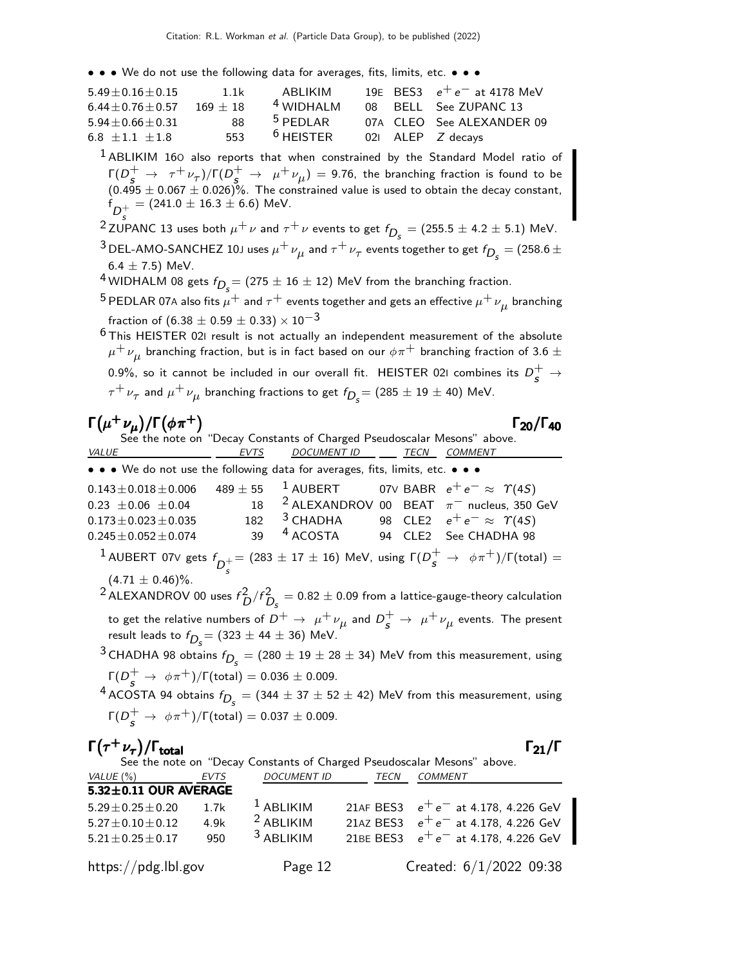• • • We do not use the following data for averages, fits, limits, etc. • • •

| $5.49 + 0.16 + 0.15$ | 1.1k       | ABI IKIM             |  | 19E BES3 $e^+e^-$ at 4178 MeV |
|----------------------|------------|----------------------|--|-------------------------------|
| $6.44 + 0.76 + 0.57$ | $169 + 18$ | <sup>4</sup> WIDHALM |  | 08 BELL See ZUPANC 13         |
| $5.94 + 0.66 + 0.31$ | 88         | $5$ PFDI AR          |  | 07A CLEO See ALEXANDER 09     |
| $6.8 + 1.1 + 1.8$    | 553        | $6$ HEISTER          |  | 021 ALEP Z decays             |

 $<sup>1</sup>$  ABLIKIM 160 also reports that when constrained by the Standard Model ratio of</sup>  $\Gamma(D_s^+ \to \tau^+ \nu_\tau)/\Gamma(D_s^+ \to \mu^+ \nu_\mu) = 9.76$ , the branching fraction is found to be  $(0.495 \pm 0.067 \pm 0.026)\%$ . The constrained value is used to obtain the decay constant,  ${\sf f}_{D_c^+}^{}=(241.0\pm16.3\pm6.6)\;$  MeV.

 $\frac{D_s}{2}$  ZUPANC 13 uses both  $\mu^+ \nu$  and  $\tau^+ \nu$  events to get  $f_{D_s} = (255.5 \pm 4.2 \pm 5.1)$  MeV.

 $^3$  DEL-AMO-SANCHEZ 10J uses  $\mu^+ \nu_\mu^{}$  and  $\tau^+ \nu_\tau^{}$  events together to get  $f_{D_{\cal S}}^{}=$  (258.6  $\pm$  $6.4 \pm 7.5$ ) MeV.

- $^4$ WIDHALM 08 gets  $f_{D_{\cal S}}^{} = (275 \pm 16 \pm 12)$  MeV from the branching fraction.
- $^5$  PEDLAR 07A also fits  $\mu^+$  and  $\tau^+$  events together and gets an effective  $\mu^+\,\nu_\mu^{}$  branching fraction of  $(6.38 \pm 0.59 \pm 0.33) \times 10^{-3}$

 $6$ This HEISTER 021 result is not actually an independent measurement of the absolute  $\mu^+\,\nu_{\mu}^{}$  branching fraction, but is in fact based on our  $\phi\pi^+$  branching fraction of 3.6  $\pm$ 0.9%, so it cannot be included in our overall fit. <code>HEISTER</code> 021 combines its  $D_{\cal S}^+ \to$  $\tau^+\,\nu_\tau$  and  $\mu^+\,\nu_\mu$  branching fractions to get  $f_{\displaystyle D_s}^{}$   $=$  (285  $\pm$  19  $\pm$  40) MeV.

#### $\Gamma(\mu^+\nu_\mu)/\Gamma(\phi\pi^+)$  Γ<sub>20</sub>/Γ<sub>40</sub>

Γ<sub>20</sub>/Γ<sub>40</sub>

See the note on "Decay Constants of Charged Pseudoscalar Mesons" above.<br>VALUE EVTS DOCUMENT ID TECN COMMENT <u>EVTS DOCUMENT ID TECN COMMENT</u> • • • We do not use the following data for averages, fits, limits, etc. • • •  $0.143 \pm 0.018 \pm 0.006$   $489 \pm 55$   $1$  AUBERT 07V BABR  $e^+ e^- \approx \Upsilon(45)$ <br>  $0.23 \pm 0.06 \pm 0.04$   $18$   $2$  ALEXANDROV 00 BEAT  $\pi^-$  nucleus, 350  $0.23 \pm 0.06 \pm 0.04$  18 <sup>2</sup> ALEXANDROV 00 BEAT  $\pi^-$  nucleus, 350 GeV<br>  $0.173 \pm 0.023 \pm 0.035$  182 <sup>3</sup> CHADHA 98 CLE2  $e^+ e^- \approx \gamma (45)$  $0.173 \pm 0.023 \pm 0.035$   $182$   $3$  CHADHA  $98$  CLE2  $e^+e^- \approx \gamma(4S)$ <br> $0.245 \pm 0.052 \pm 0.074$   $39$   $4$  ACOSTA  $94$  CLE2 See CHADHA 98 94 CLE2 See CHADHA 98  $^1$  AUBERT 07V gets  $f_{\overline{D}_{\varepsilon}^+}=(283\pm 17\pm 16)$  MeV, using  $\Gamma(D_{\bm{S}}^+\to \ \phi\pi^+)/\Gamma({\rm total})=1$  $(4.71 \pm 0.46)\%$ .  $^2$ ALEXANDROV 00 uses  $f_D^2/f_{D_S}^2 = 0.82 \pm 0.09$  from a lattice-gauge-theory calculation to get the relative numbers of  $D^+ \rightarrow \ \mu^+ \nu_{\mu}$  and  $D^+_{{\bm s}} \rightarrow \ \mu^+ \nu_{\mu}$  events. The present result leads to  $f_{D_{\!S}}^{}=(323\pm44\pm36)\,$  MeV.  $^3$ CHADHA 98 obtains  $f_{\displaystyle D_s^{}} = (280 \pm 19 \pm 28 \pm 34)$  MeV from this measurement, using  $\Gamma(D_s^+ \to \phi \pi^+)/\Gamma(\text{total}) = 0.036 \pm 0.009.$ 

 $^4$  ACOSTA 94 obtains  $f_{\displaystyle D_s^{}} = (344 \pm 37 \pm 52 \pm 42)$  MeV from this measurement, using  $\Gamma(D_s^+ \to \phi \pi^+)/\Gamma(\text{total}) = 0.037 \pm 0.009.$ 

| $\Gamma(\tau^+\nu_\tau)/\Gamma_{\rm total}$ |      |                    |      | $\Gamma_{21}/\Gamma$                                                    |
|---------------------------------------------|------|--------------------|------|-------------------------------------------------------------------------|
|                                             |      |                    |      | See the note on "Decay Constants of Charged Pseudoscalar Mesons" above. |
| VALUE (%)                                   | EVTS | <b>DOCUMENT ID</b> | TECN | COMMENT                                                                 |
| $5.32 \pm 0.11$ OUR AVERAGE                 |      |                    |      |                                                                         |
| $5.29 \pm 0.25 \pm 0.20$                    | 1.7k | $1$ ABLIKIM        |      | 21AF BES3 $e^+e^-$ at 4.178, 4.226 GeV                                  |
| $5.27 \pm 0.10 \pm 0.12$                    | 4.9k | $2$ ABLIKIM        |      | 21AZ BES3 $e^+e^-$ at 4.178, 4.226 GeV                                  |
| $5.21 \pm 0.25 \pm 0.17$                    | 950  | $3$ ABLIKIM        |      | 21BE BES3 $e^+e^-$ at 4.178, 4.226 GeV                                  |
| https://pdg.lbl.gov                         |      | Page 12            |      | Created: $6/1/2022$ 09:38                                               |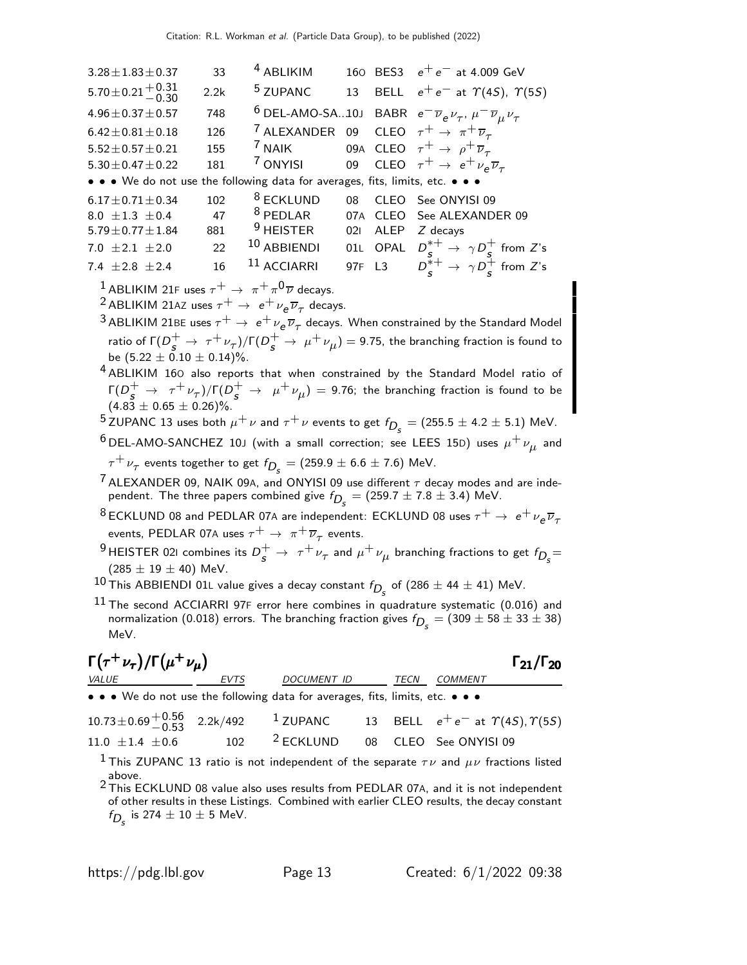| $3.28 \pm 1.83 \pm 0.37$                                                      | 33   | <sup>4</sup> ABLIKIM                                                            |        |             | 160 BES3 $e^+e^-$ at 4.009 GeV                                                                        |
|-------------------------------------------------------------------------------|------|---------------------------------------------------------------------------------|--------|-------------|-------------------------------------------------------------------------------------------------------|
| $5.70 \pm 0.21 \begin{array}{c} +0.31 \\ -0.30 \end{array}$                   | 2.2k | <sup>5</sup> ZUPANC                                                             |        |             | 13 BELL $e^+e^-$ at $\Upsilon(4S)$ , $\Upsilon(5S)$                                                   |
| $4.96 \pm 0.37 \pm 0.57$                                                      | 748  |                                                                                 |        |             | <sup>6</sup> DEL-AMO-SA10J BABR $e^- \overline{\nu}_e \nu_\tau$ , $\mu^- \overline{\nu}_\mu \nu_\tau$ |
| $6.42 \pm 0.81 \pm 0.18$                                                      | 126  | <sup>7</sup> ALEXANDER 09 CLEO $\tau^+ \rightarrow \pi^+ \overline{\nu}_{\tau}$ |        |             |                                                                                                       |
| $5.52 \pm 0.57 \pm 0.21$                                                      | 155  | <sup>7</sup> NAIK 09A CLEO $\tau^+ \rightarrow \rho^+ \overline{\nu}_{\tau}$    |        |             |                                                                                                       |
| $5.30 \pm 0.47 \pm 0.22$                                                      | 181  |                                                                                 |        |             | <sup>7</sup> ONYISI 09 CLEO $\tau^+ \rightarrow e^+ \nu_e \overline{\nu}_{\tau}$                      |
| • • • We do not use the following data for averages, fits, limits, etc. • • • |      |                                                                                 |        |             |                                                                                                       |
| $6.17 \pm 0.71 \pm 0.34$                                                      | 102  | <sup>8</sup> ECKLUND                                                            | 08     |             | CLEO See ONYISI 09                                                                                    |
| 8.0 $\pm$ 1.3 $\pm$ 0.4                                                       | 47   | <sup>8</sup> PEDLAR                                                             | 07A    | <b>CLEO</b> | See ALEXANDER 09                                                                                      |
| $5.79 \pm 0.77 \pm 1.84$                                                      | 881  | $9$ HEISTER                                                                     | 021    | <b>ALEP</b> | $Z$ decays                                                                                            |
| 7.0 $\pm 2.1 \pm 2.0$                                                         | 22   | <sup>10</sup> ABBIENDI                                                          |        |             | 01L OPAL $D_s^{*+} \rightarrow \gamma D_s^+$ from Z's                                                 |
|                                                                               |      |                                                                                 |        |             |                                                                                                       |
| 7.4 $\pm 2.8 \pm 2.4$                                                         | 16   | <sup>11</sup> ACCIARRI                                                          | 97F L3 |             | $D_{s}^{*+} \rightarrow \gamma D_{s}^{+}$ from Z's                                                    |

<sup>1</sup> ABLIKIM 21F uses  $\tau^+ \rightarrow \pi^+ \pi^0 \overline{\nu}$  decays.

<sup>2</sup> ABLIKIM 21AZ uses  $\tau^+ \to e^+ \nu_e \overline{\nu}_\tau$  decays.

 $^3$ ABLIKIM 21BE uses  $\tau^+ \to\ e^+\nu_{\rm e} \overline{\nu}_{\tau}$  decays. When constrained by the Standard Model ratio of  $\Gamma(D^+_{{\bm s}}\to~\tau^+\nu_\tau)/\Gamma(D^+_{{\bm s}}\to~\mu^+\nu_\mu) =$  9.75, the branching fraction is found to be  $(5.22 \pm 0.10 \pm 0.14)\%$ .

4 ABLIKIM 16<sup>O</sup> also reports that when constrained by the Standard Model ratio of  $\Gamma(D_{\cal S}^+\to~\tau^+\,\nu_\tau)/\Gamma(D_{\cal S}^+\to~\mu^+\,\nu_\mu)=$  9.76; the branching fraction is found to be  $(4.83 \pm 0.65 \pm 0.26)\%$ .

 $^5$ ZUPANC 13 uses both  $\mu^+ \nu$  and  $\tau^+ \nu$  events to get  $f_{D_s} = (255.5 \pm 4.2 \pm 5.1)$  MeV.

 $^6$ DEL-AMO-SANCHEZ 10J (with a small correction; see LEES 15D) uses  $\mu^+ \nu_{\mu}^{}$  and  $\tau^+ \nu_\tau^{}$  events together to get  $f_{\displaystyle D_s^{}} = (259.9 \pm 6.6 \pm 7.6)$  MeV.

 $7$  ALEXANDER 09, NAIK 09A, and ONYISI 09 use different  $\tau$  decay modes and are independent. The three papers combined give  $f_{\stackrel{\phantom{.}}{D_S}}=(259.7\pm 7.8\pm 3.4)$  MeV.

 $^8$ ECKLUND 08 and PEDLAR 07A are independent: ECKLUND 08 uses  $\tau^+ \rightarrow\ e^+ \nu_e \overline{\nu}_\tau$ events, <code>PEDLAR</code> 07A uses  $\tau^+ \rightarrow \pi^+ \overline{\nu}_\tau$  events.

<sup>9</sup> HEISTER 021 combines its  $D_s^+ \rightarrow \tau^+ \nu_\tau$  and  $\mu^+ \nu_\mu$  branching fractions to get  $f_{D_s} =$  $(285 \pm 19 \pm 40)$  MeV.

 $^{10}$  This ABBIENDI 01L value gives a decay constant  $f_{D_{\cal S}}$  of  $(286 \pm 44 \pm 41)$  MeV.

 $^{11}$  The second ACCIARRI 97F error here combines in quadrature systematic (0.016) and normalization (0.018) errors. The branching fraction gives  $f_{D_{\cal S}} = (309 \pm 58 \pm 33 \pm 38)$ MeV.

#### $\Gamma(\tau^+ \nu_{\tau}) / \Gamma(\mu^+ \nu_{\mu})$  Γ<sub>21</sub>/Γ<sub>20</sub>  $^{+}\nu_{\mu}$ ) Γ<sub>21</sub>/Γ<sub>20</sub> EVTS DOCUMENT ID TECN COMMENT

• • • We do not use the following data for averages, fits, limits, etc. • • •

|                        |                                                |  | 10.73 ± 0.69 $^{+0.56}_{-0.53}$ 2.2k/492 <sup>1</sup> ZUPANC 13 BELL $e^+e^-$ at $\Upsilon(4S)$ , $\Upsilon(5S)$ |
|------------------------|------------------------------------------------|--|------------------------------------------------------------------------------------------------------------------|
| $11.0 \pm 1.4 \pm 0.6$ | 102 <sup>2</sup> ECKLUND 08 CLEO See ONYISI 09 |  |                                                                                                                  |

<sup>1</sup> This ZUPANC 13 ratio is not independent of the separate  $\tau \nu$  and  $\mu \nu$  fractions listed

above.<br><sup>2</sup> This ECKLUND 08 value also uses results from PEDLAR 07A, and it is not independent of other results in these Listings. Combined with earlier CLEO results, the decay constant  $f_{D_s}$  is 274  $\pm$  10  $\pm$  5 MeV.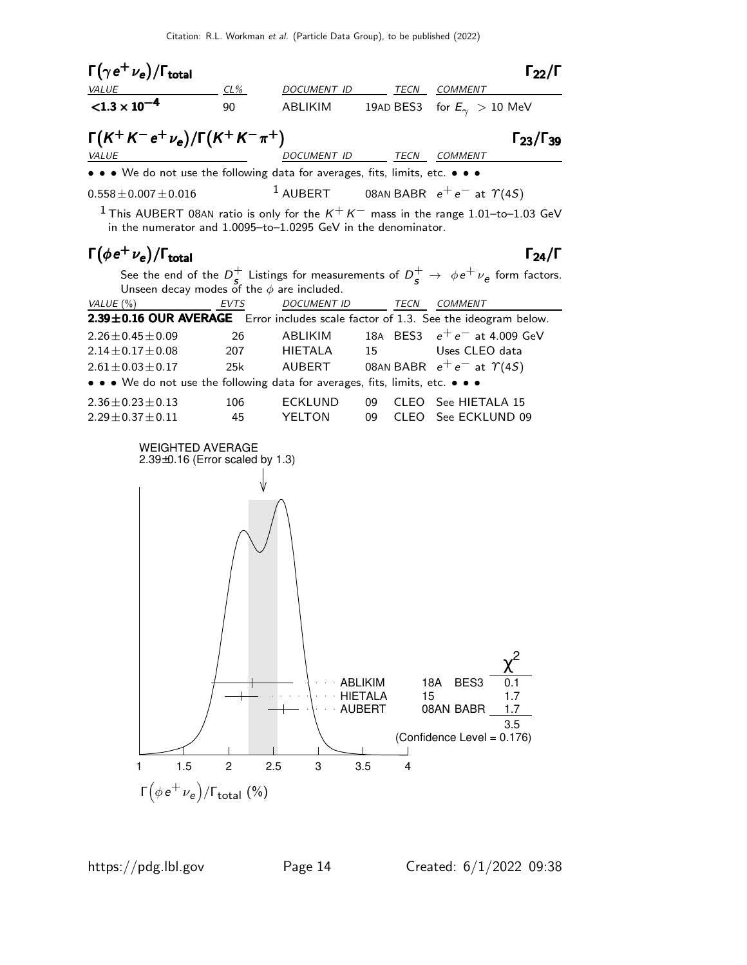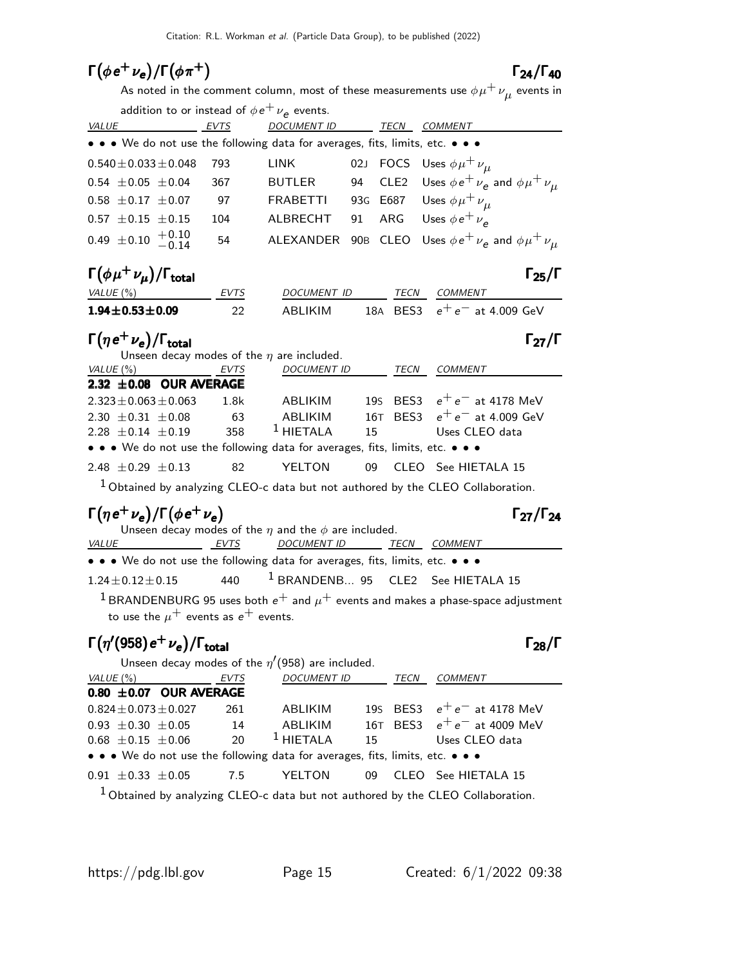### $\Gamma(\phi e^+ \nu_e)/\Gamma(\phi \pi^+)$  Γ<sub>24</sub>/Γ<sub>40</sub>

#### $\Gamma_{24}/\Gamma_{40}$

As noted in the comment column, most of these measurements use  $\phi\mu^+\,\nu_{\mu}^{}$  events in

| EVTS | <b>DOCUMENT ID</b> |                                                    | TECN | <b>COMMENT</b>                                                                                                                                                                     |
|------|--------------------|----------------------------------------------------|------|------------------------------------------------------------------------------------------------------------------------------------------------------------------------------------|
|      |                    |                                                    |      |                                                                                                                                                                                    |
| 793  | LINK               |                                                    |      | 02J FOCS Uses $\phi \mu^+ \nu_\mu$                                                                                                                                                 |
| 367  | <b>BUTLER</b>      |                                                    |      | 94 CLE2 Uses $\phi e^+ \nu_e$ and $\phi \mu^+ \nu_\mu$                                                                                                                             |
| 97   | <b>FRABETTI</b>    |                                                    |      | 93G E687 Uses $\phi \mu^+ \nu_\mu$                                                                                                                                                 |
| 104  | ALBRECHT           |                                                    |      |                                                                                                                                                                                    |
| 54   |                    |                                                    |      |                                                                                                                                                                                    |
|      |                    | addition to or instead of $\phi e^+ \nu_e$ events. |      | • • • We do not use the following data for averages, fits, limits, etc. • • •<br>91 ARG Uses $\phi e^+ \nu_e$<br>ALEXANDER 90B CLEO Uses $\phi e^+ \nu_e$ and $\phi \mu^+ \nu_\mu$ |

| $\Gamma(\phi\mu^+\nu_{\mu})/\Gamma_{\rm total}$ |             |             |      | $\Gamma_{25}/\Gamma$           |
|-------------------------------------------------|-------------|-------------|------|--------------------------------|
| VALUE (%)                                       | <b>EVTS</b> | DOCUMENT ID | TECN | COMMENT                        |
| $1.94 \pm 0.53 \pm 0.09$                        | 22          | ARI IKIM    |      | 18A BES3 $e^+e^-$ at 4.009 GeV |

#### $\Gamma(\eta e^+ \nu_e)/\Gamma_{\rm total}$  Γ<sub>27</sub>/Γ

|                             | Unseen decay modes of the $\eta$ are included. |                             |             |                                                                               |    |       |                                |  |  |
|-----------------------------|------------------------------------------------|-----------------------------|-------------|-------------------------------------------------------------------------------|----|-------|--------------------------------|--|--|
| VALUE (%)                   |                                                |                             | <i>EVTS</i> | <b>DOCUMENT ID</b>                                                            |    | TECN  | COMMENT                        |  |  |
|                             |                                                | 2.32 $\pm$ 0.08 OUR AVERAGE |             |                                                                               |    |       |                                |  |  |
| $2.323 \pm 0.063 \pm 0.063$ |                                                |                             | 1.8k        | ABLIKIM                                                                       |    |       | 195 BES3 $e^+e^-$ at 4178 MeV  |  |  |
| 2.30 $\pm$ 0.31 $\pm$ 0.08  |                                                |                             | 63          | ABLIKIM                                                                       |    |       | 16T BES3 $e^+e^-$ at 4.009 GeV |  |  |
| $2.28 \pm 0.14 \pm 0.19$    |                                                |                             | 358         | $1$ HIFTAI A                                                                  | 15 |       | Uses CLEO data                 |  |  |
|                             |                                                |                             |             | • • • We do not use the following data for averages, fits, limits, etc. • • • |    |       |                                |  |  |
| 2.48 $\pm$ 0.29 $\pm$ 0.13  |                                                |                             | 82          | YFI TON                                                                       | 09 | CLEO. | See HIETALA 15                 |  |  |

 $1$  Obtained by analyzing CLEO-c data but not authored by the CLEO Collaboration.

### $\Gamma(\eta e^+ \nu_e)/\Gamma(\phi e^+ \nu_e)$  Γ<sub>27</sub>/Γ<sub>24</sub>

Unseen decay modes of the  $\eta$  and the  $\phi$  are included.<br>VALUE EVTS DOCUMENT ID THE <u>EVTS DOCUMENT ID TECN COMMENT</u> • • • We do not use the following data for averages, fits, limits, etc. • • •  $1.24 \pm 0.12 \pm 0.15$  440  $1$  BRANDENB... 95 CLE2 See HIETALA 15

<sup>1</sup> BRANDENBURG 95 uses both  $e^+$  and  $\mu^+$  events and makes a phase-space adjustment to use the  $\mu^+$  events as  $e^+$  events.

#### $\Gamma(\eta^\prime(958) e^+ \nu_e)/\Gamma_{\rm total}$

|       |                                              |  | Unseen decay modes of the $\eta'(958)$ are included. |  |
|-------|----------------------------------------------|--|------------------------------------------------------|--|
| (0/3) | $\Gamma$ $\Gamma$ $\Gamma$ $\Gamma$ $\Gamma$ |  | DACIIIIFID                                           |  |

| VALUE (%) |                          | EVTS                         |     | <i>DOCUMENT ID</i>                                                            | TECN | <i>COMMENT</i>                |
|-----------|--------------------------|------------------------------|-----|-------------------------------------------------------------------------------|------|-------------------------------|
|           |                          | $0.80 \pm 0.07$ OUR AVERAGE  |     |                                                                               |      |                               |
|           |                          | $0.824 \pm 0.073 \pm 0.027$  | 261 | ABLIKIM                                                                       |      | 195 BES3 $e^+e^-$ at 4178 MeV |
|           |                          | $0.93 \pm 0.30 \pm 0.05$     | 14  | ABLIKIM                                                                       |      | 16T BES3 $e^+e^-$ at 4009 MeV |
|           | $0.68 \pm 0.15 \pm 0.06$ |                              | 20  | $1$ HIETALA                                                                   |      | 15 Uses CLEO data             |
|           |                          |                              |     | • • • We do not use the following data for averages, fits, limits, etc. • • • |      |                               |
|           |                          | $0.91 \pm 0.33 \pm 0.05$ 7.5 |     | YELTON                                                                        |      | 09 CLEO See HIETALA 15        |
|           |                          |                              |     |                                                                               |      |                               |

<sup>1</sup> Obtained by analyzing CLEO-c data but not authored by the CLEO Collaboration.

Γ27/Γ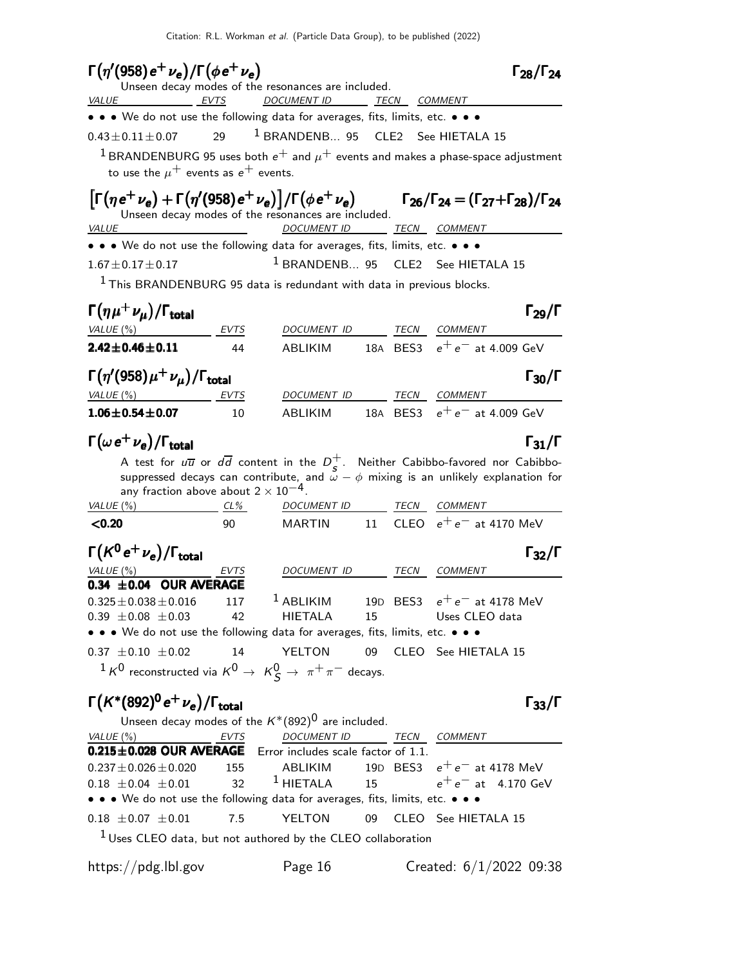| $\Gamma(\eta'(958) e^+ \nu_e)/\Gamma(\phi e^+ \nu_e)$                                                                                |                                               |                                                      |    |      | $\Gamma_{28}/\Gamma_{24}$                                                                                                                                                                                  |
|--------------------------------------------------------------------------------------------------------------------------------------|-----------------------------------------------|------------------------------------------------------|----|------|------------------------------------------------------------------------------------------------------------------------------------------------------------------------------------------------------------|
|                                                                                                                                      |                                               | Unseen decay modes of the resonances are included.   |    |      |                                                                                                                                                                                                            |
| <b>VALUE</b><br>EVTS                                                                                                                 |                                               | DOCUMENT ID ______ TECN ___ COMMENT                  |    |      |                                                                                                                                                                                                            |
| • • • We do not use the following data for averages, fits, limits, etc. • • •                                                        |                                               |                                                      |    |      |                                                                                                                                                                                                            |
| $0.43 \pm 0.11 \pm 0.07$                                                                                                             | 29                                            | <sup>1</sup> BRANDENB 95 CLE2 See HIETALA 15         |    |      |                                                                                                                                                                                                            |
|                                                                                                                                      |                                               |                                                      |    |      | $^1$ BRANDENBURG 95 uses both $e^+$ and $\mu^+$ events and makes a phase-space adjustment                                                                                                                  |
| to use the $\mu^+$ events as $e^+$ events.                                                                                           |                                               |                                                      |    |      |                                                                                                                                                                                                            |
|                                                                                                                                      |                                               | Unseen decay modes of the resonances are included.   |    |      | $\left[\Gamma(\eta e^{+}\nu_{e}) + \Gamma(\eta'(958)e^{+}\nu_{e})\right] / \Gamma(\phi e^{+}\nu_{e})$ $\Gamma_{26}/\Gamma_{24} = (\Gamma_{27} + \Gamma_{28}) / \Gamma_{24}$                                |
| <i>VALUE</i>                                                                                                                         |                                               | <b>DOCUMENT ID</b>                                   |    |      | TECN COMMENT                                                                                                                                                                                               |
| • • • We do not use the following data for averages, fits, limits, etc. • • •                                                        |                                               |                                                      |    |      |                                                                                                                                                                                                            |
| $1.67 \pm 0.17 \pm 0.17$                                                                                                             |                                               |                                                      |    |      | <sup>1</sup> BRANDENB 95 CLE2 See HIETALA 15                                                                                                                                                               |
| $1$ This BRANDENBURG 95 data is redundant with data in previous blocks.                                                              |                                               |                                                      |    |      |                                                                                                                                                                                                            |
|                                                                                                                                      |                                               |                                                      |    |      |                                                                                                                                                                                                            |
| $\Gamma(\eta\mu^+\nu_{\mu})/\Gamma_{\rm total}$                                                                                      |                                               |                                                      |    |      | $\Gamma_{29}/\Gamma$                                                                                                                                                                                       |
| VALUE (%)                                                                                                                            | EVTS                                          | DOCUMENT ID TECN COMMENT                             |    |      |                                                                                                                                                                                                            |
| $2.42 \pm 0.46 \pm 0.11$                                                                                                             | 44                                            | ABLIKIM                                              |    |      | 18A BES3 $e^+e^-$ at 4.009 GeV                                                                                                                                                                             |
|                                                                                                                                      |                                               |                                                      |    |      |                                                                                                                                                                                                            |
| $\Gamma(\eta'(958)\mu^+\nu_\mu)/\Gamma_{\rm total}$                                                                                  |                                               |                                                      |    |      | $\Gamma_{30}/\Gamma$                                                                                                                                                                                       |
| VALUE(%)                                                                                                                             | EVTS                                          | DOCUMENT ID TECN COMMENT                             |    |      | ABLIKIM 18A BES3 $e^+e^-$ at 4.009 GeV                                                                                                                                                                     |
| $1.06 \pm 0.54 \pm 0.07$                                                                                                             | 10                                            |                                                      |    |      |                                                                                                                                                                                                            |
| $\Gamma(\omega e^+ \nu_e)/\Gamma_{\rm total}$                                                                                        |                                               |                                                      |    |      | $\Gamma_{31}/\Gamma$                                                                                                                                                                                       |
|                                                                                                                                      |                                               |                                                      |    |      |                                                                                                                                                                                                            |
|                                                                                                                                      |                                               |                                                      |    |      | A test for $u\overline{u}$ or $d\overline{d}$ content in the $D^+_s$ . Neither Cabibbo-favored nor Cabibbo-<br>suppressed decays can contribute, and $\omega - \phi$ mixing is an unlikely explanation for |
|                                                                                                                                      | any fraction above about $2 \times 10^{-4}$ . |                                                      |    |      |                                                                                                                                                                                                            |
| VALUE $(\%)$                                                                                                                         | $CL\%$                                        | DOCUMENT ID TECN COMMENT                             |    |      |                                                                                                                                                                                                            |
| < 0.20                                                                                                                               | 90                                            | <b>MARTIN</b>                                        | 11 |      | CLEO $e^+e^-$ at 4170 MeV                                                                                                                                                                                  |
| $\Gamma(K^0\,e^+\,\nu_e)/\Gamma_{\rm total}$                                                                                         |                                               |                                                      |    |      | $\Gamma_{32}/\Gamma$                                                                                                                                                                                       |
| VALUE (%)                                                                                                                            | EVTS                                          | DOCUMENT ID TECN COMMENT                             |    |      |                                                                                                                                                                                                            |
| 0.34 $\pm$ 0.04 OUR AVERAGE                                                                                                          |                                               |                                                      |    |      |                                                                                                                                                                                                            |
| $0.325 \pm 0.038 \pm 0.016$                                                                                                          | 117                                           | $1$ ABLIKIM                                          |    |      | 19D BES3 $e^+e^-$ at 4178 MeV                                                                                                                                                                              |
| $0.39 \pm 0.08 \pm 0.03$                                                                                                             | 42                                            | <b>HIETALA</b>                                       | 15 |      | Uses CLEO data                                                                                                                                                                                             |
| $\bullet\,\bullet\,\bullet\,$ We do not use the following data for averages, fits, limits, etc. $\bullet\,\bullet\,\bullet\,\bullet$ |                                               |                                                      |    |      |                                                                                                                                                                                                            |
| $0.37 \pm 0.10 \pm 0.02$                                                                                                             | 14                                            | YELTON                                               | 09 |      | CLEO See HIETALA 15                                                                                                                                                                                        |
| $1 \, \kappa^0$ reconstructed via $\kappa^0 \rightarrow \ \kappa^0_S \rightarrow \pi^+ \pi^-$ decays.                                |                                               |                                                      |    |      |                                                                                                                                                                                                            |
| $\Gamma(K^*(892)^0 e^+ \nu_e)/\Gamma_{\rm total}$                                                                                    |                                               |                                                      |    |      | $\Gamma_{33}/\Gamma$                                                                                                                                                                                       |
|                                                                                                                                      |                                               | Unseen decay modes of the $K^*(892)^0$ are included. |    |      |                                                                                                                                                                                                            |
| VALUE (%)                                                                                                                            | EVTS                                          | <b>DOCUMENT ID</b>                                   |    | TECN | <b>COMMENT</b>                                                                                                                                                                                             |
| 0.215±0.028 OUR AVERAGE Error includes scale factor of 1.1.                                                                          |                                               |                                                      |    |      |                                                                                                                                                                                                            |
| $0.237 \pm 0.026 \pm 0.020$                                                                                                          | 155                                           | ABLIKIM                                              |    |      | 19D BES3 $e^+e^-$ at 4178 MeV                                                                                                                                                                              |
| $0.18 \pm 0.04 \pm 0.01$<br>• • • We do not use the following data for averages, fits, limits, etc. • • •                            | 32                                            | $^1$ HIETALA                                         | 15 |      | $e^+ \, e^-$ at $\,$ 4.170 GeV                                                                                                                                                                             |
|                                                                                                                                      |                                               |                                                      |    |      |                                                                                                                                                                                                            |
| $0.18 \pm 0.07 \pm 0.01$                                                                                                             | 7.5                                           | YELTON                                               | 09 |      | CLEO See HIETALA 15                                                                                                                                                                                        |
| $1$ Uses CLEO data, but not authored by the CLEO collaboration                                                                       |                                               |                                                      |    |      |                                                                                                                                                                                                            |
|                                                                                                                                      |                                               |                                                      |    |      |                                                                                                                                                                                                            |

 $\overline{\phantom{a}}$ 

https://pdg.lbl.gov Page 16 Created: 6/1/2022 09:38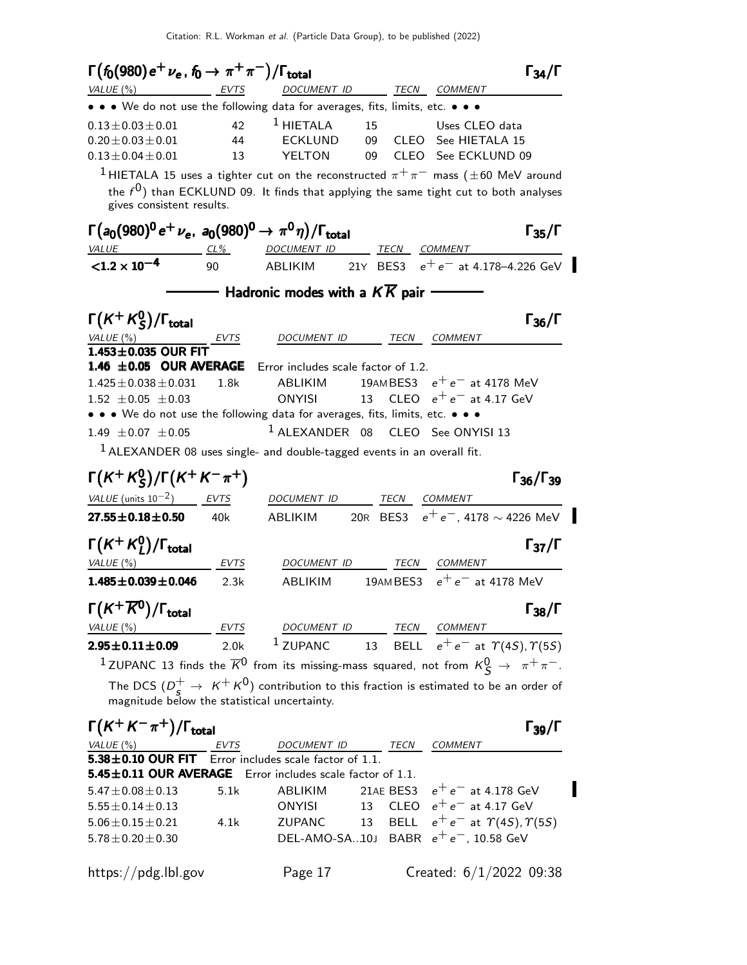| $\Gamma(f_0(980) e^+ \nu_e, f_0 \rightarrow \pi^+ \pi^-)/\Gamma_{\text{total}}$                                                          |                  |                                                                                                    |           |                                                     | $\Gamma_{34}/\Gamma$                     |
|------------------------------------------------------------------------------------------------------------------------------------------|------------------|----------------------------------------------------------------------------------------------------|-----------|-----------------------------------------------------|------------------------------------------|
| $VALUE(%)$ EVTS                                                                                                                          |                  | DOCUMENT ID TECN COMMENT                                                                           |           |                                                     |                                          |
| • • • We do not use the following data for averages, fits, limits, etc. • • •                                                            |                  |                                                                                                    |           |                                                     |                                          |
| $0.13 \pm 0.03 \pm 0.01$                                                                                                                 | 42               | $1$ HIETALA                                                                                        | 15        | Uses CLEO data                                      |                                          |
| $0.20 \pm 0.03 \pm 0.01$                                                                                                                 | 44               | ECKLUND                                                                                            | 09        | CLEO See HIETALA 15                                 |                                          |
| $0.13 \pm 0.04 \pm 0.01$                                                                                                                 | 13               | YELTON                                                                                             |           | 09 CLEO See ECKLUND 09                              |                                          |
| <sup>1</sup> HIETALA 15 uses a tighter cut on the reconstructed $\pi^{+}\pi^{-}$ mass ( $\pm$ 60 MeV around<br>gives consistent results. |                  | the $f^0$ ) than ECKLUND 09. It finds that applying the same tight cut to both analyses            |           |                                                     |                                          |
| $\Gamma(a_0(980)^0 e^+ \nu_e$ , $a_0(980)^0 \to \pi^0 \eta$ )/ $\Gamma_{\text{total}}$                                                   |                  | DOCUMENT ID TECN COMMENT                                                                           |           |                                                     | $\Gamma_{35}/\Gamma$                     |
| $VALUE CL%$<br>$< 1.2 \times 10^{-4}$                                                                                                    | 90               | <b>ABLIKIM</b>                                                                                     |           |                                                     | 21Y BES3 $e^+e^-$ at 4.178-4.226 GeV     |
|                                                                                                                                          |                  |                                                                                                    |           |                                                     |                                          |
|                                                                                                                                          |                  |                                                                                                    |           |                                                     |                                          |
| $\Gamma(K^+K^0_S)/\Gamma_{\rm total}$                                                                                                    |                  | DOCUMENT ID                                                                                        |           | TECN COMMENT                                        | $\Gamma_{36}/\Gamma$                     |
| VALUE $(\%)$<br>$1.453\pm0.035$ OUR FIT                                                                                                  | $-$ EVTS         |                                                                                                    |           |                                                     |                                          |
| 1.46 $\pm$ 0.05 OUR AVERAGE                                                                                                              |                  | Error includes scale factor of 1.2.                                                                |           |                                                     |                                          |
| $1.425 \pm 0.038 \pm 0.031$                                                                                                              | 1.8k             | ABLIKIM                                                                                            |           | 19AMBES3 $e^+e^-$ at 4178 MeV                       |                                          |
| $1.52 \pm 0.05 \pm 0.03$                                                                                                                 |                  | <b>ONYISI</b>                                                                                      |           | 13 CLEO $e^+e^-$ at 4.17 GeV                        |                                          |
| • • • We do not use the following data for averages, fits, limits, etc. • • •                                                            |                  |                                                                                                    |           |                                                     |                                          |
| 1.49 $\pm 0.07 \pm 0.05$                                                                                                                 |                  | <sup>1</sup> ALEXANDER 08 CLEO See ONYISI 13                                                       |           |                                                     |                                          |
| <sup>1</sup> ALEXANDER 08 uses single- and double-tagged events in an overall fit.                                                       |                  |                                                                                                    |           |                                                     |                                          |
|                                                                                                                                          |                  |                                                                                                    |           |                                                     |                                          |
| $\Gamma(K^+K^0_S)/\Gamma(K^+K^-\pi^+)$                                                                                                   |                  |                                                                                                    |           |                                                     | $\Gamma_{36}/\Gamma_{39}$                |
| $VALUE$ (units $10^{-2}$ ) EVTS                                                                                                          |                  | DOCUMENT ID TECN COMMENT                                                                           |           |                                                     |                                          |
| $27.55 \pm 0.18 \pm 0.50$                                                                                                                | 40k              | ABLIKIM                                                                                            |           |                                                     | 20R BES3 $e^+e^-$ , 4178 $\sim$ 4226 MeV |
| $\Gamma(K^+K^0_I)/\Gamma_{\rm total}$                                                                                                    |                  |                                                                                                    |           |                                                     | $\Gamma_{37}/\Gamma$                     |
| VALUE (%)                                                                                                                                | EVTS             | DOCUMENT ID                                                                                        |           | TECN COMMENT                                        |                                          |
| $1.485 \pm 0.039 \pm 0.046$                                                                                                              | 2.3k             | <b>ABLIKIM</b>                                                                                     |           | 19AMBES3 $e^+e^-$ at 4178 MeV                       |                                          |
|                                                                                                                                          |                  |                                                                                                    |           |                                                     |                                          |
| $\Gamma(K^+\overline{K^0})/\Gamma_{\rm total}$                                                                                           |                  |                                                                                                    |           |                                                     | $\Gamma_{38}/\Gamma$                     |
| VALUE $(\%)$                                                                                                                             | <b>EVTS</b>      | DOCUMENT ID TECN COMMENT                                                                           |           |                                                     |                                          |
| $2.95 \pm 0.11 \pm 0.09$                                                                                                                 | 2.0 <sub>k</sub> | <sup>1</sup> ZUPANC 13 BELL $e^+e^-$ at $\Upsilon(4S)$ , $\Upsilon(5S)$                            |           |                                                     |                                          |
| <sup>1</sup> ZUPANC 13 finds the $\overline{K}^0$ from its missing-mass squared, not from $K^0_S \rightarrow \pi^+ \pi^-$ .              |                  |                                                                                                    |           |                                                     |                                          |
|                                                                                                                                          |                  | The DCS $(D_s^+ \rightarrow K^+ K^0)$ contribution to this fraction is estimated to be an order of |           |                                                     |                                          |
| magnitude below the statistical uncertainty.                                                                                             |                  |                                                                                                    |           |                                                     |                                          |
| $\Gamma(K^+K^-\pi^+)/\Gamma_{\text{total}}$                                                                                              |                  |                                                                                                    |           |                                                     | $\Gamma_{39}/\Gamma$                     |
| VALUE $(\%)$                                                                                                                             | EVTS             | DOCUMENT ID TECN COMMENT                                                                           |           |                                                     |                                          |
| $5.38\pm0.10$ OUR FIT                                                                                                                    |                  | Error includes scale factor of 1.1.                                                                |           |                                                     |                                          |
| 5.45 ±0.11 OUR AVERAGE Error includes scale factor of 1.1.                                                                               |                  |                                                                                                    |           |                                                     |                                          |
| $5.47 \pm 0.08 \pm 0.13$                                                                                                                 | 5.1k             | ABLIKIM                                                                                            | 21AE BES3 | $\rm e^+ \, e^-$ at 4.178 GeV                       |                                          |
| $5.55 \pm 0.14 \pm 0.13$                                                                                                                 |                  | ONYISI                                                                                             | 13        | CLEO $e^+e^-$ at 4.17 GeV                           |                                          |
| $5.06 \pm 0.15 \pm 0.21$                                                                                                                 | 4.1k             | ZUPANC                                                                                             |           | 13 BELL $e^+e^-$ at $\Upsilon(4S)$ , $\Upsilon(5S)$ |                                          |
| $5.78 \pm 0.20 \pm 0.30$                                                                                                                 |                  | DEL-AMO-SA10J BABR $e^+e^-$ , 10.58 GeV                                                            |           |                                                     |                                          |
|                                                                                                                                          |                  |                                                                                                    |           |                                                     |                                          |
| https://pdg.lbl.gov                                                                                                                      |                  | Page 17                                                                                            |           | Created: $6/1/2022$ 09:38                           |                                          |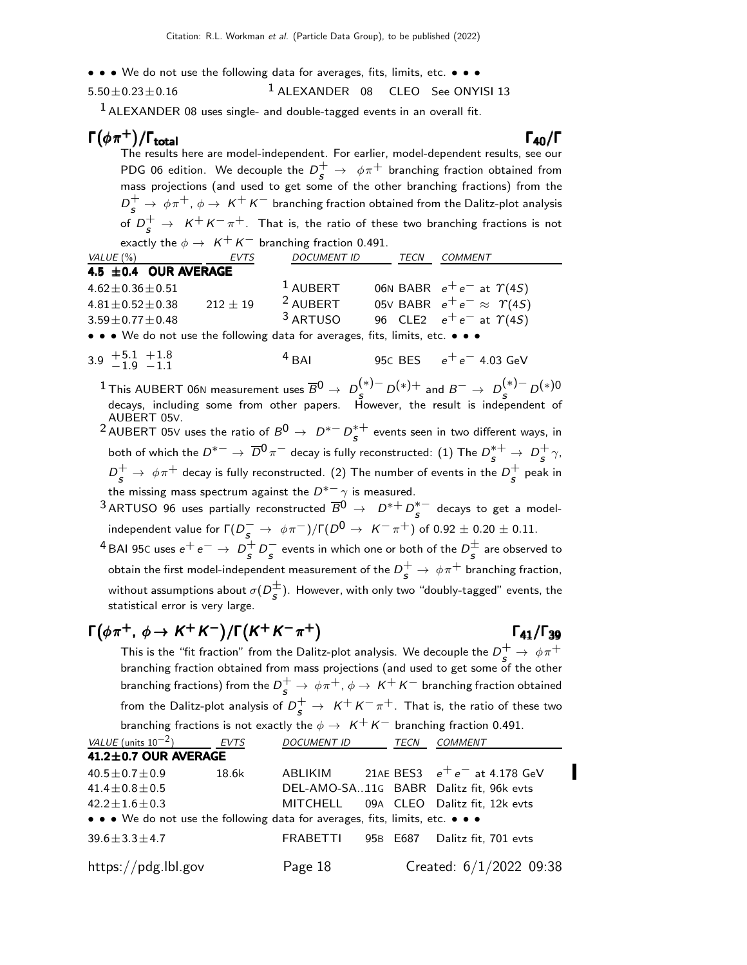• • • We do not use the following data for averages, fits, limits, etc. • • •

 $5.50\pm0.23\pm0.16$  1 ALEXANDER 08 CLEO See ONYISI 13

 $1$  ALEXANDER 08 uses single- and double-tagged events in an overall fit.

#### $\Gamma(\phi \pi^+)$ Γ $(\phi \, \pi^+)$ /Γ<sub>total</sub> Γαρχιάνδης του Καρατινό της Γαρ

The results here are model-independent. For earlier, model-dependent results, see our PDG 06 edition. We decouple the  $D_s^+ \rightarrow \phi \pi^+$  branching fraction obtained from mass projections (and used to get some of the other branching fractions) from the  $D_{\cal S}^+\to\phi\pi^+$ ,  $\phi\to\,K^+K^-$  branching fraction obtained from the Dalitz-plot analysis of  $D_{\bm{s}}^+ \rightarrow \ \mathcal{K}^+ \mathcal{K}^- \pi^+.$  That is, the ratio of these two branching fractions is not exactly the  $\phi \rightarrow K^+ K^-$  branching fraction 0.491.

| VALUE (%)                                                                     | EVTS         | <b>DOCUMENT ID</b>  | TECN | <b>COMMENT</b>                         |
|-------------------------------------------------------------------------------|--------------|---------------------|------|----------------------------------------|
| 4.5 ±0.4 OUR AVERAGE                                                          |              |                     |      |                                        |
| $4.62 \pm 0.36 \pm 0.51$                                                      |              | $1$ AUBERT          |      | 06N BABR $e^+e^-$ at $\Upsilon(4S)$    |
| $4.81 \pm 0.52 \pm 0.38$                                                      | $212 \pm 19$ | <sup>2</sup> AUBERT |      | 05V BABR $e^+e^- \approx \Upsilon(45)$ |
| $3.59 \pm 0.77 \pm 0.48$                                                      |              | <sup>3</sup> ARTUSO |      | 96 CLE2 $e^+e^-$ at $\Upsilon(4S)$     |
| • • • We do not use the following data for averages, fits, limits, etc. • • • |              |                     |      |                                        |

 $3.9 \tfrac{+5.1}{-1.9}$  $-1.9$  $+1.8$  $-1.1$  $4$  BAI 95C BES  $e^+e^-$  4.03 GeV

 $1$  This AUBERT 06N measurement uses  $\overline{B}^0$  →  $D_{\cal S}^{(*)-}$   $D^{(*)+}$  and  $B^-\to D_{\cal S}^{(*)-}$   $D^{(*)0-}$ decays, including some from other papers. However, the result is independent of AUBERT 05V.

<sup>2</sup> AUBERT 05∨ uses the ratio of  $B^0 \rightarrow D^{*-} D^{*+}_S$  events seen in two different ways, in both of which the  $D^{*-}\to\,\overline{D}{}^0\,\pi^-$  decay is fully reconstructed:  $(1)$  The  $D^{*+}_S\to\, D^+_S$  $\frac{+}{s}$   $\gamma$ ,  $D_{\cal S}^+ \rightarrow \ \phi \pi^+$  decay is fully reconstructed. (2) The number of events in the  $D_{\cal S}^+$  $\frac{1}{s}$  peak in the missing mass spectrum against the  $D^{*-}\gamma$  is measured.

 $^3$ ARTUSO 96 uses partially reconstructed  $\overline{B}{}^0\to~D^{*+}D^{*-}_{\bm{s}}$  decays to get a modelindependent value for  $\Gamma(D_\mathcal{S}^- \to \phi\pi^-)/\Gamma(D^0 \to \, \, \mathsf{K}^-\pi^+)$  of  $0.92\pm0.20\pm0.11.$ 

<sup>4</sup> BAI 95C uses  $e^+e^- \rightarrow D_s^+$  $\frac{+}{s}$   $D_s^-$  events in which one or both of the  $D_s^{\pm}$  are observed to obtain the first model-independent measurement of the  $D_{\bm{s}}^+ \rightarrow \, \phi \pi^+$  branching fraction, without assumptions about  $\sigma(D_s^{\pm})$ . However, with only two "doubly-tagged" events, the statistical error is very large.

#### $\Gamma(\phi \pi^+, \phi \to K^+ K^-)/\Gamma(K^+ K^- \pi^+)$   $\Gamma_{41}/\Gamma_{39}$

Γ41/Γ

This is the "fit fraction" from the Dalitz-plot analysis. We decouple the  $D^+_s\rightarrow~\phi\pi^+$ branching fraction obtained from mass projections (and used to get some of the other branching fractions) from the  $D^+_{{\bm s}} \to \, \phi \pi^+, \phi \to \, \mathcal{K}^+ \, \mathcal{K}^-$  branching fraction obtained from the Dalitz-plot analysis of  $D_{\bm{s}}^+ \rightarrow~\kappa^+ \kappa^- \pi^+.$  That is, the ratio of these two branching fractions is not exactly the  $\phi \rightarrow \ K^+ \ K^-$  branching fraction 0.491.

| VALUE (units $10^{-2}$ )                                                                                              | <b>EVTS</b> | <b>DOCUMENT ID</b> | TECN     | COMMENT                                 |
|-----------------------------------------------------------------------------------------------------------------------|-------------|--------------------|----------|-----------------------------------------|
| 41.2±0.7 OUR AVERAGE                                                                                                  |             |                    |          |                                         |
| $40.5 \pm 0.7 \pm 0.9$                                                                                                | 18.6k       | ABLIKIM            |          | 21AE BES3 $e^+e^-$ at 4.178 GeV         |
| $41.4 \pm 0.8 \pm 0.5$                                                                                                |             |                    |          | DEL-AMO-SA11G BABR Dalitz fit, 96k evts |
| $42.2 \pm 1.6 \pm 0.3$                                                                                                |             |                    |          | MITCHELL 09A CLEO Dalitz fit, 12k evts  |
| $\bullet \bullet \bullet$ We do not use the following data for averages, fits, limits, etc. $\bullet \bullet \bullet$ |             |                    |          |                                         |
| $39.6 \pm 3.3 \pm 4.7$                                                                                                |             | <b>FRABETTI</b>    | 95B E687 | Dalitz fit, 701 evts                    |
| $\frac{h}{\text{https://pdg.lbl.gov}}$                                                                                |             | Page 18            |          | Created: $6/1/2022$ 09:38               |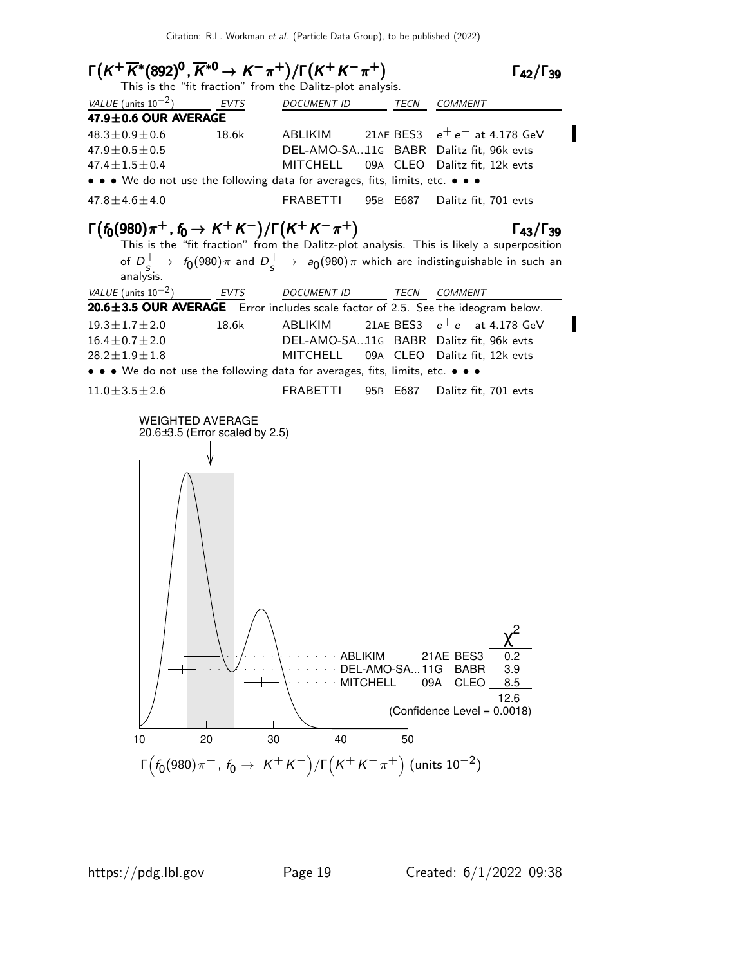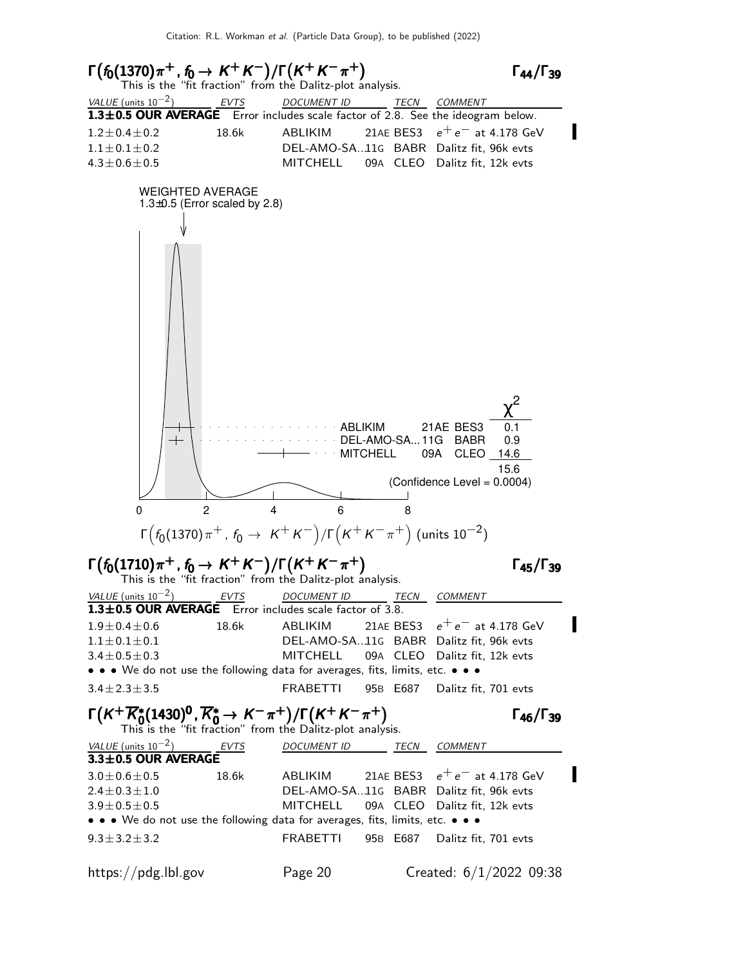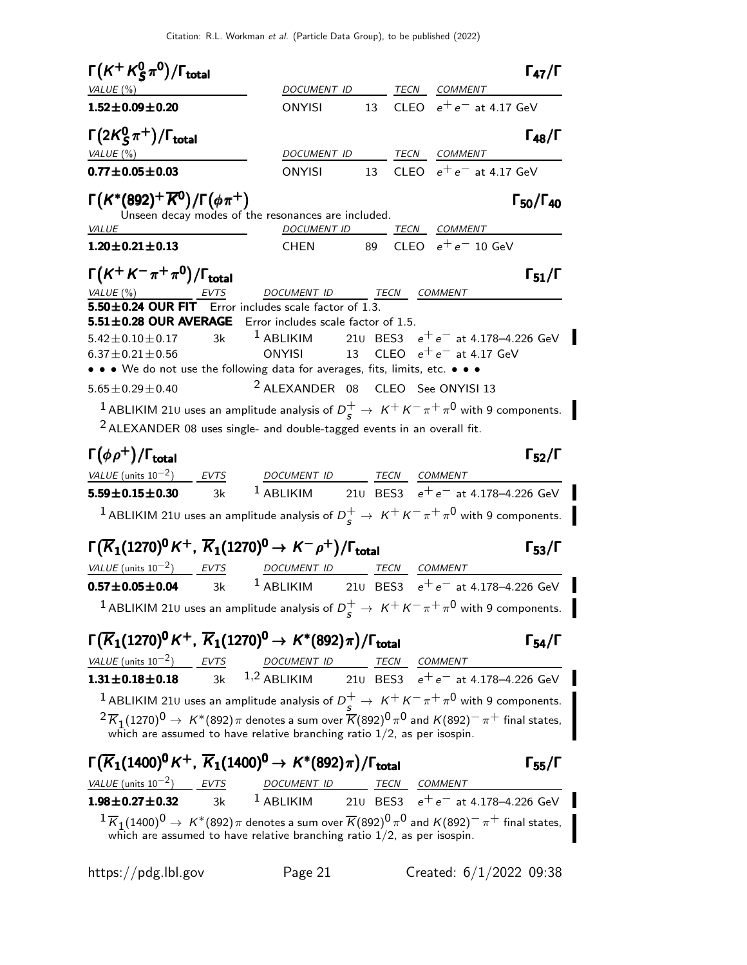Citation: R.L. Workman et al. (Particle Data Group), to be published (2022)

| $\Gamma(K^+K^0_S\pi^0)/\Gamma_{\rm total}$<br>VALUE(%)        |                                                                                                                                                                                                      |  | $\Gamma_{47}/\Gamma$<br>DOCUMENT ID TECN COMMENT                                                                                                                                                                                                                                                                      |
|---------------------------------------------------------------|------------------------------------------------------------------------------------------------------------------------------------------------------------------------------------------------------|--|-----------------------------------------------------------------------------------------------------------------------------------------------------------------------------------------------------------------------------------------------------------------------------------------------------------------------|
| $1.52 \pm 0.09 \pm 0.20$                                      | <b>ONYISI</b>                                                                                                                                                                                        |  | 13 CLEO $e^+e^-$ at 4.17 GeV                                                                                                                                                                                                                                                                                          |
| $\Gamma(2K_S^0\pi^+)/\Gamma_{\rm total}$<br>VALUE(%)          |                                                                                                                                                                                                      |  | $\Gamma_{48}/\Gamma$<br>DOCUMENT ID TECN COMMENT                                                                                                                                                                                                                                                                      |
| $0.77 \pm 0.05 \pm 0.03$                                      | ONYISI                                                                                                                                                                                               |  | 13 CLEO $e^+e^-$ at 4.17 GeV                                                                                                                                                                                                                                                                                          |
| $\Gamma(K^*(892)^+\overline{K^0})/\Gamma(\phi\pi^+)$<br>VALUE | Unseen decay modes of the resonances are included.                                                                                                                                                   |  | $\Gamma_{50}/\Gamma_{40}$<br>DOCUMENT ID TECN COMMENT                                                                                                                                                                                                                                                                 |
| $1.20 \pm 0.21 \pm 0.13$                                      | CHEN 89                                                                                                                                                                                              |  | CLEO $e^+e^-$ 10 GeV                                                                                                                                                                                                                                                                                                  |
| $\Gamma(K^+K^-\pi^+\pi^0)/\Gamma_{\rm total}$                 | VALUE (%) EVTS DOCUMENT ID TECN COMMENT<br>$5.50 \pm 0.24$ OUR FIT Error includes scale factor of 1.3.                                                                                               |  | $\Gamma_{51}/\Gamma$                                                                                                                                                                                                                                                                                                  |
| $6.37 \pm 0.21 \pm 0.56$<br>$5.65 \pm 0.29 \pm 0.40$          | 5.51±0.28 OUR AVERAGE Error includes scale factor of 1.5.<br>ONYISI<br>• • • We do not use the following data for averages, fits, limits, etc. • • •<br><sup>2</sup> ALEXANDER 08 CLEO See ONYISI 13 |  | $5.42 \pm 0.10 \pm 0.17$ 3k <sup>1</sup> ABLIKIM 210 BES3 $e^+e^-$ at 4.178-4.226 GeV<br>13 $CLEO e^+e^-$ at 4.17 GeV                                                                                                                                                                                                 |
|                                                               | $2$ ALEXANDER 08 uses single- and double-tagged events in an overall fit.                                                                                                                            |  | <sup>1</sup> ABLIKIM 21 $\cup$ uses an amplitude analysis of $D_s^+ \rightarrow K^+K^-\pi^+\pi^0$ with 9 components.                                                                                                                                                                                                  |
| $\Gamma(\phi \rho^+) / \Gamma_{\text{total}}$                 |                                                                                                                                                                                                      |  | $\Gamma_{52}/\Gamma$                                                                                                                                                                                                                                                                                                  |
|                                                               |                                                                                                                                                                                                      |  | $\frac{VALUE \text{ (units 10}^{-2})}{1.59 \pm 0.15 \pm 0.30}$ $\frac{EVTS}{3k}$ $\frac{DOCUMENT \text{ } ID}{1.4BLIKIM}$ $\frac{TECN}{210}$ $\frac{COMMENT}{BES3}$ $e^+e^-$ at 4.178-4.226 GeV                                                                                                                       |
|                                                               |                                                                                                                                                                                                      |  |                                                                                                                                                                                                                                                                                                                       |
|                                                               |                                                                                                                                                                                                      |  | <sup>1</sup> ABLIKIM 210 uses an amplitude analysis of $D_s^+ \rightarrow K^+K^-\pi^+\pi^0$ with 9 components.                                                                                                                                                                                                        |
|                                                               | $\Gamma(\overline{K}_1(1270)^0 K^+, \overline{K}_1(1270)^0 \to K^- \rho^+)/\Gamma_{\rm total}$                                                                                                       |  | $\Gamma_{53}/\Gamma$                                                                                                                                                                                                                                                                                                  |
|                                                               | $VALU E (units 10^{-2})$ EVTS DOCUMENT ID TECN COMMENT                                                                                                                                               |  |                                                                                                                                                                                                                                                                                                                       |
|                                                               |                                                                                                                                                                                                      |  | <b>0.57±0.05±0.04</b> 3k <sup>1</sup> ABLIKIM 21∪ BES3 $e^+e^-$ at 4.178–4.226 GeV                                                                                                                                                                                                                                    |
|                                                               |                                                                                                                                                                                                      |  | <sup>1</sup> ABLIKIM 210 uses an amplitude analysis of $D_s^+ \rightarrow K^+ K^- \pi^+ \pi^0$ with 9 components.                                                                                                                                                                                                     |
|                                                               | $\Gamma(\overline{K}_1(1270)^0 K^+, \ \overline{K}_1(1270)^0 \to K^*(892)\pi)/\Gamma_{\text{total}}$                                                                                                 |  | $\Gamma_{54}/\Gamma$                                                                                                                                                                                                                                                                                                  |
|                                                               |                                                                                                                                                                                                      |  |                                                                                                                                                                                                                                                                                                                       |
|                                                               |                                                                                                                                                                                                      |  | $\frac{VALUE \text{ (units 10}^{-2})}{1.31 \pm 0.18 \pm 0.18}$ $\frac{EVTS}{3k}$ $\frac{DOC \text{ MENT ID}}{1.2 \text{ ABLIKIM}}$ $\frac{TECN}{210}$ $\frac{COMMENT}{BES3}$ $e^+e^-$ at 4.178-4.226 GeV                                                                                                              |
|                                                               |                                                                                                                                                                                                      |  | <sup>1</sup> ABLIKIM 210 uses an amplitude analysis of $D_s^+ \rightarrow K^+K^-\pi^+\pi^0$ with 9 components.                                                                                                                                                                                                        |
|                                                               | which are assumed to have relative branching ratio $1/2$ , as per isospin.                                                                                                                           |  | $2\overline{K}_1(1270)^0 \to K^*(892)\pi$ denotes a sum over $\overline{K}(892)^0\pi^0$ and $K(892)^-\pi^+$ final states,                                                                                                                                                                                             |
|                                                               | $\Gamma(\overline{K}_1(1400)^0 K^+, \ \overline{K}_1(1400)^0 \to K^*(892)\pi)/\Gamma_{\rm total}$<br>$\frac{VALUE}{VALUE}$ (units 10 <sup>-2</sup> ) EVTS DOCUMENT ID TECN COMMENT                   |  | $\Gamma_{55}/\Gamma$                                                                                                                                                                                                                                                                                                  |
|                                                               |                                                                                                                                                                                                      |  | $\frac{VALUE \text{ (units 10}^{-2})}{1.98 \pm 0.27 \pm 0.32}$ $\frac{EVTS}{3k}$ $\frac{DOC \text{ MENT ID}}{1.98 \pm 0.27 \pm 0.32}$ $\frac{EVTS}{1.98 \pm 0.27 \pm 0.32}$ $\frac{1}{1.98 \pm 0.27 \pm 0.32}$ $\frac{1}{1.98 \pm 0.27 \pm 0.32}$ $\frac{1}{1.98 \pm 0.27 \pm 0.32}$ $\frac{1}{1.98 \pm 0.27 \pm 0.3$ |
|                                                               | which are assumed to have relative branching ratio $1/2$ , as per isospin.                                                                                                                           |  | $1\overline{K}_1(1400)^0 \to K^*(892)\pi$ denotes a sum over $\overline{K}(892)^0\pi^0$ and $K(892)^-\pi^+$ final states,                                                                                                                                                                                             |

https://pdg.lbl.gov Page 21 Created: 6/1/2022 09:38

 $\blacksquare$ 

 $\blacksquare$ 

 $\blacksquare$ 

Ī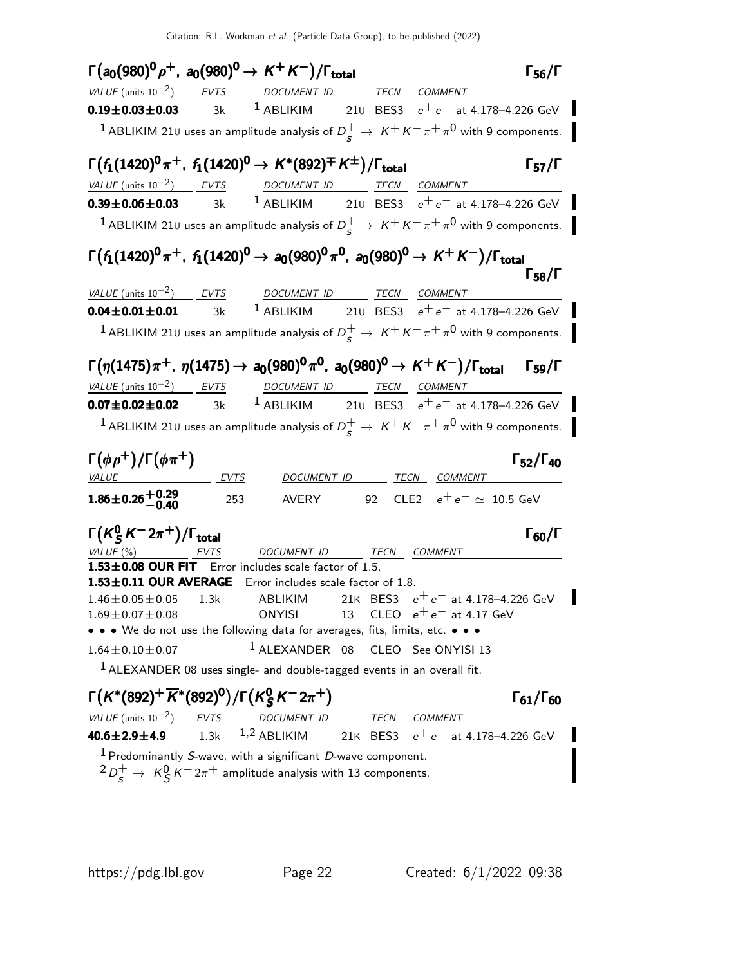| $\Gamma(a_0(980)^0 \rho^+, a_0(980)^0 \to K^+ K^-)/\Gamma_{\rm total}$                                                                                                                                 |     |                                                                           |    |                                                                                                                                                             | $\Gamma_{56}/\Gamma$      |
|--------------------------------------------------------------------------------------------------------------------------------------------------------------------------------------------------------|-----|---------------------------------------------------------------------------|----|-------------------------------------------------------------------------------------------------------------------------------------------------------------|---------------------------|
| $VALUE$ (units $10^{-2}$ ) EVTS DOCUMENT ID TECN COMMENT                                                                                                                                               |     |                                                                           |    |                                                                                                                                                             |                           |
| <b>0.19±0.03±0.03</b> 3k <sup>1</sup> ABLIKIM 21∪ BES3 $e^+e^-$ at 4.178-4.226 GeV                                                                                                                     |     |                                                                           |    |                                                                                                                                                             |                           |
|                                                                                                                                                                                                        |     |                                                                           |    | <sup>1</sup> ABLIKIM 210 uses an amplitude analysis of $D_s^+ \rightarrow K^+ K^- \pi^+ \pi^0$ with 9 components.                                           |                           |
| $\Gamma(f_1(1420)^0 \pi^+, f_1(1420)^0 \to K^*(892)^{\mp} K^{\pm})/\Gamma_{\text{total}}$                                                                                                              |     |                                                                           |    |                                                                                                                                                             | $\Gamma_{57}/\Gamma$      |
| $\frac{VALUE \text{ (units 10}^{-2})}{0.39 \pm 0.06 \pm 0.03}$ $\frac{EVTS}{3k}$ $\frac{DOCUMENT \text{ ID}}{1 \text{ ABLIKIM}}$ $\frac{TECN}{210}$ $\frac{COMMENT}{BES3}$ $e^+e^-$ at 4.178-4.226 GeV |     |                                                                           |    |                                                                                                                                                             |                           |
|                                                                                                                                                                                                        |     |                                                                           |    |                                                                                                                                                             |                           |
|                                                                                                                                                                                                        |     |                                                                           |    | <sup>1</sup> ABLIKIM 210 uses an amplitude analysis of $D_s^+ \rightarrow K^+K^-\pi^+\pi^0$ with 9 components.                                              |                           |
| $\Gamma(f_1(1420)^0 \pi^+, f_1(1420)^0 \to a_0(980)^0 \pi^0, a_0(980)^0 \to K^+K^-)/\Gamma_{\text{total}}$                                                                                             |     |                                                                           |    |                                                                                                                                                             | $\Gamma_{58}/\Gamma$      |
| $VALU E$ (units 10 <sup>-2</sup> ) EVTS DOCUMENT ID TECN COMMENT                                                                                                                                       |     |                                                                           |    |                                                                                                                                                             |                           |
| <b>0.04±0.01±0.01</b> 3k <sup>1</sup> ABLIKIM 21∪ BES3 $e^+e^-$ at 4.178-4.226 GeV                                                                                                                     |     |                                                                           |    |                                                                                                                                                             |                           |
|                                                                                                                                                                                                        |     |                                                                           |    | $^{-1}$ ABLIKIM 21 $\scriptstyle\rm U$ uses an amplitude analysis of $D_s^+ \rightarrow \ \scriptstyle K^+ \scriptstyle K^- \pi^+ \pi^0$ with 9 components. |                           |
| $\Gamma(\eta(1475)\pi^+$ , $\eta(1475) \to a_0(980)^0\pi^0$ , $a_0(980)^0 \to K^+K^-)/\Gamma_{\text{total}}$ $\Gamma_{59}/\Gamma$                                                                      |     |                                                                           |    |                                                                                                                                                             |                           |
| $VALUE$ (units $10^{-2}$ ) EVTS DOCUMENT ID TECN COMMENT                                                                                                                                               |     |                                                                           |    |                                                                                                                                                             |                           |
| <b>0.07±0.02±0.02</b> 3k <sup>1</sup> ABLIKIM 21∪ BES3 $e^+e^-$ at 4.178–4.226 GeV                                                                                                                     |     |                                                                           |    |                                                                                                                                                             |                           |
|                                                                                                                                                                                                        |     |                                                                           |    | $^1$ ABLIKIM 210 uses an amplitude analysis of $D_s^+ \rightarrow K^+K^-\pi^+\pi^0$ with 9 components.                                                      |                           |
| $\Gamma(\phi \rho^+) / \Gamma(\phi \pi^+)$<br><u>VALUE</u> FOR EVTS DOCUMENT ID TECN COMMENT                                                                                                           |     |                                                                           |    |                                                                                                                                                             | $\Gamma_{52}/\Gamma_{40}$ |
| $1.86 \pm 0.26 \begin{array}{c} +0.29 \\ -0.40 \end{array}$                                                                                                                                            | 253 |                                                                           |    | AVERY 92 CLE2 $e^+e^- \simeq 10.5$ GeV                                                                                                                      |                           |
| $\Gamma(K_S^0 K^- 2\pi^+)/\Gamma_{\rm total}$<br>VALUE (%) EVTS                                                                                                                                        |     | DOCUMENT ID TECN COMMENT                                                  |    |                                                                                                                                                             | $\Gamma_{60}/\Gamma$      |
| 1.53±0.08 OUR FIT Error includes scale factor of 1.5.                                                                                                                                                  |     |                                                                           |    |                                                                                                                                                             |                           |
| 1.53±0.11 OUR AVERAGE Error includes scale factor of 1.8.                                                                                                                                              |     |                                                                           |    | ABLIKIM 21K BES3 $e^+e^-$ at 4.178–4.226 GeV                                                                                                                |                           |
| $1.46 \pm 0.05 \pm 0.05$ 1.3k<br>$1.69 \pm 0.07 \pm 0.08$                                                                                                                                              |     | <b>ONYISI</b>                                                             | 13 | CLEO $e^+e^-$ at 4.17 GeV                                                                                                                                   |                           |
| • • We do not use the following data for averages, fits, limits, etc. • • •                                                                                                                            |     |                                                                           |    |                                                                                                                                                             |                           |
| $1.64 \pm 0.10 \pm 0.07$                                                                                                                                                                               |     | <sup>1</sup> ALEXANDER 08 CLEO See ONYISI 13                              |    |                                                                                                                                                             |                           |
|                                                                                                                                                                                                        |     | $1$ ALEXANDER 08 uses single- and double-tagged events in an overall fit. |    |                                                                                                                                                             |                           |
| $\Gamma(K^*(892)^+\overline{K}^*(892)^0)/\Gamma(K_S^0K^-2\pi^+)$                                                                                                                                       |     |                                                                           |    |                                                                                                                                                             | $\Gamma_{61}/\Gamma_{60}$ |

VALUE (units  $10^{-2}$ ) ) EVTS DOCUMENT ID TECN COMMENT **40.6±2.9±4.9** 1.3k <sup>1,2</sup> ABLIKIM 21K BES3  $e^+e^-$  at 4.178–4.226 GeV  $^{\rm 1}$  Predominantly *S*-wave, with a significant *D*-wave component.  $^{2}D_{S}^{+} \rightarrow~\mathcal{K}_{S}^{0}\, \mathcal{K}^{-}$  2 $\pi^{+}$  amplitude analysis with 13 components.

 $\blacksquare$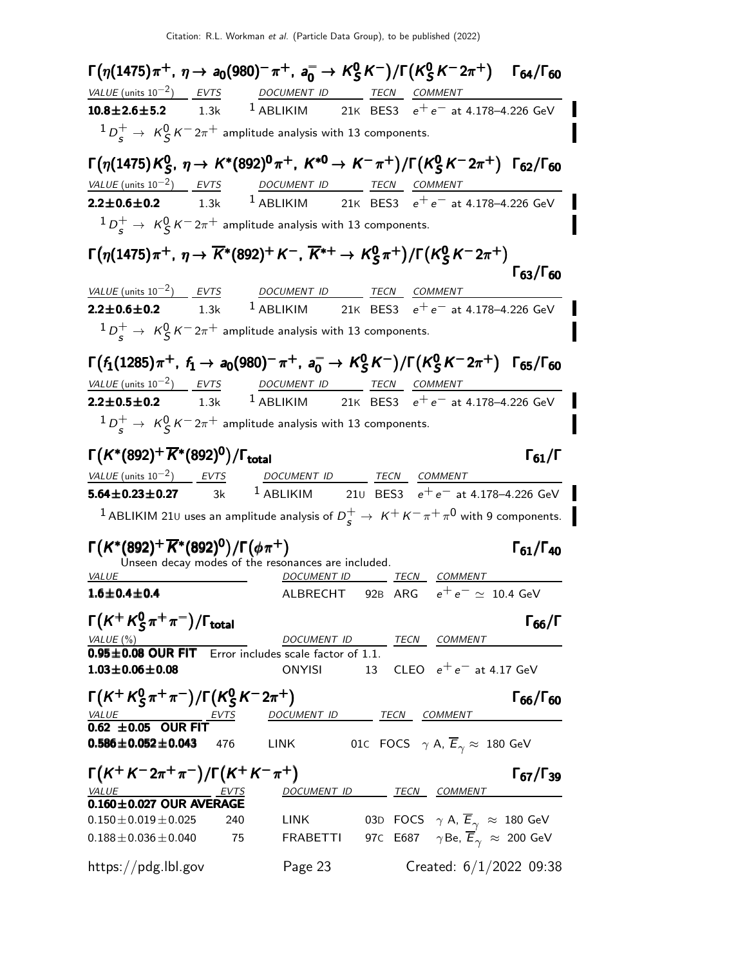$Γ(η(1475)π<sup>+</sup>, η→ a<sub>0</sub>(980)<sup>−</sup>π<sup>+</sup>, a<sub>0</sub><sup>−</sup> → K<sub>S</sub><sup>0</sup>$  $_{\mathsf{S}}^{0}\mathsf{K}^{-})/\mathsf{\Gamma}(\mathsf{K}_{\mathsf{S}}^{0}% (\mathsf{S})\mathsf{K}^{3})$  $\Gamma(\eta(1475)\pi^+$ ,  $\eta \to a_0(980)^- \pi^+$ ,  $a_0^- \to K_S^0 K^-$ )/ $\Gamma(K_S^0 K^- 2\pi^+)$  Γ<sub>64</sub>/Γ<sub>60</sub> Γ64/Γ VALUE (units 10<sup>-2</sup>) EVTS DOCUMENT ID TECN COMMENT **10.8±2.6±5.2** 1.3k <sup>1</sup> ABLIKIM 21K BES3  $e^+e^-$  at 4.178–4.226 GeV  ${}^1D^+_s\rightarrow~{\rm K}^0_S\,{\rm K}^-2\pi^+$  amplitude analysis with 13 components. Γ $(\eta(1$ 475) $\kappa_\varsigma^0$  $^0_S$ ,  $\eta \rightarrow K^*(892)^0 \pi^+, K^{*0} \rightarrow K^- \pi^+) / \Gamma(K^0_S)$  $\Gamma(\eta(1475)K^0_S, \eta \to K^*(892)^0 \pi^+, K^{*0} \to K^-\pi^+)/\Gamma(K^0_S K^-2\pi^+)$  Γ<sub>62</sub>/Γ<sub>60</sub>  $^0_S$ ,  $\eta \rightarrow K^*(892)^0 \pi^+, K^{*0} \rightarrow K^- \pi^+) / \Gamma(K^0_S)$  $\Gamma(\eta(1475)K^0_S,~\eta\rightarrow K^*(892)^0\pi^+,~K^{*0}\rightarrow K^-\pi^+)/\Gamma(K^0_S\,K^-2\pi^+)$  Γ<sub>62</sub>/Γ<sub>60</sub> VALUE (units 10<sup>-2</sup>) EVTS DOCUMENT ID TECN COMMENT **2.2±0.6±0.2** 1.3k <sup>1</sup> ABLIKIM 21K BES3  $e^+e^-$  at 4.178–4.226 GeV  ${}^1D^+_s\rightarrow~{\rm K}^0_S\,{\rm K}^-2\pi^+$  amplitude analysis with 13 components. Γ $(\eta(1475)\pi^+$ ,  $\eta \rightarrow \overline{K}$ \*(892) $^+$  K $^-$ ,  $\overline{K}{}^{\ast+}$   $\rightarrow$  K $^0_S$  $_5^{0}\pi^+)$ /Γ(Κ $_5^{0}$ Γ(η(1475)π<sup>+</sup>, η →  $\overline{K}^*(892)^+$  Κ $^-$ ,  $\overline{K}^{*+}$  →  $\overline{K}^0_S$ π<sup>+</sup>)/Γ( $\overline{K}^S$  Κ $^-$ 2π<sup>+</sup>)<br>Γ<sub>63</sub>/Γ<sub>60</sub> Γ<sub>63</sub>/Γ<sub>60</sub>  $VALUE (units 10<sup>-2</sup>)$  EVTS DOCUMENT ID TECN COMMENT</u> **2.2±0.6±0.2** 1.3k <sup>1</sup> ABLIKIM 21K BES3  $e^+e^-$  at 4.178–4.226 GeV  ${}^1D^+_s\rightarrow~{\rm K}^0_S\,{\rm K}^-2\pi^+$  amplitude analysis with 13 components.  $Γ(f_1(1285)π^+, f_1 → a_0(980)^- π^+, a_0^- → K_S^0$  $^0_S$ K $^-)$ /Γ(K $^0_S$  $\Gamma(f_1(1285) \pi^+$ ,  $f_1 \to a_0(980)^- \pi^+$ ,  $a_0^- \to K_S^0 K^-)/\Gamma(K_S^0 K^- 2\pi^+)$  Γ<sub>65</sub>/Γ<sub>60</sub> VALUE (units  $10^{-2}$ ) EVTS DOCUMENT ID TECN COMMENT **2.2±0.5±0.2** 1.3k <sup>1</sup> ABLIKIM 21K BES3  $e^+e^-$  at 4.178–4.226 GeV  ${}^1D^+_s\rightarrow~{\rm K}^0_S\,{\rm K}^-2\pi^+$  amplitude analysis with 13 components. Γ $(K^*(892)^+ \overline{K}^*(892)^0)/\Gamma_{\rm total}$ Γ $_{61}/\Gamma$ VALUE (units  $10^{-2}$ ) EVTS DOCUMENT ID TECN COMMENT **5.64±0.23±0.27** 3k <sup>1</sup> ABLIKIM 21∪ BES3  $e^+e^-$  at 4.178–4.226 GeV  $^1$  ABLIKIM 21 $\scriptstyle\rm U$  uses an amplitude analysis of  $D_S^+ \rightarrow \ \kappa^+ \, \kappa^- \, \pi^+ \, \pi^0$  with 9 components.  $\Gamma(K^*(892)^+\overline{K}^*(892)^0)/\Gamma(\phi\pi^+)$  Γ<sub>61</sub>/Γ<sub>40</sub>  $\Gamma_{61}/\Gamma_{40}$ Unseen decay modes of the resonances are included.<br>VALUE DOCUMENT ID DOCUMENT ID TECN COMMENT **1.6±0.4±0.4** ALBRECHT 92B ARG  $e^+e^- \simeq 10.4$  GeV Γ $(\mathsf{K}^{+}\mathsf{K}^{0}_{S}$  $\Gamma(K^+ K^0_S \pi^+ \pi^-)/\Gamma_{\text{total}}$  Γ<sub>66</sub>/Γ  $\Gamma(K + K_S^0 \pi^+ \pi^-)/\Gamma_{\text{total}}$  Γ<sub>66</sub>/Γ DOCUMENT ID TECN COMMENT  $0.95\pm0.08$  OUR FIT Error includes scale factor of 1.1.<br> $1.03\pm0.06\pm0.08$  ONYISI 13  $CLEOe^+e^-$  at 4.17 GeV Γ $(\mathsf{K}^+\mathsf{K}^0_\mathsf{S}$  $_S^0 \pi^+ \pi^-)/\mathsf{\Gamma}({\mathcal{K}}_{S}^{0})$  $\Gamma(K^+ K^0_S \pi^+ \pi^-)/\Gamma(K^0_S K^- 2\pi^+)$  Γ<sub>66</sub>/Γ<sub>60</sub> Г<sub>66</sub>/Г<sub>60</sub> DOCUMENT ID TECN COMMENT  $\overline{0.62 \pm 0.05}$  OUR FIT<br>0.586±0.052±0.043 476 LINK 01C FOCS  $\gamma$  A,  $\overline{E}_{\gamma} \approx 180$  GeV  $\Gamma(K^+K^-2\pi^+\pi^-)/\Gamma(K^+K^-\pi^+)$  Γ67/Γ39 DOCUMENT ID TECN COMMENT 0.160 $\pm$ 0.027 OUR AVERAGE<br>0.150 $\pm$ 0.019 $\pm$ 0.025 240  $0.150 \pm 0.019 \pm 0.025$  240 LINK 03D FOCS  $\gamma$  A,  $\overline{E}_{\gamma} \approx 180$  GeV<br> $0.188 \pm 0.036 \pm 0.040$  75 FRABETTI 97C E687  $\gamma$  Be,  $\overline{E}_{\gamma} \approx 200$  GeV 97C E687  $\gamma$ Be,  $\overline{E}_{\gamma}$   $\approx$  200 GeV https://pdg.lbl.gov Page 23 Created: 6/1/2022 09:38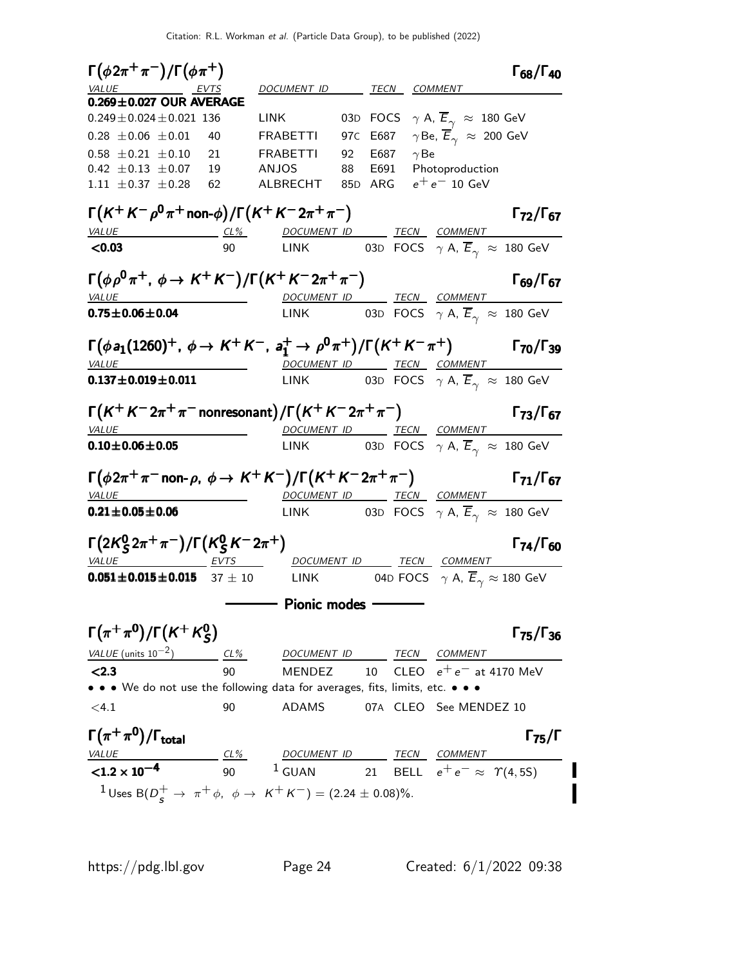$\Gamma(\phi 2\pi^+\pi^-)/\Gamma(\phi \pi^+)$  Γ<sub>68</sub>/Γ<sub>40</sub>  $\Gamma_{68}/\Gamma_{40}$ DOCUMENT ID TECN COMMENT **0.269±0.027 OUR AVERAGE** 0.249±0.024±0.021 136 LINK 03D FOCS  $\gamma$  A,  $\overline{E}_{\gamma} \approx 180$  GeV 0.28  $\pm$  0.06  $\pm$  0.01 40 FRABETTI 97C E687  $\gamma$ Be,  $\overline{E}_{\gamma} \approx 200$  GeV<br>0.58  $\pm$  0.21  $\pm$  0.10 21 FRABETTI 92 E687  $\gamma$ Be  $0.58 \pm 0.21 \pm 0.10$  21 FRABETTI<br> $0.42 \pm 0.13 \pm 0.07$  19 ANJOS 0.42  $\pm$  0.13  $\pm$  0.07 19 ANJOS 88 E691 Photoproduction<br>1.11  $\pm$  0.37  $\pm$  0.28 62 ALBRECHT 85D ARG  $e^+e^-$  10 GeV  $185D$  ARG  $e^+e^-$  10 GeV  $\Gamma(K^+K^-\rho^0\pi^+$ non- $\phi)/\Gamma(K^+K^-2\pi^+\pi^-)$  Γ<sub>72</sub>/Γ<sub>67</sub> VALUE CL% DOCUMENT ID TECN COMMENT **<0.03** 90 LINK 03D FOCS  $\gamma$  A,  $\overline{E}_{\gamma} \approx 180$  GeV  $\Gamma(\phi\rho^0\pi^+$ ,  $\phi \to K^+K^-)/\Gamma(K^+K^-2\pi^+\pi^-)$  Γ<sub>69</sub>/Γ<sub>67</sub> VALUE **DOCUMENT ID TECN COMMENT 0.75** $\pm$ **0.06** $\pm$ **0.04** LINK 03D FOCS  $\,\gamma$  A,  $\mathsf{E}_{\gamma}^{\phantom{\dagger}}\approx\,$  180 GeV  $Γ(φa_1(1260)^+, φ → K<sup>+</sup>K<sup>-</sup>, a<sub>1</sub><sup>+</sup> → ρ<sup>0</sup>π<sup>+</sup>)/Γ(K<sup>+</sup>K<sup>-</sup>π<sup>+</sup>)$  Γ<sub>70</sub>/Γ<sub>39</sub> VALUE DOCUMENT ID TECN COMMENT  ${\bf 0.137}\pm{\bf 0.019}\pm{\bf 0.011}$  LINK to the focs  $\gamma$  a,  $E_\gamma$   $\approx$  180 GeV  $\Gamma\bigl(\mathcal{K}^+\,\mathcal{K}^-2\pi^+\,\pi^-$ nonresonant $\bigr)/\Gamma\bigl(\mathcal{K}^+\,\mathcal{K}^-2\pi^+\,\pi^-\bigr)$  Γ<sub>73</sub>/Γ<sub>67</sub> VALUE DOCUMENT ID TECN COMMENT  ${\bf 0.10{\pm}0.06{\pm}0.05}$  LINK to the observation of the  $\gamma$  A,  $E_\gamma$   $\approx$  180 GeV  $\Gamma(\phi 2\pi^+\pi^-$ non- $\rho$ ,  $\phi \to K^+K^-)/\Gamma(K^+K^-2\pi^+\pi^-)$   $\qquad \qquad$   $\Gamma_{71}/\Gamma_{67}$  $\Gamma_{71}/\Gamma_{67}$ VALUE DOCUMENT ID TECN COMMENT **0.21** $\pm$ **0.05** $\pm$ **0.06** LINK 03D FOCS  $\gamma$  A,  $E_\gamma$   $\approx$  180 GeV Γ $(2K^0_S$  $^0_\mathsf{S}$ 2π $^+\pi^-)/\mathsf{\Gamma}(\mathcal{K}^0_\mathsf{S}$  $\Gamma(2K_S^0 2\pi^+ \pi^-)/\Gamma(K_S^0 K^- 2\pi^+)$  Γ<sub>74</sub>/Γ<sub>60</sub> VALUE EVTS DOCUMENT ID TECN COMMENT **0.051±0.015±0.015** 37 ± 10 LINK 04D FOCS  $\gamma$  A,  $\overline{E}_{\gamma} \approx 180$  GeV  $-$  Pionic modes  $-$ Γ $(\pi^+\pi^0)/$ Γ $(\mathcal{K}^+\mathcal{K}^0_S)$ Γ(π<sup>+</sup> π<sup>0</sup>)/Γ(Κ<sup>+</sup> Κ<sup>0</sup><sub>S</sub>) Γ<sub>75</sub>/Γ<sub>36</sub>  $\Gamma$ <sub>75</sub>/ $\Gamma$ <sub>36</sub> VALUE (units  $10^{-2}$ ) CL% DOCUMENT ID TECN COMMENT  $\le$ 2.3 90 MENDEZ 10 CLEO  $e^+e^-$  at 4170 MeV • • • We do not use the following data for averages, fits, limits, etc. • • • <4.1 90 ADAMS 07A CLEO See MENDEZ 10  $\Gamma(\pi^+\pi^0)$ Γ $(\pi^+\pi^0)$ /Γ<sub>total</sub> Γ  $\Gamma_{75}/\Gamma$ VALUE CL% DOCUMENT ID TECN COMMENT  $< 1.2 \times 10^{-4}$ 90 <sup>1</sup> GUAN 21 BELL  $e^+e^- \approx \Upsilon(4, 5S)$  $1 \text{ Uses } B(D^+_s \to \pi^+ \phi, \phi \to K^+ K^-) = (2.24 \pm 0.08)\%.$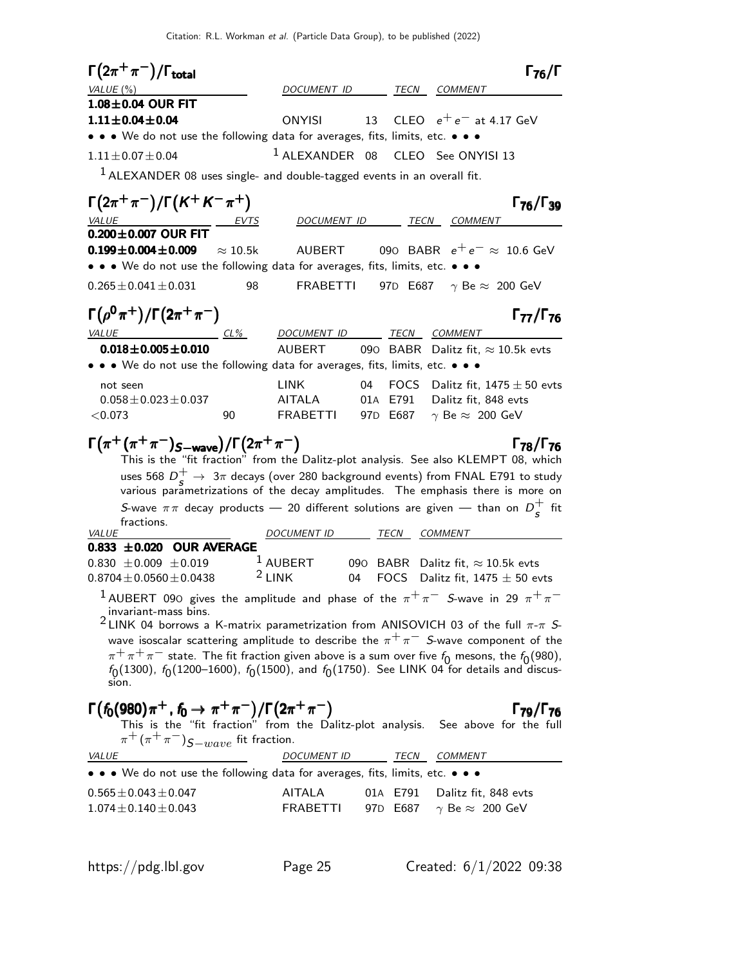| $\Gamma(2\pi^+\pi^-)/\Gamma_{\rm total}$                                                                                                                                                                                                                                                                                                                                                                                                            |                               |             | $\Gamma_{76}/\Gamma$                                                             |
|-----------------------------------------------------------------------------------------------------------------------------------------------------------------------------------------------------------------------------------------------------------------------------------------------------------------------------------------------------------------------------------------------------------------------------------------------------|-------------------------------|-------------|----------------------------------------------------------------------------------|
| VALUE (%)                                                                                                                                                                                                                                                                                                                                                                                                                                           | DOCUMENT ID                   | TECN        | COMMENT                                                                          |
| 1.08±0.04 OUR FIT                                                                                                                                                                                                                                                                                                                                                                                                                                   |                               |             |                                                                                  |
| $1.11 \pm 0.04 \pm 0.04$                                                                                                                                                                                                                                                                                                                                                                                                                            | <b>ONYISI</b>                 | 13          | CLEO $e^+e^-$ at 4.17 GeV                                                        |
| $\bullet\,\bullet\,\bullet\,$ We do not use the following data for averages, fits, limits, etc. $\bullet\,\bullet\,\bullet\,\bullet$                                                                                                                                                                                                                                                                                                                |                               |             |                                                                                  |
| $1.11 \pm 0.07 \pm 0.04$                                                                                                                                                                                                                                                                                                                                                                                                                            | <sup>1</sup> ALEXANDER 08     |             | CLEO See ONYISI 13                                                               |
| $1$ ALEXANDER 08 uses single- and double-tagged events in an overall fit.                                                                                                                                                                                                                                                                                                                                                                           |                               |             |                                                                                  |
| $\Gamma(2\pi^+\pi^-)/\Gamma(K^+K^-\pi^+)$<br><b>VALUE</b>                                                                                                                                                                                                                                                                                                                                                                                           | DO <u>CUMENT ID</u>           |             | $\Gamma_{76}/\Gamma_{39}$<br>TECN COMMENT                                        |
| $0.200 \pm 0.007$ OUR FIT                                                                                                                                                                                                                                                                                                                                                                                                                           |                               |             |                                                                                  |
| $0.199 \pm 0.004 \pm 0.009$<br>$\approx 10.5$ k                                                                                                                                                                                                                                                                                                                                                                                                     | AUBERT                        |             | 090 BABR $e^+e^- \approx 10.6$ GeV                                               |
| • • • We do not use the following data for averages, fits, limits, etc. • • •                                                                                                                                                                                                                                                                                                                                                                       |                               |             |                                                                                  |
| $0.265 \pm 0.041 \pm 0.031$<br>98                                                                                                                                                                                                                                                                                                                                                                                                                   | <b>FRABETTI</b>               |             | 97D E687 $\gamma$ Be $\approx$ 200 GeV                                           |
| $\Gamma(\rho^0\pi^+)/\Gamma(2\pi^+\pi^-)$                                                                                                                                                                                                                                                                                                                                                                                                           |                               |             | $\Gamma_{77}/\Gamma_{76}$                                                        |
| <i>VALUE</i><br>$CL\%$                                                                                                                                                                                                                                                                                                                                                                                                                              | <b>DOCUMENT ID</b>            | TECN        | <b>COMMENT</b>                                                                   |
| $0.018 \pm 0.005 \pm 0.010$<br>• • We do not use the following data for averages, fits, limits, etc. • • •                                                                                                                                                                                                                                                                                                                                          | <b>AUBERT</b>                 | 090 BABR    | Dalitz fit, $\approx$ 10.5k evts                                                 |
| not seen                                                                                                                                                                                                                                                                                                                                                                                                                                            | <b>LINK</b>                   | FOCS<br>04  | Dalitz fit, $1475 \pm 50$ evts                                                   |
| $0.058 \pm 0.023 \pm 0.037$                                                                                                                                                                                                                                                                                                                                                                                                                         | AITALA                        | 01A E791    | Dalitz fit, 848 evts                                                             |
| < 0.073<br>90                                                                                                                                                                                                                                                                                                                                                                                                                                       | <b>FRABETTI</b>               | 97D E687    | $\gamma$ Be $\approx$ 200 GeV                                                    |
| $\Gamma(\pi^+(\pi^+\pi^-)_{S-wave})/\Gamma(2\pi^+\pi^-)$<br>This is the "fit fraction" from the Dalitz-plot analysis. See also KLEMPT 08, which                                                                                                                                                                                                                                                                                                     |                               |             | $\Gamma$ <sub>78</sub> / $\Gamma$ <sub>76</sub>                                  |
| uses 568 $D_s^+ \rightarrow 3\pi$ decays (over 280 background events) from FNAL E791 to study<br>various parametrizations of the decay amplitudes. The emphasis there is more on                                                                                                                                                                                                                                                                    |                               |             |                                                                                  |
| S-wave $\pi\pi$ decay products — 20 different solutions are given — than on $D_{\rm s}^+$ fit<br>fractions.                                                                                                                                                                                                                                                                                                                                         |                               |             |                                                                                  |
| VALUE                                                                                                                                                                                                                                                                                                                                                                                                                                               | <i>DOCUMENT ID</i>            | TECN        | <i>COMMENT</i>                                                                   |
| 0.833 ±0.020 OUR AVERAGE                                                                                                                                                                                                                                                                                                                                                                                                                            |                               |             |                                                                                  |
| $0.830 \pm 0.009 \pm 0.019$<br>$0.8704 \pm 0.0560 \pm 0.0438$                                                                                                                                                                                                                                                                                                                                                                                       | $^1$ AUBERT<br>$2$ LINK<br>04 |             | 090 BABR Dalitz fit, $\approx$ 10.5k evts<br>FOCS Dalitz fit, $1475 \pm 50$ evts |
| $^1$ AUBERT 090 gives the amplitude and phase of the $\pi^+\pi^-$ S-wave in 29 $\pi^+\pi^-$                                                                                                                                                                                                                                                                                                                                                         |                               |             |                                                                                  |
| invariant-mass bins.<br><sup>2</sup> LINK 04 borrows a K-matrix parametrization from ANISOVICH 03 of the full $\pi$ - $\pi$ S-<br>wave isoscalar scattering amplitude to describe the $\pi^+\pi^-$ S-wave component of the<br>$\pi^+\pi^+\pi^-$ state. The fit fraction given above is a sum over five $f_0$ mesons, the $f_0$ (980), $f_0$ (1300), $f_0$ (1200–1600), $f_0$ (1500), and $f_0$ (1750). See LINK 04 for details and discus-<br>sion. |                               |             |                                                                                  |
| $\Gamma(f_0(980)\pi^+, f_0 \to \pi^+\pi^-)/\Gamma(2\pi^+\pi^-)$<br>This is the "fit fraction" from the Dalitz-plot analysis. See above for the full<br>$\pi^+(\pi^+\pi^-)$ $S-wave$ fit fraction.                                                                                                                                                                                                                                                   |                               |             | $\Gamma_{79}/\Gamma_{76}$                                                        |
| <u>VALUE</u>                                                                                                                                                                                                                                                                                                                                                                                                                                        | DOCUMENT ID                   | <u>TECN</u> | <b>COMMENT</b>                                                                   |
| $\bullet \bullet \bullet$ We do not use the following data for averages, fits, limits, etc. $\bullet \bullet \bullet$                                                                                                                                                                                                                                                                                                                               |                               |             |                                                                                  |
| $0.565 \pm 0.043 \pm 0.047$                                                                                                                                                                                                                                                                                                                                                                                                                         | AITALA                        | 01A E791    | Dalitz fit, 848 evts                                                             |
| $1.074 \pm 0.140 \pm 0.043$                                                                                                                                                                                                                                                                                                                                                                                                                         | FRABETTI                      | 97D E687    | $\gamma$ Be $\approx$ 200 GeV                                                    |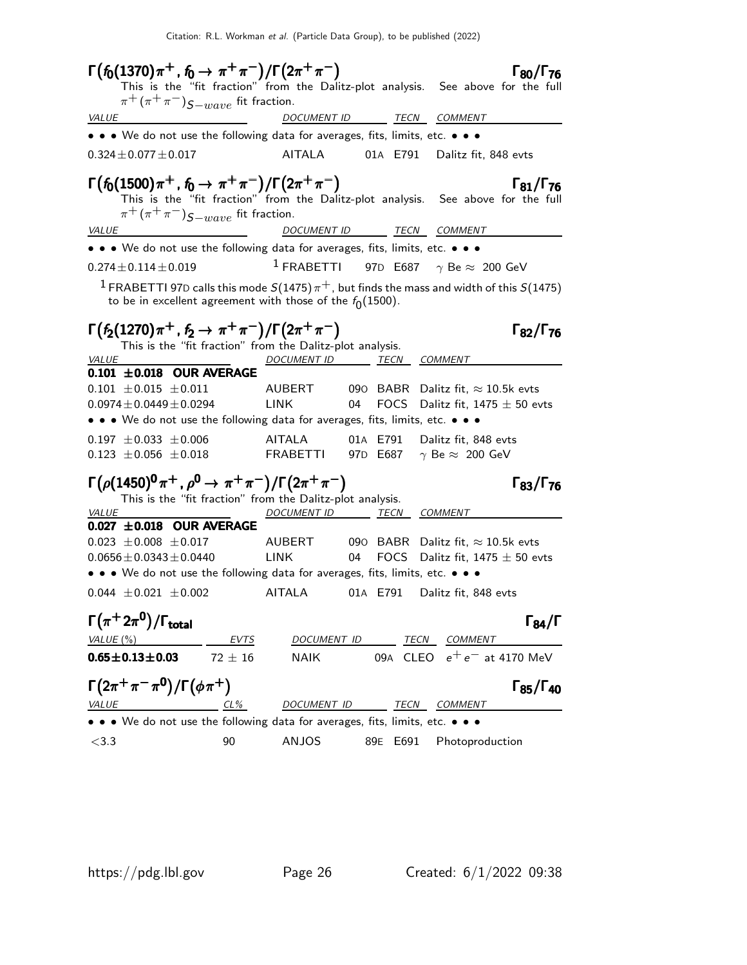| $\Gamma(f_0(1370)\pi^+, f_0 \to \pi^+\pi^-)/\Gamma(2\pi^+\pi^-)$                                                                                                                                                                    |                          |                   | $\Gamma_{80}/\Gamma_{76}$                                                        |
|-------------------------------------------------------------------------------------------------------------------------------------------------------------------------------------------------------------------------------------|--------------------------|-------------------|----------------------------------------------------------------------------------|
|                                                                                                                                                                                                                                     |                          |                   | This is the "fit fraction" from the Dalitz-plot analysis. See above for the full |
| $\pi^+ (\pi^+ \pi^-)_{S-wave}$ fit fraction.                                                                                                                                                                                        |                          |                   |                                                                                  |
| <u>VALUE</u>                                                                                                                                                                                                                        |                          |                   | DOCUMENT ID TECN COMMENT                                                         |
| • • • We do not use the following data for averages, fits, limits, etc. • • •                                                                                                                                                       |                          |                   |                                                                                  |
| $0.324 \pm 0.077 \pm 0.017$                                                                                                                                                                                                         | AITALA                   |                   | 01A E791 Dalitz fit, 848 evts                                                    |
| $\Gamma(f_0(1500)\pi^+, f_0 \to \pi^+\pi^-)/\Gamma(2\pi^+\pi^-)$ $\Gamma_{\text{B1}}/\Gamma_{76}$<br>This is the "fit fraction" from the Dalitz-plot analysis. See above for the full<br>$\pi^+(\pi^+\pi^-)$ $S-wave$ fit fraction. |                          |                   |                                                                                  |
| <i>VALUE</i>                                                                                                                                                                                                                        |                          |                   | DOCUMENT ID TECN COMMENT                                                         |
| • • • We do not use the following data for averages, fits, limits, etc. • • •                                                                                                                                                       |                          |                   |                                                                                  |
| $0.274 \pm 0.114 \pm 0.019$                                                                                                                                                                                                         |                          |                   | <sup>1</sup> FRABETTI 97D E687 $\gamma$ Be $\approx$ 200 GeV                     |
| $^1$ FRABETTI 97D calls this mode $S(1475)\,\pi^+$ , but finds the mass and width of this $S(1475)$<br>to be in excellent agreement with those of the $f_0(1500)$ .                                                                 |                          |                   |                                                                                  |
| $\Gamma(f_2(1270)\pi^+, f_2 \to \pi^+\pi^-)/\Gamma(2\pi^+\pi^-)$<br>This is the "fit fraction" from the Dalitz-plot analysis.<br><b>VALUE</b>                                                                                       | DOCUMENT ID TECN COMMENT |                   | $\Gamma_{82}/\Gamma_{76}$                                                        |
| $0.101 \pm 0.018$ OUR AVERAGE                                                                                                                                                                                                       |                          |                   |                                                                                  |
| $0.101 \pm 0.015 \pm 0.011$                                                                                                                                                                                                         | AUBERT                   |                   | 090 $\,$ BABR $\,$ Dalitz fit, $\approx 10.5$ k evts                             |
| $0.0974 \pm 0.0449 \pm 0.0294$                                                                                                                                                                                                      | <b>LINK</b>              | <b>FOCS</b><br>04 | Dalitz fit, $1475 \pm 50$ evts                                                   |
| • • We do not use the following data for averages, fits, limits, etc. • • •                                                                                                                                                         |                          |                   |                                                                                  |
| $0.197 \pm 0.033 \pm 0.006$                                                                                                                                                                                                         | AITALA                   | 01A E791          | Dalitz fit, 848 evts                                                             |
| $0.123 \pm 0.056 \pm 0.018$                                                                                                                                                                                                         |                          |                   | FRABETTI 97D E687 $\gamma$ Be $\approx$ 200 GeV                                  |
| $\Gamma(\rho(1450)^{0}\pi^{+}$ , $\rho^{0} \rightarrow \pi^{+}\pi^{-})/\Gamma(2\pi^{+}\pi^{-})$                                                                                                                                     |                          |                   | $\Gamma_{83}/\Gamma_{76}$                                                        |
| This is the "fit fraction" from the Dalitz-plot analysis.                                                                                                                                                                           |                          |                   |                                                                                  |
| VALUE<br>$0.027 \pm 0.018$ OUR AVERAGE                                                                                                                                                                                              | DOCUMENT ID TECN COMMENT |                   |                                                                                  |
| $0.023 \pm 0.008 \pm 0.017$                                                                                                                                                                                                         |                          |                   | AUBERT 090 BABR Dalitz fit, $\approx$ 10.5k evts                                 |
| $0.0656 \pm 0.0343 \pm 0.0440$                                                                                                                                                                                                      | <b>LINK</b>              | 04                | FOCS Dalitz fit, $1475 \pm 50$ evts                                              |
| • • • We do not use the following data for averages, fits, limits, etc. • • •                                                                                                                                                       |                          |                   |                                                                                  |
| $0.044 \pm 0.021 \pm 0.002$                                                                                                                                                                                                         | AITALA                   |                   | 01A E791 Dalitz fit, 848 evts                                                    |
| $\Gamma(\pi^+ 2\pi^0)/\Gamma_{\rm total}$                                                                                                                                                                                           |                          |                   | $\Gamma_{84}/\Gamma$                                                             |
| VALUE (%)<br><b>EVTS</b>                                                                                                                                                                                                            | DOCUMENT ID              |                   | TECN<br><b>COMMENT</b>                                                           |
| $0.65 \pm 0.13 \pm 0.03$<br>$72 + 16$                                                                                                                                                                                               | <b>NAIK</b>              |                   | 09A CLEO $e^+e^-$ at 4170 MeV                                                    |
| $\Gamma(2\pi^+\pi^-\pi^0)/\Gamma(\phi\pi^+)$                                                                                                                                                                                        |                          |                   | $\Gamma_{85}/\Gamma_{40}$                                                        |
| <b>VALUE</b><br>$CL\%$                                                                                                                                                                                                              |                          |                   | DOCUMENT ID TECN COMMENT                                                         |
| • • We do not use the following data for averages, fits, limits, etc. • • •                                                                                                                                                         |                          |                   |                                                                                  |
| $<$ 3.3<br>90                                                                                                                                                                                                                       | <b>ANJOS</b>             | 89E E691          | Photoproduction                                                                  |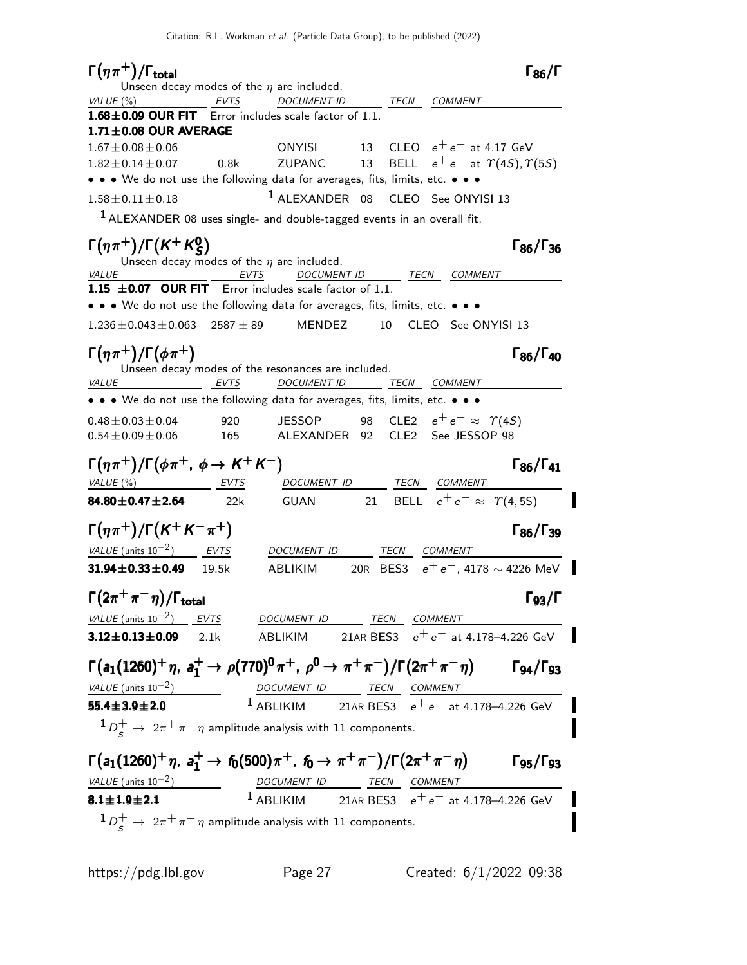Γ $(\eta \pi^+)$ /Γ<sub>total</sub> Γεργα total and the set of the set of the set of the set of the set of the set of the set of the set of the set of t Unseen decay modes of the  $\eta$  are included. VALUE (%) **EVTS** DOCUMENT ID TECN COMMENT  $1.68\pm0.09$  OUR FIT Error includes scale factor of 1.1.  $1.71\pm0.08$  OUR AVERAGE 1.67±0.08±0.06 ONYISI 13 CLEO  $e^+e^-$  at 4.17 GeV<br>1.82±0.14±0.07 0.8k ZUPANC 13 BELL  $e^+e^-$  at  $\Upsilon(4S)$ ,  $\Upsilon$ BELL  $e^+e^-$  at  $\gamma(4S)$ ,  $\gamma(5S)$ • • • We do not use the following data for averages, fits, limits, etc. • • •  $1.58\pm0.11\pm0.18$   $1$  ALEXANDER 08 CLEO See ONYISI 13  $1$  ALEXANDER 08 uses single- and double-tagged events in an overall fit.  $\Gamma(\eta \pi^+) / \Gamma(K^+ K_S^0)$  Γ<sub>86</sub>/Γ<sub>36</sub> Γ $(\eta \pi^+)$ /Γ $(K^+ K^0_S$  $\Gamma(\eta \pi^+) / \Gamma(K^+ K_S^0)$  Γ<sub>86</sub>/Γ Γ<sub>86</sub>/Γ<sub>36</sub> Unseen decay modes of the  $\eta$  are included. VALUE  $\overline{V}$  EVTS DOCUMENT ID TECN COMMENT 1.15  $\pm$  0.07 OUR FIT Error includes scale factor of 1.1. • • • We do not use the following data for averages, fits, limits, etc. • • •  $1.236 \pm 0.043 \pm 0.063$   $2587 \pm 89$  MENDEZ 10 CLEO See ONYISI 13 Γ $(\eta \pi^+)$ /Γ $(\phi \pi^+)$  Γ $_{86}/$ Γ $_{40}$  $\Gamma_{86}/\Gamma_{40}$ Unseen decay modes of the resonances are included. VALUE EVTS DOCUMENT ID TECN COMMENT • • • We do not use the following data for averages, fits, limits, etc. • • •  $0.48 \pm 0.03 \pm 0.04$  920 JESSOP 98 CLE2  $e^+e^- \approx \Upsilon(4S)$ <br> $0.54 \pm 0.09 \pm 0.06$  165 ALEXANDER 92 CLE2 See JESSOP 98 ALEXANDER 92 CLE2 See JESSOP 98  $\Gamma(\eta \pi^+) / \Gamma(\phi \pi^+, \phi \to K^+ K^-)$  Γ<sub>86</sub>/Γ<sub>41</sub>  $\Gamma_{86}/\Gamma_{41}$ VALUE (%) **EVTS** DOCUMENT ID TECN COMMENT **84.80±0.47±2.64** 22k GUAN 21 BELL  $e^+e^- \approx \Upsilon(4, 5S)$ П  $\Gamma(\eta \pi^+) / \Gamma(K^+ K^- \pi^+)$  Γ<sub>86</sub>/Γ<sub>39</sub> Γ<sub>86</sub>/Γ<sub>39</sub>  $VALU E$  (units 10<sup>-2</sup>) EVTS DOCUMENT ID TECN COMMENT **31.94±0.33±0.49** 19.5k ABLIKIM 20R BES3 e<sup>+</sup>e<sup>-</sup>, 4178 ∼ 4226 MeV  $\Gamma(2\pi^+\pi^-\eta)/\Gamma_{\rm total}$ VALUE (units  $10^{-2}$ )  $EVTS$  DOCUMENT ID TECN COMMENT 3.12±0.13±0.09 2.1k ABLIKIM 21AR BES3  $e^+e^-$  at 4.178–4.226 GeV  $\Gamma(a_1(1260)^+ \eta$ ,  $a_1^+ \to \rho(770)^0 \pi^+$ ,  $\rho^0 \to \pi^+ \pi^-)/\Gamma(2\pi^+ \pi^- \eta)$  Γg4/Γg3  $\Gamma$ <sub>Q4</sub>/ $\Gamma$ <sub>Q3</sub>  $VALU E$  (units 10<sup>-2</sup>) DOCUMENT ID TECN COMMENT  $1$  ABLIKIM 21AR BES3  $e^+e^-$  at 4.178–4.226 GeV 55.4±3.9±2.0 I  ${}^1D^+_s\rightarrow~^2\pi^+\pi^-\eta$  amplitude analysis with 11 components.  $\Gamma(a_1(1260)^+ \eta$ ,  $a_1^+ \to f_0(500) \pi^+$ ,  $f_0 \to \pi^+ \pi^-)/\Gamma(2\pi^+ \pi^- \eta)$  Γg5/Γg3  $\Gamma$ <sub>95</sub>/ $\Gamma$ <sub>93</sub>  $VALUE$  (units 10<sup>-2</sup>) DOCUMENT ID TECN COMMENT</u>  $1$  ABLIKIM 21AR BES3  $e^+e^-$  at 4.178–4.226 GeV  $8.1 \pm 1.9 \pm 2.1$  ${}^1D^+_s\rightarrow~^2\pi^+\pi^-\eta$  amplitude analysis with 11 components.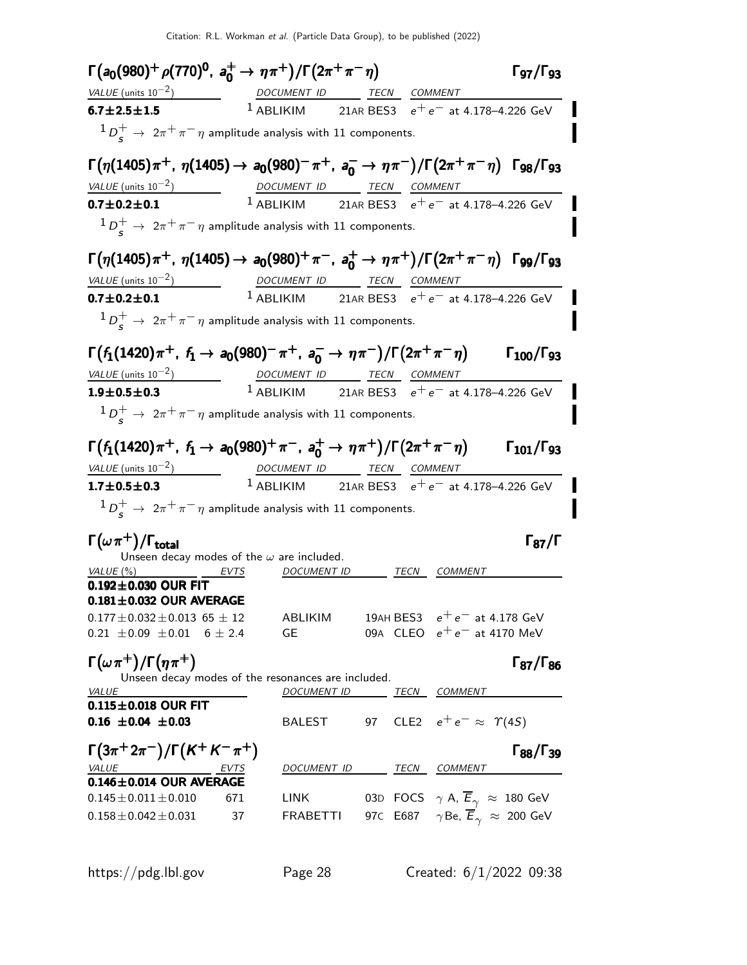Citation: R.L. Workman et al. (Particle Data Group), to be published (2022)

| $\Gamma(a_0(980)^+ \rho(770)^0, a_0^+ \to \eta \pi^+)/\Gamma(2\pi^+\pi^-\eta)$                                                                                                    |                                                                                                                                     |                                                            |      |                                                                 | $\Gamma$ 97/ $\Gamma$ 93   |
|-----------------------------------------------------------------------------------------------------------------------------------------------------------------------------------|-------------------------------------------------------------------------------------------------------------------------------------|------------------------------------------------------------|------|-----------------------------------------------------------------|----------------------------|
|                                                                                                                                                                                   |                                                                                                                                     |                                                            |      |                                                                 |                            |
| $\frac{VALUE \text{ (units 10}^{-2})}{1}$ $\frac{DOCUMENT \text{ ID}}{1 \text{ ABLIKIM}}$ $\frac{TECN}{21 \text{ AR BES3}}$ $\frac{COMMENT}{e^+e^-}$ at 4.178-4.226 GeV           |                                                                                                                                     |                                                            |      |                                                                 |                            |
| $1D_s^+ \rightarrow 2\pi^+\pi^-\eta$ amplitude analysis with 11 components.                                                                                                       |                                                                                                                                     |                                                            |      |                                                                 |                            |
| $\Gamma(\eta(1405)\pi^+$ , $\eta(1405) \to a_0(980)^-\pi^+$ , $a_0^- \to \eta\pi^-)/\Gamma(2\pi^+\pi^-\eta)$ $\Gamma_{98}/\Gamma_{93}$                                            |                                                                                                                                     |                                                            |      |                                                                 |                            |
|                                                                                                                                                                                   |                                                                                                                                     |                                                            |      |                                                                 |                            |
| $\frac{VALUE \text{ (units 10}^{-2})}{0.7 \pm 0.2 \pm 0.1}$ $\frac{DOCUMENT \text{ ID}}{1 \text{ ABLIKIM}}$ $\frac{TECN}{21AR BES3}$ $\frac{COMMENT}{e^+ e^-}$ at 4.178-4.226 GeV |                                                                                                                                     |                                                            |      |                                                                 |                            |
| $1D_{\rm s}^+ \rightarrow 2\pi^+\pi^-\eta$ amplitude analysis with 11 components.                                                                                                 |                                                                                                                                     |                                                            |      |                                                                 |                            |
| $\Gamma(\eta(1405)\pi^+$ , $\eta(1405) \to a_0(980)^+ \pi^-$ , $a_0^+ \to \eta \pi^+)/\Gamma(2\pi^+ \pi^- \eta)$ $\Gamma_{99}/\Gamma_{93}$                                        |                                                                                                                                     |                                                            |      |                                                                 |                            |
| VALUE (units $10^{-2}$ )                                                                                                                                                          |                                                                                                                                     | DOCUMENT ID TECN COMMENT                                   |      |                                                                 |                            |
| $0.7 \pm 0.2 \pm 0.1$                                                                                                                                                             |                                                                                                                                     | <sup>1</sup> ABLIKIM 21AR BES3 $e^+e^-$ at 4.178-4.226 GeV |      |                                                                 |                            |
| $1 D_c^+ \rightarrow 2\pi^+\pi^-\eta$ amplitude analysis with 11 components.                                                                                                      |                                                                                                                                     |                                                            |      |                                                                 |                            |
|                                                                                                                                                                                   |                                                                                                                                     |                                                            |      |                                                                 |                            |
| $\Gamma(f_1(1420)\pi^+$ , $f_1 \to a_0(980)^-\pi^+$ , $a_0^- \to \eta\pi^-)/\Gamma(2\pi^+\pi^-\eta)$                                                                              |                                                                                                                                     |                                                            |      |                                                                 | $\Gamma_{100}/\Gamma_{93}$ |
| VALUE (units $10^{-2}$ )                                                                                                                                                          |                                                                                                                                     |                                                            |      |                                                                 |                            |
| $1.9 \pm 0.5 \pm 0.3$                                                                                                                                                             | $\frac{DOCUMENT ID}{1 \text{ ABLIKIM}} \frac{TECN}{21 \text{ AR BES3}} \frac{COMMENT}{e^+ e^- \text{ at } 4.178-4.226 \text{ GeV}}$ |                                                            |      |                                                                 |                            |
|                                                                                                                                                                                   |                                                                                                                                     |                                                            |      |                                                                 |                            |
| $1 D_c^+ \rightarrow 2\pi^+\pi^-\eta$ amplitude analysis with 11 components.                                                                                                      |                                                                                                                                     |                                                            |      |                                                                 |                            |
| $\Gamma(f_1(1420)\pi^+$ , $f_1 \to a_0(980)^+\pi^-$ , $a_0^+ \to \eta\pi^+)/\Gamma(2\pi^+\pi^-\eta)$                                                                              |                                                                                                                                     |                                                            |      |                                                                 | $\Gamma_{101}/\Gamma_{93}$ |
|                                                                                                                                                                                   |                                                                                                                                     |                                                            |      |                                                                 |                            |
| $VALUE$ (units $10^{-2}$ )<br>$1.7 \pm 0.5 \pm 0.3$                                                                                                                               | DOCUMENT ID TECN COMMENT                                                                                                            | <sup>1</sup> ABLIKIM 21AR BES3 $e^+e^-$ at 4.178-4.226 GeV |      |                                                                 |                            |
|                                                                                                                                                                                   |                                                                                                                                     |                                                            |      |                                                                 |                            |
| $1D_s^+ \rightarrow 2\pi^+\pi^-\eta$ amplitude analysis with 11 components.                                                                                                       |                                                                                                                                     |                                                            |      |                                                                 |                            |
|                                                                                                                                                                                   |                                                                                                                                     |                                                            |      |                                                                 |                            |
| $\Gamma(\omega \pi^+) / \Gamma_{\text{total}}$<br>Unseen decay modes of the $\omega$ are included.                                                                                |                                                                                                                                     |                                                            |      |                                                                 | $\Gamma_{87}/\Gamma$       |
| VALUE $(\%)$                                                                                                                                                                      | EVTS                                                                                                                                | <i>DOCUMENT ID</i>                                         | TECN | <i>COMMENT</i>                                                  |                            |
| $0.192 \pm 0.030$ OUR FIT                                                                                                                                                         |                                                                                                                                     |                                                            |      |                                                                 |                            |
| $0.181 \pm 0.032$ OUR AVERAGE                                                                                                                                                     |                                                                                                                                     |                                                            |      |                                                                 |                            |
| $0.177 \pm 0.032 \pm 0.013$ 65 $\pm$ 12                                                                                                                                           |                                                                                                                                     | ABLIKIM                                                    |      | 19AH BES3 $e^+e^-$ at 4.178 GeV                                 |                            |
| $0.21 \pm 0.09 \pm 0.01$ 6 $\pm$ 2.4                                                                                                                                              | GE                                                                                                                                  |                                                            |      | 09A CLEO $e^+e^-$ at 4170 MeV                                   |                            |
| $\Gamma(\omega \pi^+) / \Gamma(\eta \pi^+)$                                                                                                                                       |                                                                                                                                     |                                                            |      |                                                                 | $\Gamma_{87}/\Gamma_{86}$  |
| Unseen decay modes of the resonances are included.                                                                                                                                |                                                                                                                                     |                                                            |      |                                                                 |                            |
| <b>VALUE</b>                                                                                                                                                                      |                                                                                                                                     | DOCUMENT ID TECN COMMENT                                   |      |                                                                 |                            |
| $0.115 \pm 0.018$ OUR FIT                                                                                                                                                         |                                                                                                                                     |                                                            |      |                                                                 |                            |
| $0.16 \pm 0.04 \pm 0.03$                                                                                                                                                          |                                                                                                                                     | BALEST 97 CLE2 $e^+e^- \approx \Upsilon(4S)$               |      |                                                                 |                            |
| $\Gamma(3\pi^+2\pi^-)/\Gamma(K^+K^-\pi^+)$                                                                                                                                        |                                                                                                                                     |                                                            |      |                                                                 | $\Gamma_{88}/\Gamma_{39}$  |
| VALUE                                                                                                                                                                             |                                                                                                                                     | DOCUMENT ID TECN COMMENT                                   |      |                                                                 |                            |
| $\underbrace{VALUE}_{0.146 \pm 0.014}$ OUR AVERAGE                                                                                                                                |                                                                                                                                     |                                                            |      |                                                                 |                            |
| $0.145 \pm 0.011 \pm 0.010$                                                                                                                                                       | 671                                                                                                                                 | <b>LINK</b>                                                |      | 03D FOCS $\gamma$ A, $\overline{E}_{\gamma} \approx 180$ GeV    |                            |
| $0.158 \pm 0.042 \pm 0.031$                                                                                                                                                       | 37<br>FRABETTI                                                                                                                      |                                                            |      | 97C E687 $\gamma$ Be, $\overline{E}_{\gamma}$ $\approx$ 200 GeV |                            |
|                                                                                                                                                                                   |                                                                                                                                     |                                                            |      |                                                                 |                            |
|                                                                                                                                                                                   |                                                                                                                                     |                                                            |      |                                                                 |                            |
| https://pdg.lbl.gov                                                                                                                                                               | Page 28                                                                                                                             |                                                            |      | Created: $6/1/2022$ 09:38                                       |                            |
|                                                                                                                                                                                   |                                                                                                                                     |                                                            |      |                                                                 |                            |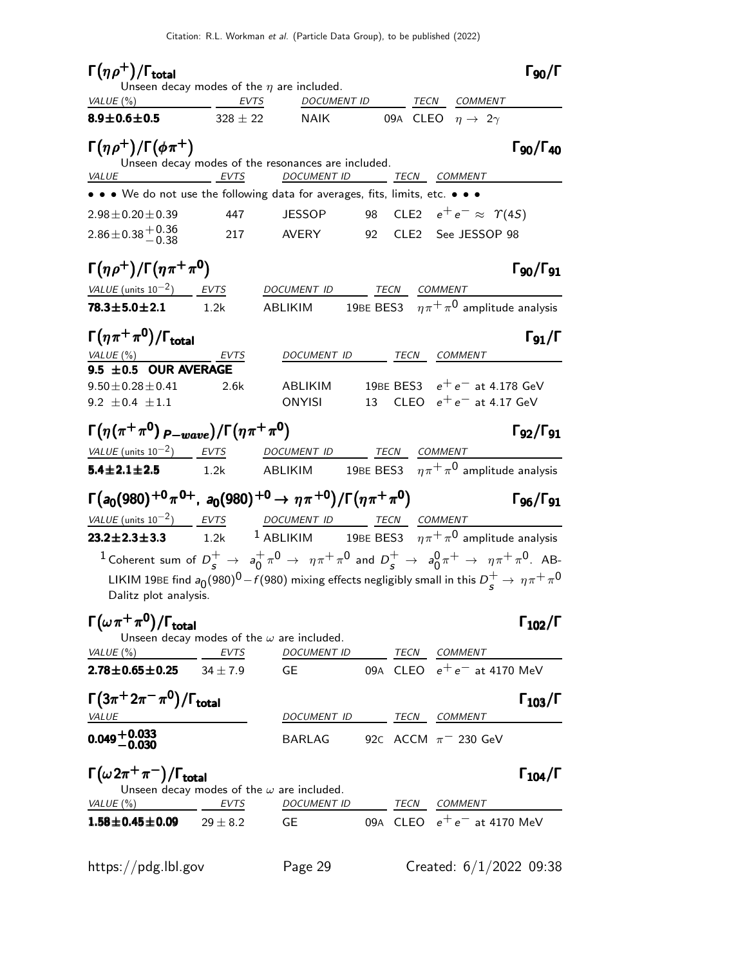| $\Gamma(\eta \rho^+) / \Gamma_{\text{total}}$                                                 |              |                                                                                                                                                                                                                                          |                     |                                       | $\Gamma_{90}/\Gamma$                            |
|-----------------------------------------------------------------------------------------------|--------------|------------------------------------------------------------------------------------------------------------------------------------------------------------------------------------------------------------------------------------------|---------------------|---------------------------------------|-------------------------------------------------|
| VALUE $(\%)$                                                                                  | EVTS         | Unseen decay modes of the $\eta$ are included.<br>DOCUMENT ID                                                                                                                                                                            |                     | TECN COMMENT                          |                                                 |
| $8.9 \pm 0.6 \pm 0.5$                                                                         | $328 \pm 22$ | <b>NAIK</b>                                                                                                                                                                                                                              |                     | 09A CLEO $\eta \rightarrow 2\gamma$   |                                                 |
| $\Gamma(\eta \rho^+)/\Gamma(\phi \pi^+)$                                                      |              | Unseen decay modes of the resonances are included.                                                                                                                                                                                       |                     |                                       | $\Gamma$ <sub>90</sub> / $\Gamma$ <sub>40</sub> |
| VALUE                                                                                         | EVTS         | <b>DOCUMENT ID</b>                                                                                                                                                                                                                       | <b>TECN COMMENT</b> |                                       |                                                 |
| • • • We do not use the following data for averages, fits, limits, etc. • • •                 |              |                                                                                                                                                                                                                                          |                     |                                       |                                                 |
| $2.98 \pm 0.20 \pm 0.39$                                                                      | 447          | <b>JESSOP</b>                                                                                                                                                                                                                            |                     | 98 CLE2 $e^+e^- \approx \Upsilon(45)$ |                                                 |
| $2.86 \pm 0.38 \pm 0.36$                                                                      | 217          | AVERY                                                                                                                                                                                                                                    |                     | 92 CLE2 See JESSOP 98                 |                                                 |
| $\Gamma(\eta \rho^+)/\Gamma(\eta \pi^+ \pi^0)$                                                |              |                                                                                                                                                                                                                                          |                     |                                       | $\Gamma_{90}/\Gamma_{91}$                       |
| $VALUE$ (units $10^{-2}$ ) EVTS                                                               |              | DOCUMENT ID TECN COMMENT                                                                                                                                                                                                                 |                     |                                       |                                                 |
| $78.3 \pm 5.0 \pm 2.1$ 1.2k                                                                   |              | ABLIKIM 19BE BES3 $\eta \pi^+ \pi^0$ amplitude analysis                                                                                                                                                                                  |                     |                                       |                                                 |
| $\Gamma(\eta \pi^+ \pi^0)/\Gamma_{\rm total}$                                                 |              |                                                                                                                                                                                                                                          |                     |                                       | $\Gamma_{91}/\Gamma$                            |
| <u>VALUE (%)</u><br>9.5 ±0.5 OUR AVERAGE                                                      | EVTS         | DOCUMENT ID                                                                                                                                                                                                                              | TECN COMMENT        |                                       |                                                 |
| $9.50 \pm 0.28 \pm 0.41$                                                                      | 2.6k         | ABLIKIM                                                                                                                                                                                                                                  |                     | 19BE BES3 $e^+e^-$ at 4.178 GeV       |                                                 |
| 9.2 $\pm$ 0.4 $\pm$ 1.1                                                                       |              | ONYISI                                                                                                                                                                                                                                   |                     | 13 CLEO $e^+e^-$ at 4.17 GeV          |                                                 |
| $\Gamma(\eta(\pi^+\pi^0)_{P-wave})/\Gamma(\eta\pi^+\pi^0)$                                    |              |                                                                                                                                                                                                                                          |                     |                                       | $\Gamma_{92}/\Gamma_{91}$                       |
| VALUE (units $10^{-2}$ ) EVTS                                                                 |              | DOCUMENT ID                                                                                                                                                                                                                              | TECN COMMENT        |                                       |                                                 |
| $5.4 \pm 2.1 \pm 2.5$                                                                         | 1.2k         | ABLIKIM 19BE BES3 $\eta \pi^+ \pi^0$ amplitude analysis                                                                                                                                                                                  |                     |                                       |                                                 |
| $\Gamma(a_0(980)^{+0}\pi^{0+}$ , $a_0(980)^{+0} \to \eta\pi^{+0})/\Gamma(\eta\pi^{+}\pi^{0})$ |              |                                                                                                                                                                                                                                          |                     |                                       | $\Gamma$ <sub>96</sub> / $\Gamma$ <sub>91</sub> |
| VALUE (units $10^{-2}$ ) EVTS                                                                 |              | DOCUMENT ID TECN COMMENT                                                                                                                                                                                                                 |                     |                                       |                                                 |
| $23.2 \pm 2.3 \pm 3.3$                                                                        | 1.2k         | <sup>1</sup> ABLIKIM 19BE BES3 $\eta \pi^+ \pi^0$ amplitude analysis                                                                                                                                                                     |                     |                                       |                                                 |
| Dalitz plot analysis.                                                                         |              | <sup>1</sup> Coherent sum of $D_s^+ \to a_0^+\pi^0 \to \eta\pi^+\pi^0$ and $D_s^+ \to a_0^0\pi^+ \to \eta\pi^+\pi^0$ . AB-<br>LIKIM 19BE find $a_0(980)^0 - f(980)$ mixing effects negligibly small in this $D_s^+ \to \eta \pi^+ \pi^0$ |                     |                                       |                                                 |
| $\Gamma(\omega \pi^+ \pi^0)/\Gamma_{\rm total}$                                               |              | Unseen decay modes of the $\omega$ are included.                                                                                                                                                                                         |                     |                                       | $\Gamma_{102}/\Gamma$                           |
| VALUE (%)                                                                                     | EVTS         | DOCUMENT ID TECN COMMENT                                                                                                                                                                                                                 |                     |                                       |                                                 |
| $2.78 \pm 0.65 \pm 0.25$                                                                      | $34 + 7.9$   | GE.                                                                                                                                                                                                                                      |                     | 09A CLEO $e^+e^-$ at 4170 MeV         |                                                 |
| $\Gamma(3\pi^+2\pi^-\pi^0)/\Gamma_{\rm total}$                                                |              |                                                                                                                                                                                                                                          |                     |                                       | $\Gamma_{103}/\Gamma$                           |
| <i>VALUE</i>                                                                                  |              | DOCUMENT ID TECN COMMENT                                                                                                                                                                                                                 |                     |                                       |                                                 |
| $0.049 + 0.033$                                                                               |              | BARLAG                                                                                                                                                                                                                                   |                     | 92c ACCM $\pi$ <sup>-</sup> 230 GeV   |                                                 |
| $\Gamma(\omega 2\pi^+\pi^-)/\Gamma_{\rm total}$                                               |              | Unseen decay modes of the $\omega$ are included.                                                                                                                                                                                         |                     |                                       | $\Gamma_{104}/\Gamma$                           |
| VALUE (%)                                                                                     | <b>EVTS</b>  | <b>DOCUMENT ID</b>                                                                                                                                                                                                                       | TECN                | <i>COMMENT</i>                        |                                                 |
| $1.58 \pm 0.45 \pm 0.09$                                                                      | $29\pm8.2$   | <b>GE</b>                                                                                                                                                                                                                                |                     | 09A CLEO $e^+e^-$ at 4170 MeV         |                                                 |
| https://pdg.lbl.gov                                                                           |              | Page 29                                                                                                                                                                                                                                  |                     | Created: $6/1/2022$ 09:38             |                                                 |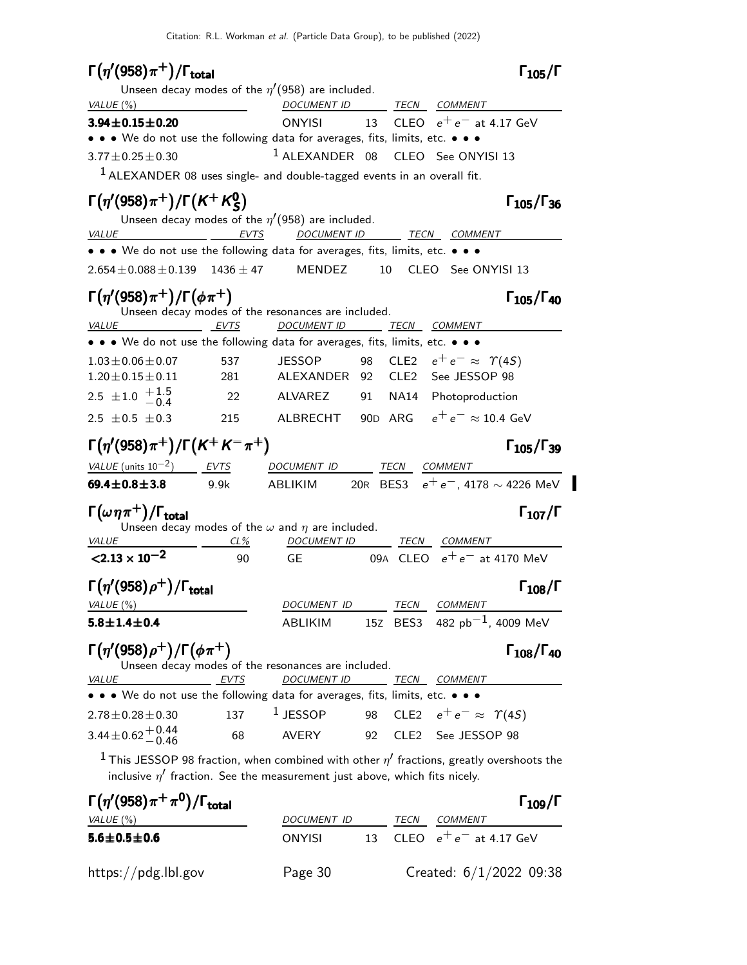| $\Gamma(\eta'(958)\pi^+)$ / $\Gamma_{\rm total}$                                                                                                                                   |            |                                                                          |          |             |                                                          | $\Gamma_{105}/\Gamma$                    |
|------------------------------------------------------------------------------------------------------------------------------------------------------------------------------------|------------|--------------------------------------------------------------------------|----------|-------------|----------------------------------------------------------|------------------------------------------|
|                                                                                                                                                                                    |            | Unseen decay modes of the $\eta'(958)$ are included.                     |          |             |                                                          |                                          |
| VALUE(%)                                                                                                                                                                           |            | DOCUMENT ID TECN COMMENT                                                 |          |             |                                                          |                                          |
| $3.94 \pm 0.15 \pm 0.20$                                                                                                                                                           |            | ONYISI                                                                   |          |             | 13 CLEO $e^+e^-$ at 4.17 GeV                             |                                          |
| • • We do not use the following data for averages, fits, limits, etc. • • •                                                                                                        |            |                                                                          |          |             |                                                          |                                          |
| $3.77 \pm 0.25 \pm 0.30$                                                                                                                                                           |            | $1$ ALEXANDER 08                                                         |          |             | CLEO See ONYISI 13                                       |                                          |
| $1$ ALEXANDER 08 uses single- and double-tagged events in an overall fit.                                                                                                          |            |                                                                          |          |             |                                                          |                                          |
| $\Gamma(\eta'(958)\pi^+) / \Gamma(K^+K^0_S)$                                                                                                                                       |            | Unseen decay modes of the $\eta'(958)$ are included.                     |          |             |                                                          | $\Gamma_{105}/\Gamma_{36}$               |
| <b>VALUE</b>                                                                                                                                                                       | EVTS       | <b>DOCUMENT ID</b>                                                       |          |             | <i>TECN COMMENT</i>                                      |                                          |
| • • • We do not use the following data for averages, fits, limits, etc. • • •                                                                                                      |            |                                                                          |          |             |                                                          |                                          |
| $2.654 \pm 0.088 \pm 0.139$ 1436 $\pm$ 47                                                                                                                                          |            | MENDEZ                                                                   | 10       |             | CLEO See ONYISI 13                                       |                                          |
| $\Gamma(\eta'(958)\pi^+)/\Gamma(\phi\pi^+)$<br>EVTS<br>VALUE                                                                                                                       |            | Unseen decay modes of the resonances are included.<br><b>DOCUMENT ID</b> |          | TECN        | <i>COMMENT</i>                                           | $\Gamma_{105}/\Gamma_{40}$               |
| • • • We do not use the following data for averages, fits, limits, etc. • • •                                                                                                      |            |                                                                          |          |             |                                                          |                                          |
| $1.03 \pm 0.06 \pm 0.07$<br>$1.20 \pm 0.15 \pm 0.11$                                                                                                                               | 537<br>281 | <b>JESSOP</b><br>ALEXANDER                                               | 98<br>92 |             | CLE2 $e^+e^- \approx \Upsilon(4S)$<br>CLE2 See JESSOP 98 |                                          |
| 2.5 $\pm$ 1.0 $\frac{+1.5}{-0.4}$                                                                                                                                                  | 22         | ALVAREZ                                                                  | 91       |             | NA14 Photoproduction                                     |                                          |
|                                                                                                                                                                                    |            |                                                                          |          |             | 90D ARG $e^+e^- \approx 10.4$ GeV                        |                                          |
| 2.5 $\pm$ 0.5 $\pm$ 0.3                                                                                                                                                            | 215        | ALBRECHT                                                                 |          |             |                                                          |                                          |
| $\Gamma(\eta' (958) \pi^+) / \Gamma(K^+ K^- \pi^+)$                                                                                                                                |            |                                                                          |          |             |                                                          | $\Gamma_{105}/\Gamma_{39}$               |
| VALUE (units $10^{-2}$ ) EVTS                                                                                                                                                      |            | DOCUMENT ID                                                              |          |             | TECN COMMENT                                             |                                          |
| 69.4 $\pm$ 0.8 $\pm$ 3.8 9.9k                                                                                                                                                      |            | ABLIKIM                                                                  |          |             |                                                          | 20R BES3 $e^+e^-$ , 4178 $\sim$ 4226 MeV |
| $\Gamma(\omega\eta\pi^+)$ / $\Gamma_{\text{total}}$                                                                                                                                |            | Unseen decay modes of the $\omega$ and $\eta$ are included.              |          |             |                                                          | $\Gamma_{107}/\Gamma$                    |
| <b>VALUE</b>                                                                                                                                                                       | $CL\%$     | DOCUMENT ID                                                              |          | <b>TECN</b> | <b>COMMENT</b>                                           |                                          |
| $< 2.13 \times 10^{-2}$                                                                                                                                                            | 90         | <b>GE</b>                                                                |          |             | 09A CLEO $e^+e^-$ at 4170 MeV                            |                                          |
| $\Gamma(\eta'(958)\rho^+)$ / $\Gamma_{\text{total}}$                                                                                                                               |            |                                                                          |          |             |                                                          | $\Gamma_{108}/\Gamma$                    |
| VALUE $(\%)$                                                                                                                                                                       |            | DOCUMENT ID                                                              |          |             | TECN COMMENT                                             |                                          |
| $5.8 \pm 1.4 \pm 0.4$                                                                                                                                                              |            | ABLIKIM                                                                  |          |             | 15Z BES3 482 $pb^{-1}$ , 4009 MeV                        |                                          |
| $\Gamma(\eta'(958)\rho^+)/\Gamma(\phi\pi^+)$                                                                                                                                       |            | Unseen decay modes of the resonances are included.                       |          |             |                                                          | $\Gamma_{108}/\Gamma_{40}$               |
| <b>VALUE</b>                                                                                                                                                                       | EVTS       | <b>DOCUMENT ID</b>                                                       |          |             | <u>TECN COMMENT</u>                                      |                                          |
| • • • We do not use the following data for averages, fits, limits, etc. • • •                                                                                                      |            |                                                                          |          |             |                                                          |                                          |
| $2.78 \pm 0.28 \pm 0.30$                                                                                                                                                           | 137        | $1$ JESSOP                                                               |          |             | 98 CLE2 $e^+e^- \approx \Upsilon(45)$                    |                                          |
| $3.44 \pm 0.62 + 0.44$<br>-0.46                                                                                                                                                    | 68         | <b>AVERY</b>                                                             | 92       |             | CLE2 See JESSOP 98                                       |                                          |
| $^1$ This JESSOP 98 fraction, when combined with other $\eta'$ fractions, greatly overshoots the<br>inclusive $\eta'$ fraction. See the measurement just above, which fits nicely. |            |                                                                          |          |             |                                                          |                                          |
| $\Gamma(\eta'(958)\pi^+\pi^0)/\Gamma_{\rm total}$                                                                                                                                  |            |                                                                          |          |             |                                                          | $\Gamma_{109}/\Gamma$                    |

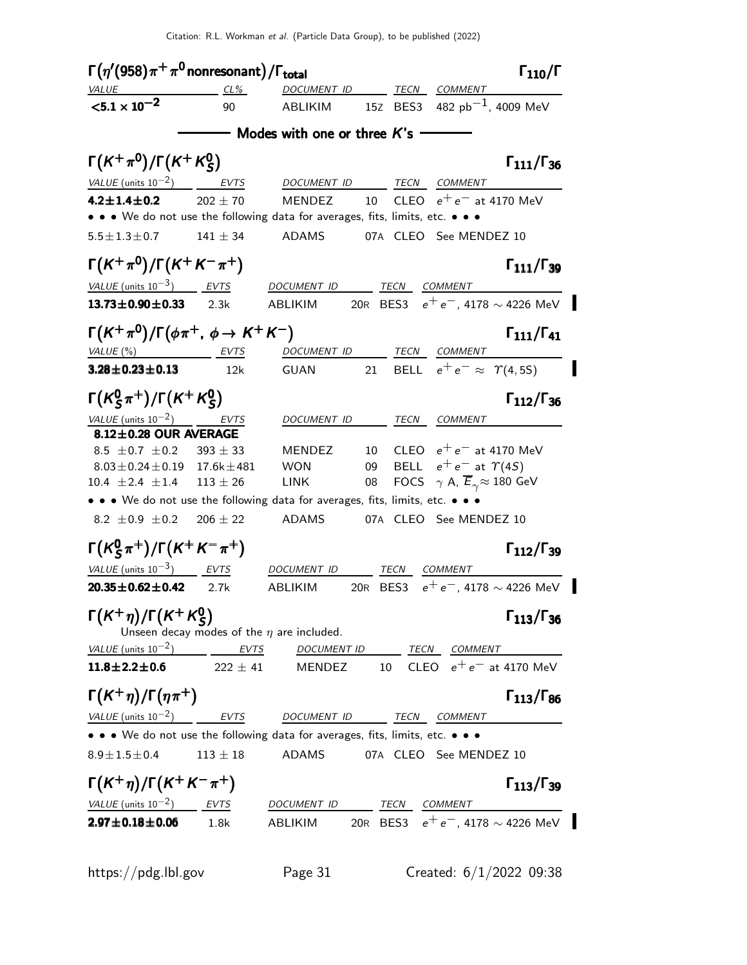Γ $(\eta^\prime (958)\pi^+ \pi^0$ nonresonant $)/$ Γ<sub>total</sub> Γενική Στου Γενική Γενική Γ  $\Gamma_{110}/\Gamma$ VALUE CL% DOCUMENT ID TECN COMMENT  $<$ 5.1  $\times$  10 $^{-2}$ 90 ABLIKIM 15Z BES3 482 pb<sup>-1</sup>, 4009 MeV  $-$  Modes with one or three  $K$ 's  $-$ Γ $(\mathcal{K}^+\pi^0)/\Gamma(\mathcal{K}^+\mathcal{K}^0_S)$  $\Gamma(K^+\pi^0)/\Gamma(K^+K^0_S)$  Γ<sub>111</sub>/Γ<sub>36</sub>  $\Gamma(K^+\pi^0)/\Gamma(K^+K^0_S)$  Γ<sub>111</sub>/Γ  $\Gamma_{111}/\Gamma_{36}$ VALUE (units  $10^{-2}$ ) EVTS DOCUMENT ID TECN COMMENT **4.2±1.4±0.2** 202 ± 70 MENDEZ 10 CLEO  $e^+e^-$  at 4170 MeV • • • We do not use the following data for averages, fits, limits, etc. • • •  $5.5 \pm 1.3 \pm 0.7$  141  $\pm$  34 ADAMS 07A CLEO See MENDEZ 10  $\Gamma(K^+\pi^0)/\Gamma(K^+K^-\pi^+)$  Γ111/Γ<sub>39</sub>  $\Gamma$ <sub>111</sub>/Γ<sub>39</sub> VALUE (units  $10^{-3}$ ) EVTS DOCUMENT ID TECN COMMENT **13.73±0.90±0.33** 2.3k ABLIKIM 20R BES3  $e^+e^-$ , 4178 ~ 4226 MeV  $\Gamma(K^+\pi^0)/\Gamma(\phi\pi^+$ ,  $\phi \to K^+K^-)$  Γ111/Γ41  $Γ_{111}/Γ_{41}$ VALUE (%) TECN COMMENT EVTS DOCUMENT ID TECN COMMENT **3.28±0.23±0.13** 12k GUAN 21 BELL  $e^+e^- \approx \Upsilon(4, 5S)$ Γ $(\kappa_S^0)$  $\frac{0}{\mathcal{S}}\pi^+)$ /Γ $(\mathcal{K}^+ \mathcal{K}^0_{\mathcal{S}})$ Γ(K<sup>0</sup><sub>S</sub>π<sup>+</sup>)/Γ(K<sup>+</sup>K<sup>0</sup><sub>S</sub>) Γ<sub>112</sub>/Γ<sub>36</sub>  $K_S^0 \pi^+$ )/Γ( $K^+ K_S^0$ ) Γ<sub>112</sub>/Γ  $\Gamma_{112}/\Gamma_{36}$ VALUE (units  $10^{-2}$ ) EVTS DOCUMENT ID TECN COMMENT  $8.12\pm0.28$  OUR AVERAGE  $8.5 \pm 0.7 \pm 0.2$   $393 \pm 33$  MENDEZ 10 CLEO  $e^+e^-$  at 4170 MeV<br> $8.03 \pm 0.24 \pm 0.19$  17.6k $\pm 481$  WON 09 BELL  $e^+e^-$  at  $\Upsilon(4S)$  $8.03 \pm 0.24 \pm 0.19$  17.6k $\pm$ 481 WON 09 BELL  $e^+ e^-$  at  $\Upsilon(4S)$ <br>10.4  $\pm$ 2.4  $\pm$ 1.4 113  $\pm$  26 LINK 08 FOCS  $\gamma$  A,  $\overline{E}_{\gamma} \approx 180$  G 08  $\cdot$  FOCS  $\gamma$  A,  $\overline{E}_{\gamma} \approx 180 \text{ GeV}$ • • • We do not use the following data for averages, fits, limits, etc. • • •  $8.2 \pm 0.9 \pm 0.2$   $206 \pm 22$  ADAMS 07A CLEO See MENDEZ 10  $\mathsf{\Gamma}(\mathsf{K}^0_S$  $\Gamma(K^0_S \pi^+) / \Gamma(K^+ K^- \pi^+)$  Γ<sub>112</sub>/Γ<sub>39</sub>  $\Gamma_{112}/\Gamma_{39}$ VALUE  $(\text{units } 10^{-3})$ **EVTS** DOCUMENT ID TECN COMMENT **20.35±0.62±0.42** 2.7k ABLIKIM 20R BES3 e<sup>+</sup>e<sup>-</sup>, 4178 ∼ 4226 MeV Γ $(\mathcal{K}^{+}\eta)/\Gamma(\mathcal{K}^{+}\mathcal{K}^{0}_{S})$  $\Gamma(K^+\eta)/\Gamma(K^+K^0_S)$  Γ<sub>113</sub>/Γ<sub>36</sub>  $\Gamma$ <sub>113</sub>/Γ<sub>36</sub> Unseen decay modes of the  $\eta$  are included.  $VALUE$  (units 10<sup>-2</sup>)  $EVTS$  DOCUMENT ID TECN COMMENT **11.8±2.2±0.6** 222 ± 41 MENDEZ 10 CLEO  $e^+e^-$  at 4170 MeV Γ(K<sup>+</sup>η)/Γ(ηπ<sup>+</sup>) Γ<sub>113</sub>/Γ<sub>86</sub>  $\Gamma_{113}/\Gamma_{86}$ VALUE (units  $10^{-2}$ ) EVTS DOCUMENT ID TECN COMMENT • • • We do not use the following data for averages, fits, limits, etc. • • •  $8.9 \pm 1.5 \pm 0.4$  113  $\pm$  18 ADAMS 07A CLEO See MENDEZ 10  $\Gamma(K^+\eta)/\Gamma(K^+K^-\pi^+)$  Γ<sub>113</sub>/Γ<sub>39</sub>  $\Gamma_{113}/\Gamma_{39}$ VALUE (units  $10^{-2}$ ) EVTS DOCUMENT ID TECN COMMENT 2.97±0.18±0.06 1.8k ABLIKIM 20R BES3  $e^+e^-$ , 4178 ~ 4226 MeV

https://pdg.lbl.gov Page 31 Created: 6/1/2022 09:38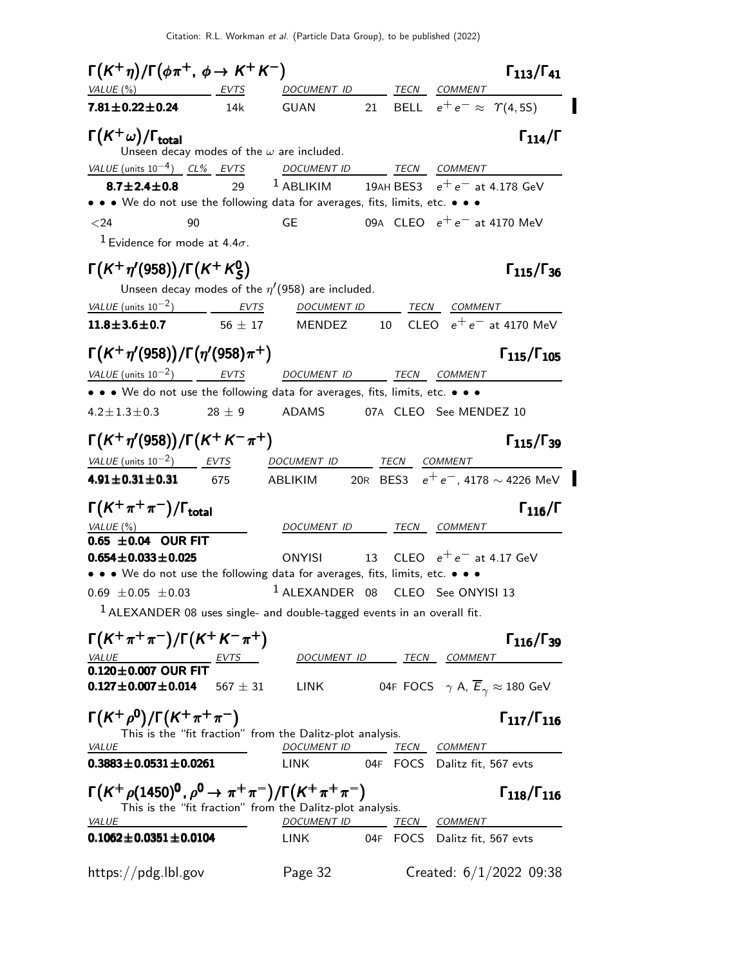Citation: R.L. Workman et al. (Particle Data Group), to be published (2022)

 $\Gamma(K^+\eta)/\Gamma(\phi\pi^+, \phi \to K^+K^-)$   $\Gamma_{113}/\Gamma_{41}$  $\Gamma$ <sub>113</sub>/ $\Gamma$ <sub>41</sub> VALUE (%) EVTS DOCUMENT ID TECN COMMENT **7.81±0.22±0.24** 14k GUAN 21 BELL  $e^+e^- \approx \Upsilon(4, 5S)$  $\Gamma(K^+\omega)/\Gamma_{\text{total}}$  Γ<sub>114</sub>/Γ Unseen decay modes of the  $\omega$  are included. VALUE (units 10<sup>-4</sup>) CL% EVTS DOCUMENT ID TECN COMMENT **8.7±2.4±0.8** 29 <sup>1</sup> ABLIKIM 19AH BES3  $e^+e^-$  at 4.178 GeV • • • We do not use the following data for averages, fits, limits, etc. •  $<$ 24 90 GE 09A CLEO  $e^+e^-$  at 4170 MeV  $1$  Evidence for mode at 4.4 $\sigma$ . Γ $(\mathcal{K}^+\eta'$ (958))/Γ $(\mathcal{K}^+\mathcal{K}^0_S$ Γ(K<sup>+</sup>η'(958))/Γ(K<sup>+</sup> K<sup>0</sup><sub>S</sub>) Γ<sub>115</sub>/Γ<sub>36</sub>  $\Gamma_{115}/\Gamma_{36}$ Unseen decay modes of the  $\eta'(958)$  are included. VALUE (units  $10^{-2}$ ) EVTS DOCUMENT ID TECN COMMENT **11.8±3.6±0.7** 56 ± 17 MENDEZ 10 CLEO  $e^+e^-$  at 4170 MeV Γ $(K^+\eta'(958))/\Gamma(\eta'(958)\pi^+)$  Γ $_{115}/\Gamma_{105}$  $\Gamma_{115}/\Gamma_{105}$ VALUE (units  $10^{-2}$ ) EVTS DOCUMENT ID TECN COMMENT • • • We do not use the following data for averages, fits, limits, etc. • • •  $4.2 \pm 1.3 \pm 0.3$  28  $\pm$  9 ADAMS 07A CLEO See MENDEZ 10  $\Gamma(K^+\eta'(958))/\Gamma(K^+K^-\pi^+)$  Γ<sub>115</sub>/Γ<sub>39</sub>  $\Gamma_{115}/\Gamma_{39}$ VALUE (units  $10^{-2}$ ) EVTS DOCUMENT ID TECN COMMENT 4.91±0.31±0.31 675 ABLIKIM 20R BES3  $e^+e^-$ , 4178 ∼ 4226 MeV  $\Gamma(K^+\pi^+\pi^-)/\Gamma_{\rm total}$  Γ<sub>116</sub>/Γ VALUE (%)  $OQUMENT$  ID TECN COMMENT  $0.65 \pm 0.04$  OUR FIT<br> $0.654 \pm 0.033 \pm 0.025$ ONYISI 13 CLEO  $e^+e^-$  at 4.17 GeV • • • We do not use the following data for averages, fits, limits, etc. • • •  $0.69 \pm 0.05 \pm 0.03$   $1$  ALEXANDER 08 CLEO See ONYISI 13  $1$  ALEXANDER 08 uses single- and double-tagged events in an overall fit.  $\Gamma(K^+\pi^+\pi^-)/\Gamma(K^+K^-\pi^+)$  Γ116/Γ39  $\Gamma_{116}/\Gamma_{39}$ VALUE EVTS DOCUMENT ID TECN COMMENT  $0.120 \pm 0.007$  OUR FIT  $0.127 \pm 0.007 \pm 0.014$  $567 \pm 31$  LINK 04F FOCS  $\gamma$  A,  $\overline{E}_{\gamma} \approx 180$  GeV  $\Gamma(K^+ \rho^0)/\Gamma(K^+ \pi^+ \pi^-)$  Γ<sub>117</sub>/Γ<sub>116</sub>  $\Gamma_{117}/\Gamma_{116}$ This is the "fit fraction" from the Dalitz-plot analysis.<br> *NALUE* DOCUMENT ID TI DOCUMENT ID TECN COMMENT 0.3883±0.0531±0.0261 LINK 04F FOCS Dalitz fit, 567 evts  $\Gamma(K^+ \rho (1450)^0$  ,  $\rho^0 \to \pi^+ \pi^-)/\Gamma(K^+ \pi^+ \pi^-)$  [118/ $\Gamma_{116}$  $\Gamma_{118}/\Gamma_{116}$ This is the "fit fraction" from the Dalitz-plot analysis. VALUE 2000 DOCUMENT ID TECN COMMENT 0.1062±0.0351±0.0104 LINK 04F FOCS Dalitz fit, 567 evts https://pdg.lbl.gov Page 32 Created: 6/1/2022 09:38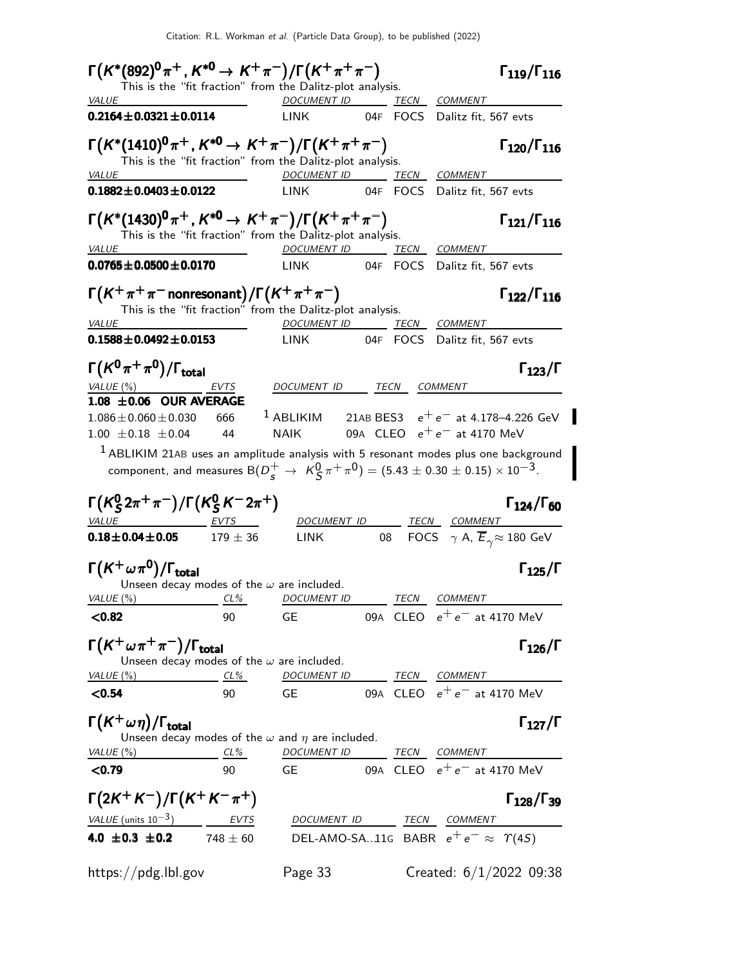Citation: R.L. Workman et al. (Particle Data Group), to be published (2022)

| $\Gamma(K^*(892)^0 \pi^+, K^{*0} \to K^+ \pi^-)/\Gamma(K^+ \pi^+ \pi^-)$                                                               |      |                          |  | $\Gamma_{119}/\Gamma_{116}$                                                                                                       |
|----------------------------------------------------------------------------------------------------------------------------------------|------|--------------------------|--|-----------------------------------------------------------------------------------------------------------------------------------|
| This is the "fit fraction" from the Dalitz-plot analysis.                                                                              |      |                          |  |                                                                                                                                   |
| <i>VALUE</i>                                                                                                                           |      | DOCUMENT ID TECN COMMENT |  |                                                                                                                                   |
| $0.2164 \pm 0.0321 \pm 0.0114$                                                                                                         |      | LINK                     |  | 04F FOCS Dalitz fit, 567 evts                                                                                                     |
| $\Gamma(K^*(1410)^0 \pi^+, K^{*0} \to K^+ \pi^-)/\Gamma(K^+ \pi^+ \pi^-)$<br>This is the "fit fraction" from the Dalitz-plot analysis. |      |                          |  | $\Gamma_{120}/\Gamma_{116}$                                                                                                       |
| <b>VALUE</b>                                                                                                                           |      | DOCUMENT ID TECN COMMENT |  |                                                                                                                                   |
| $0.1882 \pm 0.0403 \pm 0.0122$                                                                                                         |      | LINK                     |  | 04F FOCS Dalitz fit, 567 evts                                                                                                     |
| $\Gamma(K^*(1430)^0 \pi^+, K^{*0} \to K^+ \pi^-)/\Gamma(K^+ \pi^+ \pi^-)$<br>This is the "fit fraction" from the Dalitz-plot analysis. |      |                          |  | $\Gamma_{121}/\Gamma_{116}$                                                                                                       |
| <b>VALUE</b>                                                                                                                           |      | DOCUMENT ID TECN COMMENT |  |                                                                                                                                   |
| $0.0765 \pm 0.0500 \pm 0.0170$                                                                                                         |      | LINK                     |  | 04F FOCS Dalitz fit, 567 evts                                                                                                     |
| $\Gamma(K^+\pi^+\pi^-$ nonresonant) / $\Gamma(K^+\pi^+\pi^-)$<br>This is the "fit fraction" from the Dalitz-plot analysis.             |      |                          |  | $\Gamma_{122}/\Gamma_{116}$                                                                                                       |
| <b>VALUE</b>                                                                                                                           |      | DOCUMENT ID TECN COMMENT |  |                                                                                                                                   |
| $0.1588 \pm 0.0492 \pm 0.0153$                                                                                                         |      | LINK                     |  | 04F FOCS Dalitz fit, 567 evts                                                                                                     |
| $\Gamma(K^0\pi^+\pi^0)/\Gamma_{\rm total}$<br>VALUE $(\%)$                                                                             | EVTS | DOCUMENT ID TECN COMMENT |  | $\Gamma_{123}/\Gamma$                                                                                                             |
| $1.08 \pm 0.06$ OUR AVERAGE                                                                                                            |      |                          |  |                                                                                                                                   |
| $1.086 \pm 0.060 \pm 0.030$                                                                                                            | 666  | $^1$ ABLIKIM             |  | 21AB BES3 $e^+e^-$ at 4.178-4.226 GeV                                                                                             |
| $1.00 \pm 0.18 \pm 0.04$                                                                                                               | 44   | <b>NAIK</b>              |  | 09A CLEO $e^+e^-$ at 4170 MeV                                                                                                     |
|                                                                                                                                        |      |                          |  | $1$ ABLIKIM 21AB uses an amplitude analysis with 5 resonant modes plus one background                                             |
|                                                                                                                                        |      |                          |  | component, and measures B( $D_{\rm s}^+ \to K_{\rm s}^0 \pi^+ \pi^0$ ) = (5.43 $\pm$ 0.30 $\pm$ 0.15) $\times$ 10 <sup>-3</sup> . |
| $\Gamma(K_S^0 2\pi^+\pi^-)/\Gamma(K_S^0 K^- 2\pi^+)$                                                                                   |      |                          |  | $\Gamma_{124}/\Gamma_{60}$                                                                                                        |
| <u>VALUE EVTS</u><br>$0.18 \pm 0.04 \pm 0.05$ 179 $\pm$ 36                                                                             |      | <b>LINK</b>              |  | DOCUMENT ID TECN COMMENT<br>08 FOCS $\gamma$ A, $\overline{E}_{\gamma} \approx 180$ GeV                                           |
|                                                                                                                                        |      |                          |  |                                                                                                                                   |
| $\Gamma(K^+\omega\pi^0)/\Gamma_{\rm total}$                                                                                            |      |                          |  | $\Gamma_{125}/\Gamma$                                                                                                             |
| Unseen decay modes of the $\omega$ are included.                                                                                       |      |                          |  |                                                                                                                                   |
| VALUE $(\%)$<br>$CL\%$                                                                                                                 |      | <i>DOCUMENT ID</i>       |  | TECN COMMENT                                                                                                                      |
| < 0.82                                                                                                                                 | 90   | GE                       |  | 09A CLEO $e^+e^-$ at 4170 MeV                                                                                                     |
| $\Gamma(K^+\omega\pi^+\pi^-)/\Gamma_{\rm total}$<br>Unseen decay modes of the $\omega$ are included.                                   |      |                          |  | $\Gamma_{126}/\Gamma$                                                                                                             |
| VALUE $(\%)$<br>$CL\%$                                                                                                                 |      | DOCUMENT ID TECN COMMENT |  |                                                                                                                                   |
| < 0.54                                                                                                                                 | 90   |                          |  | GE 09A CLEO $e^+e^-$ at 4170 MeV                                                                                                  |
| $\Gamma(K^+\omega\eta)/\Gamma_{\rm total}$<br>Unseen decay modes of the $\omega$ and $\eta$ are included.                              |      |                          |  | $\Gamma_{127}/\Gamma$                                                                                                             |
| VALUE $(\%)$                                                                                                                           | CL%  |                          |  | DOCUMENT ID TECN COMMENT                                                                                                          |
| < 0.79                                                                                                                                 | 90   | GE                       |  | 09A $\,$ CLEO $\,$ $\,$ $\mathrm{e^{+}e^{-}}$ at 4170 MeV                                                                         |
| $\Gamma(2K^{+}K^{-})/\Gamma(K^{+}K^{-}\pi^{+})$                                                                                        |      |                          |  | $\Gamma_{128}/\Gamma_{39}$                                                                                                        |
| VALUE (units $10^{-3}$ ) EVTS                                                                                                          |      |                          |  | DOCUMENT ID TECN COMMENT                                                                                                          |
| 4.0 $\pm$ 0.3 $\pm$ 0.2 748 $\pm$ 60                                                                                                   |      |                          |  | DEL-AMO-SA11G BABR $e^+e^- \approx \Upsilon(45)$                                                                                  |
|                                                                                                                                        |      |                          |  |                                                                                                                                   |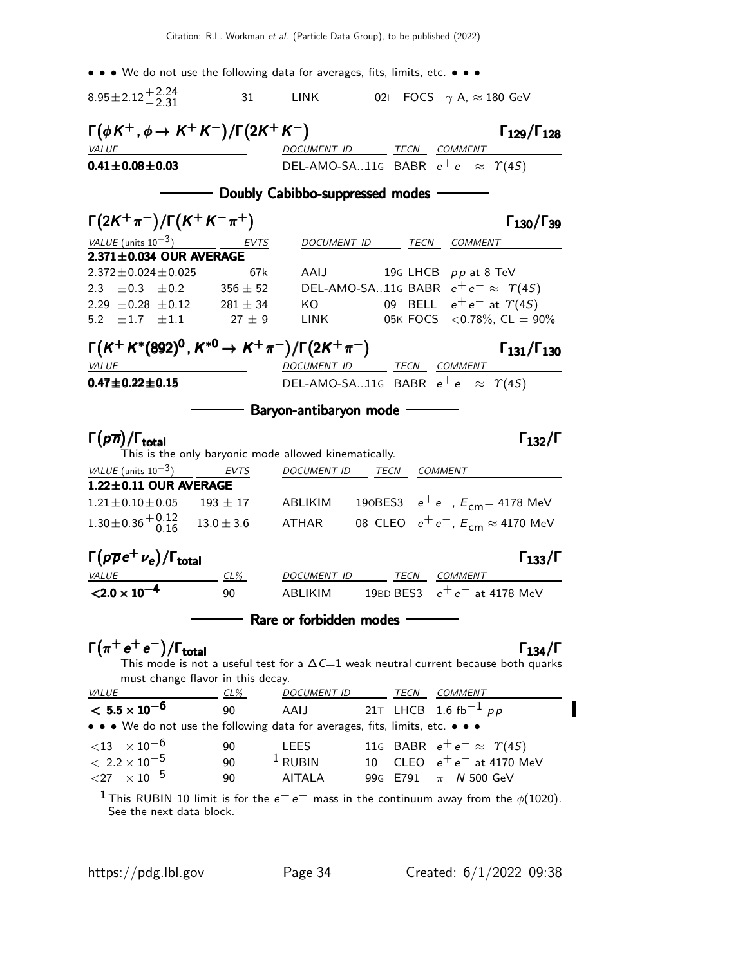• • • We do not use the following data for averages, fits, limits, etc. • • •  $8.95 \pm 2.12 + 2.24 - 2.31$ 31 LINK 02I FOCS  $\gamma$  A,  $\approx$  180 GeV  $\Gamma(\phi K^+, \phi \to K^+ K^-)/\Gamma(2K^+ K^-)$   $\Gamma_{129}/\Gamma_{128}$ Γ129/Γ<sup>128</sup> VALUE VALUE DOCUMENT ID TECN COMMENT **0.41±0.08±0.03** DEL-AMO-SA..11G BABR  $e^+e^- \approx \Upsilon(45)$ - Doubly Cabibbo-suppressed modes - $\Gamma(2K^+\pi^-)/\Gamma(K^+K^-\pi^+)$  Γ<sub>130</sub>/Γ<sub>39</sub> Γ130/Γ VALUE (units  $10^{-3}$ ) EVTS DOCUMENT ID TECN COMMENT **2.371** $\pm$ **0.034 OUR AVERAGE**<br>2.372 $\pm$ 0.024 $\pm$ 0.025  $2.372 \pm 0.024 \pm 0.025$  67k AAIJ 19G LHCB pp at 8 TeV<br>  $2.3 \pm 0.3 \pm 0.2$  356  $\pm$  52 DEL-AMO-SA..11G BABR  $e^+e^- \approx \gamma$ 2.3  $\pm$ 0.3  $\pm$ 0.2 356  $\pm$  52 DEL-AMO-SA..11G BABR  $e^+e^- \approx \Upsilon(4S)$ <br>2.29  $\pm$ 0.28  $\pm$ 0.12 281  $\pm$  34 KO 09 BELL  $e^+e^-$  at  $\Upsilon(4S)$  $2.29 \pm 0.28 \pm 0.12$   $281 \pm 34$  KO 09 BELL  $e^+e^-$  at  $\Upsilon(4S)$ <br>  $5.2 \pm 1.7 \pm 1.1$   $27 \pm 9$  LINK 05K FOCS <0.78%, CL = 9 05K FOCS  $<$  0.78%, CL = 90%  $\Gamma(K^+K^*(892)^0, K^{*0} \to K^+\pi^-)/\Gamma(2K^+\pi^-)$   $\Gamma_{131}/\Gamma_{130}$ Γ131/Γ<sup>130</sup> VALUE DOCUMENT ID TECN COMMENT **0.47±0.22±0.15** DEL-AMO-SA..11G BABR  $e^+e^- \approx \Upsilon(45)$ Baryon-antibaryon mode Γ $(\rho \overline{\eta})/\Gamma_{\rm total}$  Γ $_{132}/\Gamma$ This is the only baryonic mode allowed kinematically. VALUE (units  $10^{-3}$ ) EVTS DOCUMENT ID TECN COMMENT  $1.22\pm0.11$  OUR AVERAGE  $1.21 \pm 0.10 \pm 0.05$  193  $\pm$  17 ABLIKIM 190BES3  $e^+e^-$ ,  $E_{cm} = 4178$  MeV  $1.30\pm0.36\, +0.12$ <br>-0.16  $13.0 \pm 3.6$  ATHAR 08 CLEO  $e^+e^-$ ,  $E_{cm} \approx 4170$  MeV Γ $(p\overline{\rho}e^{+}\nu_{e})/\Gamma_{\mathrm{total}}$ VALUE CL% DOCUMENT ID TECN COMMENT  ${<}2.0 \times 10^{-4}$ 90 ABLIKIM 19BD BES3  $e^+e^-$  at 4178 MeV - Rare or forbidden modes - $\Gamma(\pi^+e^+e^-)/\Gamma_{\rm total}$  Γ<sub>134</sub>/Γ )/Γ $_{\text{total}}$  Γ $_{134}/\Gamma$ This mode is not a useful test for a  $\Delta\mathit{C}{=}\mathit{1}$  weak neutral current because both quarks must change flavor in this decay. VALUE CL<sup>%</sup> DOCUMENT ID TECN COMMENT  $< 5.5 \times 10^{-6}$ 90 AAIJ 21T LHCB 1.6 fb<sup>-1</sup> pp • • • We do not use the following data for averages, fits, limits, etc. • • •  $<$ 13  $\times$  10<sup>-6</sup> 90 LEES 11G BABR  $e^+e^-\approx$   $\Upsilon(4S)$ <br>  $<$  2.2  $\times$  10<sup>-5</sup> 90 <sup>1</sup> RUBIN 10 CLEO  $e^+e^-$  at 4170 M  $< 2.2 \times 10^{-5}$  90  $^{-1}$  RUBIN 10 CLEO  $e^+e^-$  at 4170 MeV<br> $< 27$   $\times$  10<sup>-5</sup> 90 AITALA 99G E791  $\pi^-$  N 500 GeV 99G E791  $\pi$ <sup>-</sup> N 500 GeV <sup>1</sup> This RUBIN 10 limit is for the  $e^+e^-$  mass in the continuum away from the  $\phi(1020)$ .

See the next data block.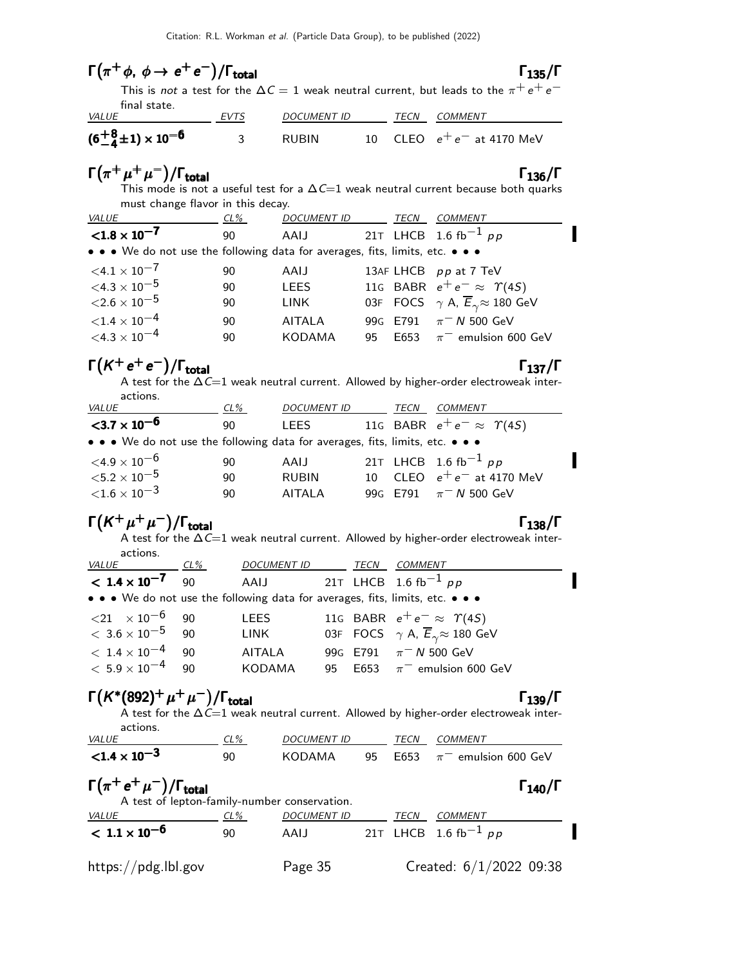|                                                                               |             |                                      |                                       | This is <i>not</i> a test for the $\Delta C = 1$ weak neutral current, but leads to the $\pi^+ \, e^+ \, e^-$                   |
|-------------------------------------------------------------------------------|-------------|--------------------------------------|---------------------------------------|---------------------------------------------------------------------------------------------------------------------------------|
| final state.<br>VALUE                                                         | <u>EVTS</u> | DOCUMENT ID TECN COMMENT             |                                       |                                                                                                                                 |
| $(6-4+1) \times 10^{-6}$                                                      | 3           | <b>RUBIN</b>                         |                                       | 10 CLEO $e^+e^-$ at 4170 MeV                                                                                                    |
| $\Gamma(\pi^+\mu^+\mu^-)/\Gamma_{\rm total}$                                  |             |                                      |                                       | $\Gamma_{136}/\Gamma$<br>This mode is not a useful test for a $\Delta C=1$ weak neutral current because both quarks             |
| must change flavor in this decay.                                             |             |                                      |                                       |                                                                                                                                 |
| VALUE<br>$CL\%$                                                               |             | <u>DOCUMENT ID TECN COMMENT</u>      |                                       |                                                                                                                                 |
| $< 1.8 \times 10^{-7}$                                                        | 90          | AAIJ                                 |                                       | 21T LHCB 1.6 fb <sup>-1</sup> pp                                                                                                |
| • • • We do not use the following data for averages, fits, limits, etc. • • • |             |                                      |                                       |                                                                                                                                 |
| $<$ 4.1 $\times$ 10 <sup>-7</sup>                                             | 90          | AAIJ                                 |                                       | 13AF LHCB pp at 7 TeV                                                                                                           |
| ${<}4.3\times10^{-5}$                                                         | 90          | <b>LEES</b>                          |                                       | 116 BABR $e^+e^- \approx \Upsilon(4S)$                                                                                          |
| ${<}2.6\times10^{-5}$                                                         | 90          | LINK                                 |                                       | 03F FOCS $\gamma$ A, $\overline{E}_{\gamma} \approx 180$ GeV                                                                    |
| ${<}1.4\times10^{-4}$                                                         | 90          | AITALA                               |                                       | 99G E791 $\pi$ <sup>-</sup> N 500 GeV                                                                                           |
| $<$ 4.3 $\times$ 10 <sup>-4</sup>                                             | 90          | KODAMA                               |                                       | 95 E653 $\pi^-$ emulsion 600 GeV                                                                                                |
| $\Gamma(K^+e^+e^-)/\Gamma_{\rm total}$<br>actions.                            |             |                                      |                                       | $\Gamma_{137}/\Gamma$<br>A test for the $\Delta C=1$ weak neutral current. Allowed by higher-order electroweak inter-           |
| <u>VALUE</u>                                                                  | <u>CL%</u>  | DOCUMENT ID _______ TECN ___ COMMENT |                                       |                                                                                                                                 |
| ${<}3.7\times10^{-6}$                                                         | 90          | <b>LEES</b>                          |                                       | 116 BABR $e^+e^- \approx \Upsilon(45)$                                                                                          |
| • • • We do not use the following data for averages, fits, limits, etc. • • • |             |                                      |                                       |                                                                                                                                 |
| ${<}4.9\times10^{-6}$                                                         | 90          | AAIJ                                 |                                       | 21T LHCB 1.6 fb <sup>-1</sup> pp                                                                                                |
| ${<}5.2\times10^{-5}$                                                         | 90          | RUBIN                                |                                       | 10 CLEO $e^+e^-$ at 4170 MeV                                                                                                    |
| ${<}1.6\times10^{-3}$                                                         | 90          | AITALA                               |                                       | 99G E791 $\pi$ <sup>-</sup> N 500 GeV                                                                                           |
| $\Gamma(K^+\mu^+\mu^-)/\Gamma_{\rm total}$                                    |             |                                      |                                       | $\Gamma_{138}/\Gamma$<br>A test for the $\Delta C=1$ weak neutral current. Allowed by higher-order electroweak inter-           |
| actions.<br><b>VALUE</b>                                                      |             | DOCUMENT ID TECN COMMENT             |                                       |                                                                                                                                 |
| $CL\%$<br>$< 1.4 \times 10^{-7}$ 90                                           | AAIJ        |                                      | 21T LHCB 1.6 fb <sup>-1</sup> pp      |                                                                                                                                 |
| • • • We do not use the following data for averages, fits, limits, etc. • • • |             |                                      |                                       |                                                                                                                                 |
| ${<}21 \times 10^{-6}$<br>90                                                  | LEES        |                                      |                                       | 11G BABR $e^+e^- \approx \Upsilon(4S)$                                                                                          |
|                                                                               |             | LINK                                 |                                       | 03F FOCS $\gamma$ A, $\overline{E}_{\gamma} \approx 180$ GeV                                                                    |
|                                                                               |             |                                      |                                       |                                                                                                                                 |
| $<\,3.6\times10^{-5}$<br>90                                                   |             |                                      |                                       |                                                                                                                                 |
| $<\,1.4\times10^{-4}$<br>90                                                   | AITALA      |                                      | 99G E791 $\pi$ <sup>-</sup> N 500 GeV |                                                                                                                                 |
| $<\,5.9\times10^{-4}$<br>90                                                   |             | KODAMA<br>95                         |                                       | E653 $\pi^-$ emulsion 600 GeV                                                                                                   |
| $\Gamma(K^*(892)^+ \mu^+ \mu^-)/\Gamma_{\rm total}$<br>actions.               |             |                                      |                                       | $\Gamma_{139}/\Gamma$<br>A test for the $\Delta \tilde{C} = 1$ weak neutral current. Allowed by higher-order electroweak inter- |

| <i>VALUE</i>                                                                                 | $CL\%$ | <b>DOCUMENT ID</b> |    | TECN | <b>COMMENT</b>                     |
|----------------------------------------------------------------------------------------------|--------|--------------------|----|------|------------------------------------|
| $< 1.4 \times 10^{-3}$                                                                       | 90     | KODAMA             | 95 | E653 | $\pi^-$ emulsion 600 GeV           |
| $\Gamma(\pi^+ e^+ \mu^-)/\Gamma_{\rm total}$<br>A test of lepton-family-number conservation. |        |                    |    |      | $\Gamma_{140}/\Gamma$              |
| <i>VALUE</i>                                                                                 | CL%    | <b>DOCUMENT ID</b> |    | TECN | <b>COMMENT</b>                     |
| $< 1.1 \times 10^{-6}$                                                                       | 90     | AAIJ               |    |      | 21T LHCB 1.6 fb <sup>-1</sup> $pp$ |
| https://pdg.lbl.gov                                                                          |        | Page 35            |    |      | Created: $6/1/2022$ 09:38          |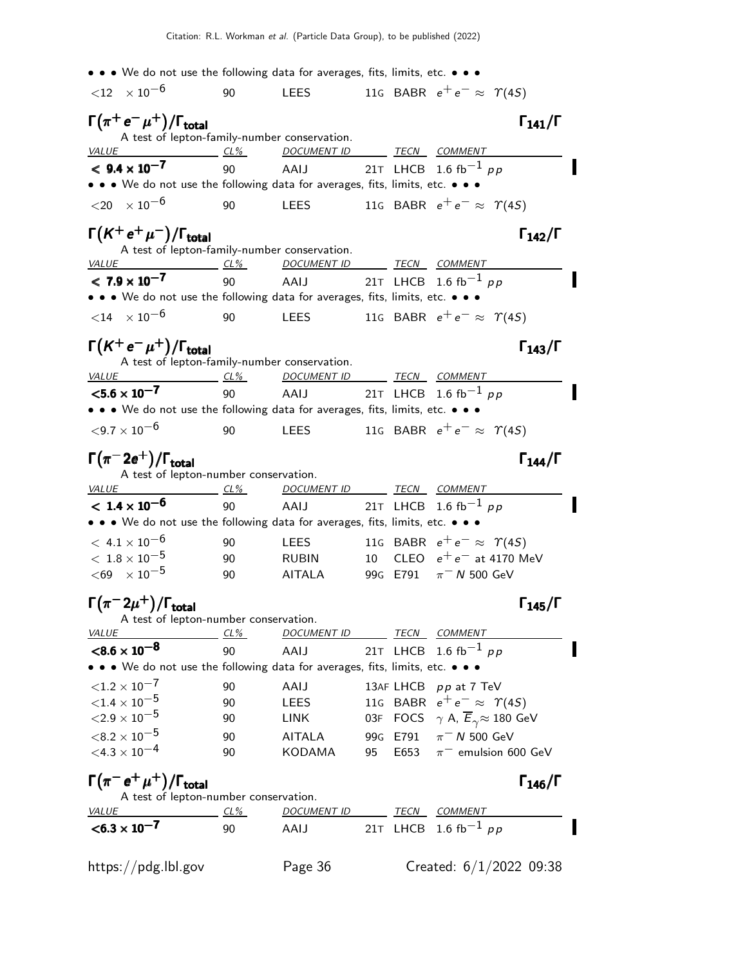| • • • We do not use the following data for averages, fits, limits, etc. • • •                                                                   |                                                 |                                                             |     |                  |                                                                 |                                                          |  |
|-------------------------------------------------------------------------------------------------------------------------------------------------|-------------------------------------------------|-------------------------------------------------------------|-----|------------------|-----------------------------------------------------------------|----------------------------------------------------------|--|
| ${12 \times 10^{-6}}$                                                                                                                           | 90                                              | <b>LEES</b>                                                 |     |                  | 116 BABR $e^+e^- \approx \Upsilon(45)$                          |                                                          |  |
| $\Gamma(\pi^+\,e^-\,\mu^+)/\Gamma_{\rm total}$                                                                                                  |                                                 |                                                             |     |                  |                                                                 | $\Gamma_{141}/\Gamma$                                    |  |
|                                                                                                                                                 | A test of lepton-family-number conservation.    |                                                             |     |                  |                                                                 |                                                          |  |
| <i>VALUE</i><br>$< 9.4 \times 10^{-7}$                                                                                                          | $CL\%$<br>90                                    | DOCUMENT ID TECN COMMENT<br>AAIJ 21T LHCB 1.6 fb $^{-1}$ pp |     |                  |                                                                 |                                                          |  |
| • • • We do not use the following data for averages, fits, limits, etc. • • •                                                                   |                                                 |                                                             |     |                  |                                                                 |                                                          |  |
| ${1,20 \times 10^{-6}}$                                                                                                                         | 90                                              | <b>LEES</b>                                                 |     |                  | 116 BABR $e^+e^- \approx \Upsilon(45)$                          |                                                          |  |
| $\Gamma(K^+e^+\mu^-)/\Gamma_{\rm total}$                                                                                                        |                                                 |                                                             |     |                  |                                                                 | $\Gamma_{142}/\Gamma$                                    |  |
|                                                                                                                                                 | A test of lepton-family-number conservation.    |                                                             |     |                  |                                                                 |                                                          |  |
| <i>VALUE</i><br>$< 7.9 \times 10^{-7}$                                                                                                          | $CL\%$                                          | DOCUMENT ID TECN COMMENT<br>AAIJ 21T LHCB 1.6 fb $^{-1}$ pp |     |                  |                                                                 |                                                          |  |
| • • • We do not use the following data for averages, fits, limits, etc. • • •                                                                   | 90                                              |                                                             |     |                  |                                                                 |                                                          |  |
| $<$ 14 $\times$ 10 <sup>-6</sup>                                                                                                                | 90                                              | <b>LEES</b>                                                 |     |                  | 116 BABR $e^+e^- \approx \Upsilon(45)$                          |                                                          |  |
| $\Gamma(K^+e^-\mu^+)/\Gamma_{\rm total}$                                                                                                        |                                                 |                                                             |     |                  |                                                                 | $\Gamma_{143}/\Gamma$                                    |  |
|                                                                                                                                                 | A test of lepton-family-number conservation.    |                                                             |     |                  |                                                                 |                                                          |  |
| <b>VALUE</b>                                                                                                                                    | $CL\%$                                          | DOCUMENT ID TECN COMMENT                                    |     |                  |                                                                 |                                                          |  |
| $< 5.6 \times 10^{-7}$                                                                                                                          | 90                                              | AAIJ 21T LHCB 1.6 fb $^{-1}$ pp                             |     |                  |                                                                 |                                                          |  |
| • • • We do not use the following data for averages, fits, limits, etc. • • •                                                                   |                                                 |                                                             |     |                  |                                                                 |                                                          |  |
| ${<}9.7\times10^{-6}$                                                                                                                           | 90                                              | <b>LEES</b>                                                 |     |                  | 116 BABR $e^+e^- \approx \Upsilon(45)$                          |                                                          |  |
| $\Gamma(\pi^-2e^+)/\Gamma_{\rm total}$                                                                                                          |                                                 |                                                             |     |                  |                                                                 | $\Gamma_{144}/\Gamma$                                    |  |
| <i>VALUE</i>                                                                                                                                    | A test of lepton-number conservation.<br>$CL\%$ | DOCUMENT ID TECN COMMENT                                    |     |                  |                                                                 |                                                          |  |
| $< 1.4 \times 10^{-6}$                                                                                                                          | 90                                              | AAIJ                                                        |     |                  | 21T LHCB 1.6 fb <sup>-1</sup> pp                                |                                                          |  |
| • • • We do not use the following data for averages, fits, limits, etc. • • •                                                                   |                                                 |                                                             |     |                  |                                                                 |                                                          |  |
| $< 4.1 \times 10^{-6}$                                                                                                                          | 90                                              | <b>LEES</b>                                                 |     |                  | 11G BABR $e^+e^- \approx \Upsilon(4S)$                          |                                                          |  |
| $<\,1.8\times10^{-5}$                                                                                                                           | 90                                              | <b>RUBIN</b>                                                |     |                  |                                                                 | 10 CLEO $e^+e^-$ at 4170 MeV                             |  |
| ${<}69$ $\times 10^{-5}$                                                                                                                        | 90                                              | <b>AITALA</b>                                               |     |                  | 99G E791 $\pi$ <sup>-</sup> N 500 GeV                           |                                                          |  |
| $\Gamma(\pi^- 2\mu^+)/\Gamma_{\rm total}$                                                                                                       |                                                 |                                                             |     |                  |                                                                 | $\Gamma_{145}/\Gamma$                                    |  |
|                                                                                                                                                 | A test of lepton-number conservation.           |                                                             |     |                  |                                                                 |                                                          |  |
| <b>VALUE</b>                                                                                                                                    | $CL\%$                                          | <u>DOCUMENT ID</u>                                          |     |                  | TECN COMMENT                                                    |                                                          |  |
| $< 8.6 \times 10^{-8}$<br>$\bullet \bullet \bullet$ We do not use the following data for averages, fits, limits, etc. $\bullet \bullet \bullet$ | 90                                              | AAIJ                                                        |     | 21T LHCB         | 1.6 fb <sup>-1</sup> pp                                         |                                                          |  |
| ${<}1.2 \times 10^{-7}$                                                                                                                         |                                                 |                                                             |     |                  |                                                                 |                                                          |  |
| ${<}1.4 \times 10^{-5}$                                                                                                                         | 90<br>90                                        | AAIJ<br><b>LEES</b>                                         |     |                  | 13AF LHCB pp at 7 TeV<br>11G BABR $e^+e^- \approx \Upsilon(4S)$ |                                                          |  |
| ${<}2.9\times10^{-5}$                                                                                                                           | 90                                              | LINK                                                        | 03F |                  |                                                                 | FOCS $\gamma$ A, $\overline{E}_{\gamma} \approx 180$ GeV |  |
| $<\!8.2\times10^{-5}$                                                                                                                           |                                                 |                                                             |     |                  | $\pi$ <sup>-</sup> N 500 GeV                                    |                                                          |  |
| ${<}4.3\times10^{-4}$                                                                                                                           | 90<br>90                                        | <b>AITALA</b><br>KODAMA                                     | 95  | 99G E791<br>E653 |                                                                 | $\pi^-$ emulsion 600 GeV                                 |  |
| $\Gamma(\pi^- e^+ \mu^+)/\Gamma_{\rm total}$                                                                                                    |                                                 |                                                             |     |                  |                                                                 | $\Gamma_{146}/\Gamma$                                    |  |
|                                                                                                                                                 | A test of lepton-number conservation.           |                                                             |     |                  |                                                                 |                                                          |  |
| VALUE                                                                                                                                           | <u>CL%</u>                                      | <u>DOCUMENT ID</u>                                          |     | TECN             | <b>COMMENT</b>                                                  |                                                          |  |
| $< 6.3 \times 10^{-7}$                                                                                                                          | 90                                              | AAIJ                                                        |     |                  | 21T LHCB 1.6 fb <sup>-1</sup> pp                                |                                                          |  |
| https://pdg.lbl.gov                                                                                                                             |                                                 | Page 36                                                     |     |                  |                                                                 | Created: $6/1/2022$ 09:38                                |  |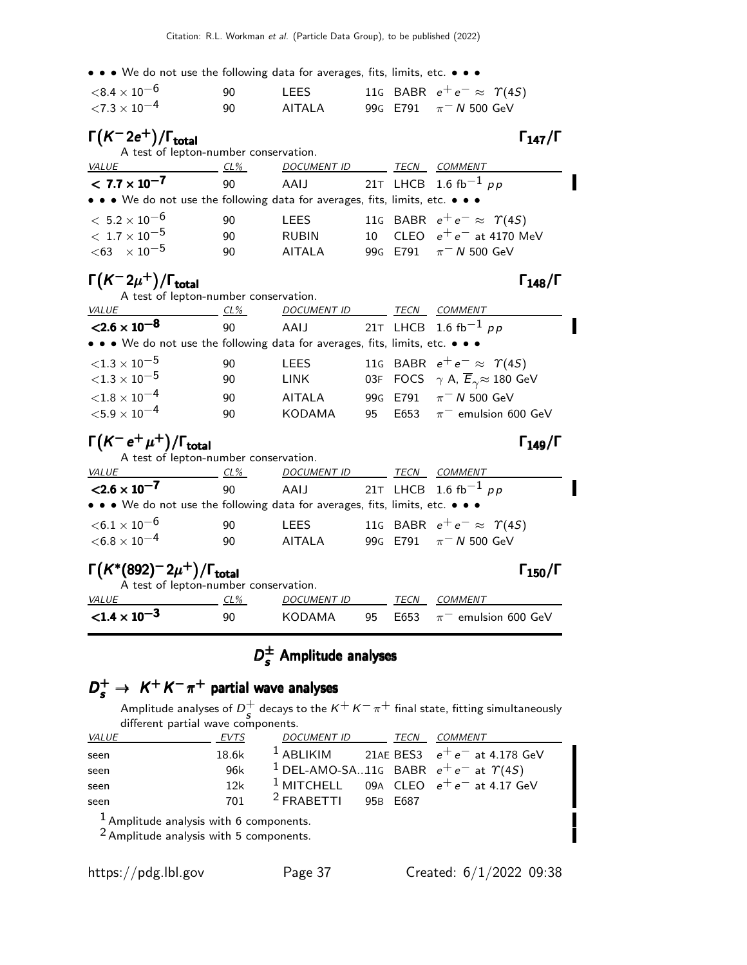• • • We do not use the following data for averages, fits, limits, etc. • • •

| ${<}8.4\times10^{-6}$       | 90. | LEES   |  | 116 BABR $e^+e^- \approx \Upsilon(45)$ |  |
|-----------------------------|-----|--------|--|----------------------------------------|--|
| $<$ 7.3 $\times$ 10 $^{-4}$ | 90  | AITALA |  | 99G E791 $\pi$ <sup>-</sup> N 500 GeV  |  |

#### $\Gamma(K^- 2e^+) / \Gamma_{\text{total}}$  Γ<sub>147</sub>/Γ total147

| A test of lepton-number conservation.                                         |     |                    |      |                                        |  |
|-------------------------------------------------------------------------------|-----|--------------------|------|----------------------------------------|--|
| <i>VALUE</i>                                                                  | CL% | <b>DOCUMENT ID</b> | TECN | COMMENT                                |  |
| $< 7.7 \times 10^{-7}$                                                        | 90  |                    |      | AAIJ 21T LHCB 1.6 fb <sup>-1</sup> pp  |  |
| • • • We do not use the following data for averages, fits, limits, etc. • • • |     |                    |      |                                        |  |
| $< 5.2 \times 10^{-6}$                                                        | 90  | <b>LEES</b>        |      | 116 BABR $e^+e^- \approx \Upsilon(4S)$ |  |
| $<\rm~1.7\times 10^{-5}$                                                      | 90  | <b>RUBIN</b>       |      | 10 CLEO $e^+e^-$ at 4170 MeV           |  |
| $< 63 \times 10^{-5}$                                                         | 90  | <b>AITALA</b>      |      | 99G E791 $\pi$ <sup>-</sup> N 500 GeV  |  |

### $\Gamma(K^- 2\mu^+)$ /Γ<sub>total</sub> 148/Γ

| A test of lepton-number conservation.                                         |     |                                       |    |      |                                                              |  |
|-------------------------------------------------------------------------------|-----|---------------------------------------|----|------|--------------------------------------------------------------|--|
| VALUE                                                                         | CL% | <b>DOCUMENT ID</b>                    |    | TECN | <b>COMMENT</b>                                               |  |
| $<$ 2.6 $\times$ 10 <sup>-8</sup>                                             | 90  | AAIJ 21T LHCB 1.6 fb <sup>-1</sup> pp |    |      |                                                              |  |
| • • • We do not use the following data for averages, fits, limits, etc. • • • |     |                                       |    |      |                                                              |  |
| ${<}1.3\times10^{-5}$                                                         | 90  | <b>LEES</b>                           |    |      | 116 BABR $e^+e^- \approx \Upsilon(4S)$                       |  |
| ${<}1.3\times10^{-5}$                                                         | 90  | LINK                                  |    |      | 03F FOCS $\gamma$ A, $\overline{E}_{\gamma} \approx 180$ GeV |  |
| ${<}1.8\times10^{-4}$                                                         | 90  | <b>AITALA</b>                         |    |      | 99G E791 $\pi$ <sup>-</sup> N 500 GeV                        |  |
| ${<}5.9\times10^{-4}$                                                         | 90  | <b>KODAMA</b>                         | 95 |      | $E653$ $\pi^-$ emulsion 600 GeV                              |  |
|                                                                               |     |                                       |    |      |                                                              |  |

### $\Gamma(K^-e^+\mu^+)/\Gamma_{\rm total}$

| $\Gamma(K^- e^+ \mu^+)/\Gamma_{\rm total}$                                             |        |                                       |    |      | $\Gamma_{149}/\Gamma$                  |  |
|----------------------------------------------------------------------------------------|--------|---------------------------------------|----|------|----------------------------------------|--|
| A test of lepton-number conservation.<br><b>VALUE</b>                                  | $CL\%$ | <b>DOCUMENT ID</b>                    |    | TECN | <b>COMMENT</b>                         |  |
| $< 2.6 \times 10^{-7}$                                                                 | 90     | AAIJ 21T LHCB 1.6 fb <sup>-1</sup> pp |    |      |                                        |  |
| • • • We do not use the following data for averages, fits, limits, etc. • • •          |        |                                       |    |      |                                        |  |
| $<$ 6.1 $\times$ 10 $^{-6}$                                                            | 90     | <b>LEES</b>                           |    |      | 116 BABR $e^+e^- \approx \Upsilon(4S)$ |  |
| $<$ 6.8 $\times$ 10 $^{-4}$                                                            | 90     | <b>AITALA</b>                         |    |      | 99G E791 $\pi$ <sup>-</sup> N 500 GeV  |  |
| $\Gamma(K^*(892)^-2\mu^+)/\Gamma_{\rm total}$<br>A test of lepton-number conservation. |        |                                       |    |      | $\Gamma_{150}/\Gamma$                  |  |
| <i>VALUE</i>                                                                           | CL%    | <b>DOCUMENT ID</b>                    |    | TECN | COMMENT                                |  |
| $<$ 1.4 $\times$ 10 <sup>-3</sup>                                                      | 90     | KODAMA                                | 95 | E653 | $\pi^-$ emulsion 600 GeV               |  |

# $D_{s}^{\pm}$  Amplitude analyses

# $D_s^+ \rightarrow K^+K^-\pi^+$  partial wave analyses

Amplitude analyses of  $D^+$  $_s^+$  decays to the  $K^+K^-\pi^+$  final state, fitting simultaneously different partial wave components.

| VALUE | EVTS  | <b>DOCUMENT ID</b>    | TECN | <i>COMMENT</i>                                           |
|-------|-------|-----------------------|------|----------------------------------------------------------|
| seen  | 18.6k |                       |      | <sup>1</sup> ABLIKIM 21AE BES3 $e^+e^-$ at 4.178 GeV     |
| seen  | 96k   |                       |      | <sup>1</sup> DEL-AMO-SA11G BABR $e^+e^-$ at $\gamma(45)$ |
| seen  | 12k   |                       |      | <sup>1</sup> MITCHELL 09A CLEO $e^+e^-$ at 4.17 GeV      |
| seen  | 701   | $2$ FRABETTI 95B E687 |      |                                                          |
| 1.    |       |                       |      |                                                          |

1 Amplitude analysis with 6 components.

2 Amplitude analysis with 5 components.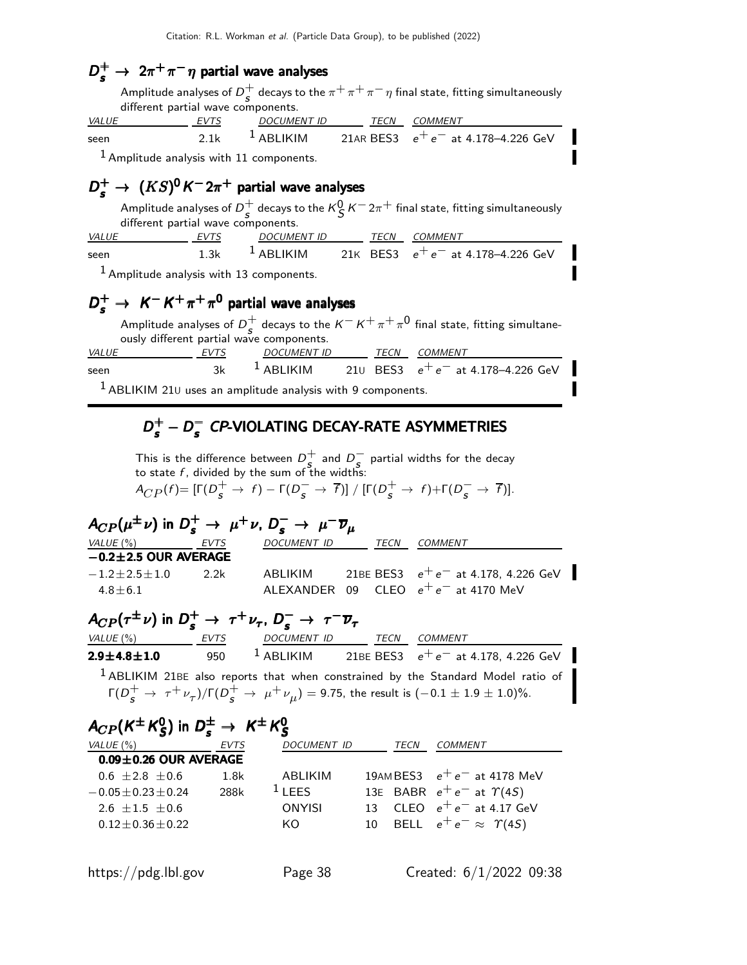# $D_s^+ \rightarrow 2\pi^+\pi^-\eta$  partial wave analyses

Amplitude analyses of  $D^+$  $_s^+$  decays to the  $\pi^+\pi^+\pi^-\eta$  final state, fitting simultaneously different partial wave components.

| <b>VALUE</b>                              | <i>FVTS</i> | DOCUMENT ID | <i>TECN COMMENT</i>                                             |
|-------------------------------------------|-------------|-------------|-----------------------------------------------------------------|
| seen                                      |             |             | 2.1k <sup>1</sup> ABLIKIM 21AR BES3 $e^+e^-$ at 4.178-4.226 GeV |
| $1$ Amplitude analysis with 11 components |             |             |                                                                 |

Amplitude analysis with 11 components.

# $D_s^+ \rightarrow~ (KS)^0 K^- 2\pi^+$  partial wave analyses

Amplitude analyses of  $D^+$  $\frac{1}{s}$  decays to the  $\kappa_S^0 \, \kappa^- \,$ 2 $\pi^+$  final state, fitting simultaneously different partial wave components.

| VALUE                                      | <i>EVTS</i> | DOCUMENT ID |  | <i>TECN COMMENT</i>                                            |
|--------------------------------------------|-------------|-------------|--|----------------------------------------------------------------|
| seen                                       |             |             |  | 1.3k <sup>1</sup> ABLIKIM 21K BES3 $e^+e^-$ at 4.178-4.226 GeV |
| $1$ Amplitude analysis with 13 components. |             |             |  |                                                                |

# $D_s^+ \rightarrow K^- K^+ \pi^+ \pi^0$  partial wave analyses

Amplitude analyses of  $D^+$  $\frac{1}{s}$  decays to the  $K^ K^+$   $\pi^+$   $\pi^0$  final state, fitting simultaneously different partial wave components. VALUE EVTS DOCUMENT ID TECN COMMENT seen 3k  $1$  ABLIKIM 21∪ BES3  $e^+e^-$  at 4.178–4.226 GeV

 $<sup>1</sup>$  ABLIKIM 210 uses an amplitude analysis with 9 components.</sup>

# $D_s^+ - D_s^-$  CP-VIOLATING DECAY-RATE ASYMMETRIES

This is the difference between  $D^+_{\epsilon}$  $\frac{1}{s}$  and  $\overline{D}_{s}^{-}$  partial widths for the decay to state  $f$ , divided by the sum of the widths:

$$
A_{CP}(f) = \left[\Gamma(D_{S}^{+} \rightarrow f) - \Gamma(D_{S}^{-} \rightarrow \overline{f})\right] / \left[\Gamma(D_{S}^{+} \rightarrow f) + \Gamma(D_{S}^{-} \rightarrow \overline{f})\right].
$$

| $A_{CP}(\mu^{\pm}\nu)$ in $D_s^+ \rightarrow \mu^+\nu$ , $D_s^- \rightarrow \mu^- \overline{\nu}_{\mu}$ |  |             |  |      |                                                |  |  |  |
|---------------------------------------------------------------------------------------------------------|--|-------------|--|------|------------------------------------------------|--|--|--|
| VALUE (%) EVTS                                                                                          |  | DOCUMENT ID |  | TECN | <i>COMMENT</i>                                 |  |  |  |
| $-0.2 \pm 2.5$ OUR AVERAGE                                                                              |  |             |  |      |                                                |  |  |  |
| $-1.2 + 2.5 + 1.0$ 2.2k                                                                                 |  |             |  |      | ABLIKIM 21BE BES3 $e^+e^-$ at 4.178, 4.226 GeV |  |  |  |
| $4.8 + 6.1$                                                                                             |  |             |  |      | ALEXANDER 09 CLEO $e^+e^-$ at 4170 MeV         |  |  |  |

# $A_{CP}(\tau^{\pm}\nu)$  in  $D_s^+ \rightarrow \tau^+\nu_{\tau}$ ,  $D_s^- \rightarrow \tau^- \overline{\nu}_{\tau}$

| VALUE (%)             | EVTS | <b>DOCUMENT ID</b>                                                                                                      | TECN | COMMENT |                                                                                             |
|-----------------------|------|-------------------------------------------------------------------------------------------------------------------------|------|---------|---------------------------------------------------------------------------------------------|
| $2.9 \pm 4.8 \pm 1.0$ | 950  | $1$ ABLIKIM                                                                                                             |      |         | 21BE BES3 $e^+e^-$ at 4.178, 4.226 GeV                                                      |
|                       |      |                                                                                                                         |      |         | <sup>1</sup> ABLIKIM 21BE also reports that when constrained by the Standard Model ratio of |
|                       |      | $\Gamma(D_c^+ \to \tau^+ \nu_\tau)/\Gamma(D_c^+ \to \mu^+ \nu_\mu) = 9.75$ , the result is $(-0.1 \pm 1.9 \pm 1.0)\%$ . |      |         |                                                                                             |

#### $A_{CP}$ (K $^{\pm}$ K $_{S}^{0}$  $S^0$ ) in  $D_s^{\pm} \rightarrow K^{\pm} K^0_S$  $A_{CP}(K^{\pm} K^0_S)$  in  $D_s^{\pm} \rightarrow K^{\pm} K^0_S$

| VALUE $(\%)$                | <b>EVTS</b> | <b>DOCUMENT ID</b> | TECN | <b>COMMENT</b>                        |
|-----------------------------|-------------|--------------------|------|---------------------------------------|
| $0.09 \pm 0.26$ OUR AVERAGE |             |                    |      |                                       |
| $0.6 \pm 2.8 \pm 0.6$       | 1.8k        | ABI IKIM           |      | 19AMBES3 $e^+e^-$ at 4178 MeV         |
| $-0.05 + 0.23 + 0.24$       | 288k        | $1$ I FFS          |      | 13E BABR $e^+e^-$ at $\Upsilon(4S)$   |
| $2.6 + 1.5 + 0.6$           |             | ONYISI             |      | 13 CLEO $e^+e^-$ at 4.17 GeV          |
| $0.12 \pm 0.36 \pm 0.22$    |             | KO                 |      | 10 BELL $e^+e^- \approx \Upsilon(45)$ |
|                             |             |                    |      |                                       |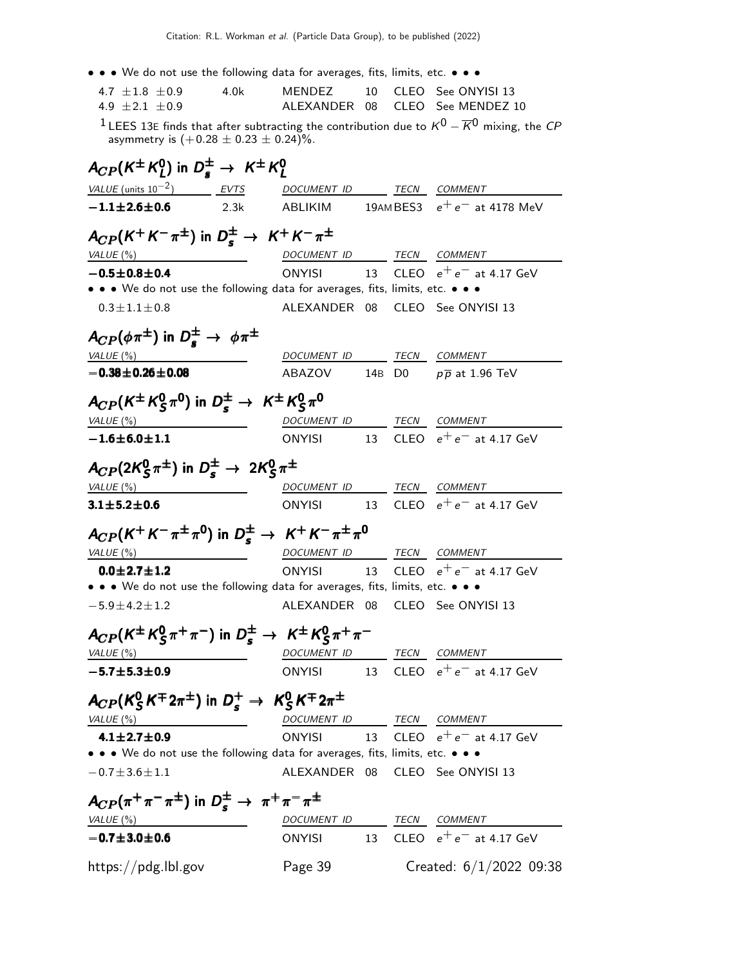| • • • We do not use the following data for averages, fits, limits, etc. • • •                          |      |                                       |    |                                                                                                                      |
|--------------------------------------------------------------------------------------------------------|------|---------------------------------------|----|----------------------------------------------------------------------------------------------------------------------|
| 4.7 $\pm 1.8 \pm 0.9$                                                                                  | 4.0k | MENDEZ                                | 10 | CLEO See ONYISI 13                                                                                                   |
| 4.9 $\pm 2.1 \pm 0.9$                                                                                  |      | ALEXANDER 08                          |    | CLEO See MENDEZ 10                                                                                                   |
| asymmetry is $(+0.28 \pm 0.23 \pm 0.24)\%$ .                                                           |      |                                       |    | <sup>1</sup> LEES 13E finds that after subtracting the contribution due to $K^0$ – $\overline{K}{}^0$ mixing, the CP |
| $A_{CP}(K^{\pm} K_I^0)$ in $D_{\epsilon}^{\pm} \rightarrow K^{\pm} K_I^0$                              |      |                                       |    |                                                                                                                      |
| $VALU E$ (units $10^{-2}$ ) EVTS DOCUMENT ID TECN COMMENT                                              |      |                                       |    |                                                                                                                      |
| $-1.1 \pm 2.6 \pm 0.6$                                                                                 | 2.3k |                                       |    | ABLIKIM $19$ AMBES3 $e^+e^-$ at 4178 MeV                                                                             |
| $A_{CP}(K^+K^-\pi^{\pm})$ in $D_s^{\pm} \rightarrow K^+K^-\pi^{\pm}$                                   |      |                                       |    |                                                                                                                      |
| VALUE $(\%)$                                                                                           |      | DOCUMENT ID TECN COMMENT              |    |                                                                                                                      |
| $-0.5 \pm 0.8 \pm 0.4$                                                                                 |      | <b>ONYISI</b>                         |    | 13 CLEO $e^+e^-$ at 4.17 GeV                                                                                         |
| • • • We do not use the following data for averages, fits, limits, etc. • • •                          |      |                                       |    |                                                                                                                      |
| $0.3 \pm 1.1 \pm 0.8$                                                                                  |      |                                       |    | ALEXANDER 08 CLEO See ONYISI 13                                                                                      |
| $A_{CP}(\phi \pi^{\pm})$ in $D_{\epsilon}^{\pm} \rightarrow \phi \pi^{\pm}$                            |      |                                       |    |                                                                                                                      |
| VALUE (%)                                                                                              |      | DOCUMENT ID TECN COMMENT              |    |                                                                                                                      |
| $-0.38 + 0.26 + 0.08$                                                                                  |      |                                       |    | ABAZOV 14B D0 $p\overline{p}$ at 1.96 TeV                                                                            |
| $A_{CP}(K^{\pm} K^0_S \pi^0)$ in $D^{\pm} \rightarrow K^{\pm} K^0_S \pi^0$                             |      |                                       |    |                                                                                                                      |
| VALUE $($ %)                                                                                           |      | DOCUMENT ID TECN COMMENT              |    |                                                                                                                      |
| $-1.6 \pm 6.0 \pm 1.1$                                                                                 |      |                                       |    | ONYISI 13 CLEO $e^+e^-$ at 4.17 GeV                                                                                  |
|                                                                                                        |      |                                       |    |                                                                                                                      |
| $A_{CP}(2K_S^0\pi^{\pm})$ in $D_s^{\pm} \rightarrow 2K_S^0\pi^{\pm}$                                   |      |                                       |    |                                                                                                                      |
| VALUE $(\%)$<br><u> 1989 - Johann Barnett, fransk politiker (</u>                                      |      | DOCUMENT ID                           |    | TECN COMMENT                                                                                                         |
| $3.1 \pm 5.2 \pm 0.6$                                                                                  |      | <b>ONYISI</b><br>13                   |    | CLEO $e^+e^-$ at 4.17 GeV                                                                                            |
|                                                                                                        |      |                                       |    |                                                                                                                      |
| $A_{CP}(K^+K^-\pi^{\pm}\pi^0)$ in $D_s^{\pm} \rightarrow K^+K^-\pi^{\pm}\pi^0$                         |      |                                       |    |                                                                                                                      |
| VALUE $(\%)$                                                                                           |      | DOCUMENT ID TECN COMMENT<br>ONYISI 13 |    |                                                                                                                      |
| $0.0 \pm 2.7 \pm 1.2$<br>• • • We do not use the following data for averages, fits, limits, etc. • • • |      |                                       |    | CLEO $e^+e^-$ at 4.17 GeV                                                                                            |
| $-5.9 \pm 4.2 \pm 1.2$                                                                                 |      |                                       |    | ALEXANDER 08 CLEO See ONYISI 13                                                                                      |
|                                                                                                        |      |                                       |    |                                                                                                                      |
| $A_{CP}(K^{\pm} K_S^0 \pi^+ \pi^-)$ in $D_s^{\pm} \rightarrow K^{\pm} K_S^0 \pi^+ \pi^-$               |      |                                       |    |                                                                                                                      |
| <u>VALUE (%)</u>                                                                                       |      | DOCUMENT ID TECN COMMENT              |    |                                                                                                                      |
| $-5.7 + 5.3 + 0.9$                                                                                     |      |                                       |    | ONYISI 13 CLEO $e^+e^-$ at 4.17 GeV                                                                                  |
| $A_{CP}(K_S^0 K^{\pm} 2\pi^{\pm})$ in $D_s^+ \rightarrow K_S^0 K^{\mp} 2\pi^{\pm}$                     |      |                                       |    |                                                                                                                      |
| VALUE (%)                                                                                              |      | DOCUMENT ID TECN COMMENT              |    |                                                                                                                      |
| $4.1 \pm 2.7 \pm 0.9$                                                                                  |      |                                       |    | ONYISI 13 CLEO $e^+e^-$ at 4.17 GeV                                                                                  |
| • • • We do not use the following data for averages, fits, limits, etc. • • •                          |      |                                       |    |                                                                                                                      |
| $-0.7 \pm 3.6 \pm 1.1$                                                                                 |      | ALEXANDER 08                          |    | CLEO See ONYISI 13                                                                                                   |
|                                                                                                        |      |                                       |    |                                                                                                                      |
| $A_{CP}(\pi^+\pi^-\pi^{\pm})$ in $D_s^{\pm} \rightarrow \pi^+\pi^-\pi^{\pm}$                           |      |                                       |    |                                                                                                                      |
| VALUE (%)                                                                                              |      | DOCUMENT ID TECN COMMENT              |    | 13 CLEO $e^+e^-$ at 4.17 GeV                                                                                         |
| $-0.7 \pm 3.0 \pm 0.6$                                                                                 |      | <b>ONYISI</b>                         |    |                                                                                                                      |
| https://pdg.lbl.gov                                                                                    |      | Page 39                               |    | Created: $6/1/2022$ 09:38                                                                                            |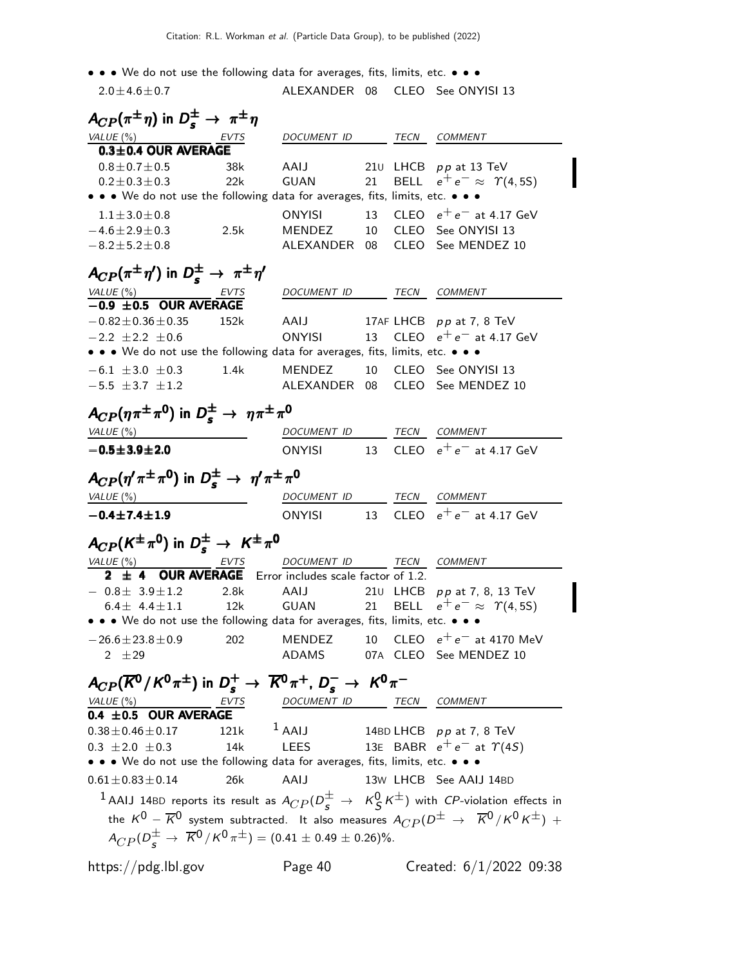• • • We do not use the following data for averages, fits, limits, etc. • • • •  $20+46+0.7$  ALEXANDER 08 CLEO See ONS

| $2.0 \pm 4.6 \pm 0.7$                                                                              |      |                                                     |  | ALEXANDER 08 CLEO See ONYISI 13                                                                                            |
|----------------------------------------------------------------------------------------------------|------|-----------------------------------------------------|--|----------------------------------------------------------------------------------------------------------------------------|
| $A_{CP}(\pi^{\pm}\eta)$ in $D_s^{\pm} \rightarrow \pi^{\pm}\eta$                                   |      |                                                     |  |                                                                                                                            |
| $VALUE(%)$ EVTS                                                                                    |      | DOCUMENT ID TECN COMMENT                            |  |                                                                                                                            |
| 0.3±0.4 OUR AVERAGE                                                                                |      |                                                     |  |                                                                                                                            |
| $0.8 \pm 0.7 \pm 0.5$                                                                              | 38k  | AAIJ                                                |  | 210 LHCB $pp$ at 13 TeV                                                                                                    |
| $0.2 \pm 0.3 \pm 0.3$                                                                              | 22k  | GUAN 21                                             |  | BELL $e^+e^- \approx \Upsilon(4, 5S)$                                                                                      |
| • • • We do not use the following data for averages, fits, limits, etc. • • •                      |      |                                                     |  |                                                                                                                            |
| $1.1 \pm 3.0 \pm 0.8$                                                                              |      |                                                     |  | ONYISI 13 CLEO $e^+e^-$ at 4.17 GeV                                                                                        |
| $-4.6 \pm 2.9 \pm 0.3$                                                                             | 2.5k |                                                     |  | MENDEZ 10 CLEO See ONYISI 13                                                                                               |
| $-8.2 \pm 5.2 \pm 0.8$                                                                             |      |                                                     |  | ALEXANDER 08 CLEO See MENDEZ 10                                                                                            |
| $A_{CP}(\pi^{\pm}\eta')$ in $D_{s}^{\pm} \rightarrow \pi^{\pm}\eta'$                               |      |                                                     |  |                                                                                                                            |
|                                                                                                    |      | DOCUMENT ID TECN COMMENT                            |  |                                                                                                                            |
| $\frac{VALUE(%)}{-0.9 \pm 0.5}$ OUR AVERAGE                                                        |      |                                                     |  |                                                                                                                            |
| $-0.82 \pm 0.36 \pm 0.35$                                                                          | 152k |                                                     |  | AAIJ 17AF LHCB pp at 7, 8 TeV                                                                                              |
| $-2.2 \pm 2.2 \pm 0.6$                                                                             |      |                                                     |  | ONYISI 13 CLEO $e^+e^-$ at 4.17 GeV                                                                                        |
| • • • We do not use the following data for averages, fits, limits, etc. • • •                      |      |                                                     |  |                                                                                                                            |
| $-6.1 \pm 3.0 \pm 0.3$ 1.4k MENDEZ 10 CLEO See ONYISI 13                                           |      |                                                     |  |                                                                                                                            |
| $-5.5 \pm 3.7 \pm 1.2$                                                                             |      |                                                     |  | ALEXANDER 08 CLEO See MENDEZ 10                                                                                            |
| $A_{CP}(\eta \pi^{\pm} \pi^{\prime})$ in $D_s^{\pm} \rightarrow \eta \pi^{\pm} \pi^{\prime}$       |      |                                                     |  |                                                                                                                            |
|                                                                                                    |      |                                                     |  |                                                                                                                            |
| VALUE (%)                                                                                          |      | DOCUMENT ID TECN COMMENT                            |  |                                                                                                                            |
| $-0.5 \pm 3.9 \pm 2.0$                                                                             |      |                                                     |  | ONYISI 13 CLEO $e^+e^-$ at 4.17 GeV                                                                                        |
| $A_{CP}(\eta'\pi^{\pm}\pi^{0})$ in $D_{s}^{\pm}\to \eta'\pi^{\pm}\pi^{0}$                          |      |                                                     |  |                                                                                                                            |
| VALUE $(\%)$                                                                                       |      | DOCUMENT ID TECN COMMENT                            |  |                                                                                                                            |
| $-0.4 \pm 7.4 \pm 1.9$                                                                             |      |                                                     |  | ONYISI 13 CLEO $e^+e^-$ at 4.17 GeV                                                                                        |
|                                                                                                    |      |                                                     |  |                                                                                                                            |
| $A_{CP}(K^{\pm}\pi^0)$ in $D_s^{\pm} \to K^{\pm}\pi^0$                                             |      |                                                     |  |                                                                                                                            |
| $\frac{VALUE \, (*)}{2 \pm 4}$ OUR AVERAGE Error includes scale factor of 1.2. COMMENT             |      |                                                     |  |                                                                                                                            |
|                                                                                                    |      |                                                     |  |                                                                                                                            |
| $-0.8 \pm 3.9 \pm 1.2$ 2.8k<br>$6.4 \pm 4.4 \pm 1.1$                                               | 12k  | AAIJ                                                |  | 210 LHCB pp at 7, 8, 13 TeV<br>GUAN 21 BELL $e^+e^- \approx \Upsilon(4, 5S)$                                               |
| • • • We do not use the following data for averages, fits, limits, etc. • • •                      |      |                                                     |  |                                                                                                                            |
|                                                                                                    |      |                                                     |  | MENDEZ 10 CLEO $e^+e^-$ at 4170 MeV                                                                                        |
| $-26.6 \pm 23.8 \pm 0.9$<br>2 $\pm 29$                                                             | 202  |                                                     |  | ADAMS 07A CLEO See MENDEZ 10                                                                                               |
|                                                                                                    |      |                                                     |  |                                                                                                                            |
| $A_{CP}(\overline{K}^0/K^0\pi^{\pm})$ in $D_s^+\to \overline{K}^0\pi^+$ , $D_s^-\to K^0\pi^-$      |      |                                                     |  |                                                                                                                            |
| $\frac{VALUE (%)}{0.4 \pm 0.5}$ OUR AVERAGE                                                        |      | DOCUMENT ID TECN COMMENT                            |  |                                                                                                                            |
|                                                                                                    |      |                                                     |  |                                                                                                                            |
| $0.38 \pm 0.46 \pm 0.17$                                                                           |      | 121k $\frac{1}{2}$ AAIJ 14BD LHCB $p p$ at 7, 8 TeV |  |                                                                                                                            |
| $0.3 \pm 2.0 \pm 0.3$                                                                              | 14k  |                                                     |  | LEES 13E BABR $e^+e^-$ at $\Upsilon(4S)$                                                                                   |
| • • • We do not use the following data for averages, fits, limits, etc. • • •                      |      |                                                     |  |                                                                                                                            |
| $0.61 \pm 0.83 \pm 0.14$                                                                           | 26k  | AAIJ                                                |  | 13W LHCB See AAIJ 14BD                                                                                                     |
|                                                                                                    |      |                                                     |  | $^1$ AAIJ 14BD reports its result as $A_{CP}(D^{\pm}_S~\to~~K^0_S\,K^{\pm})$ with $CP$ -violation effects in               |
|                                                                                                    |      |                                                     |  | the $K^0$ – $\overline{K}{}^0$ system subtracted. It also measures $A_{CP}(D^\pm \rightarrow \overline{K}{}^0/K^0K^\pm)$ + |
| $A_{CP}(D^{\pm}_{\leq}) \rightarrow \overline{K}^0/K^0 \pi^{\pm}$ = (0.41 $\pm$ 0.49 $\pm$ 0.26)%. |      |                                                     |  |                                                                                                                            |
|                                                                                                    |      |                                                     |  |                                                                                                                            |
| https://pdg.lbl.gov                                                                                |      | Page 40                                             |  | Created: $6/1/2022$ 09:38                                                                                                  |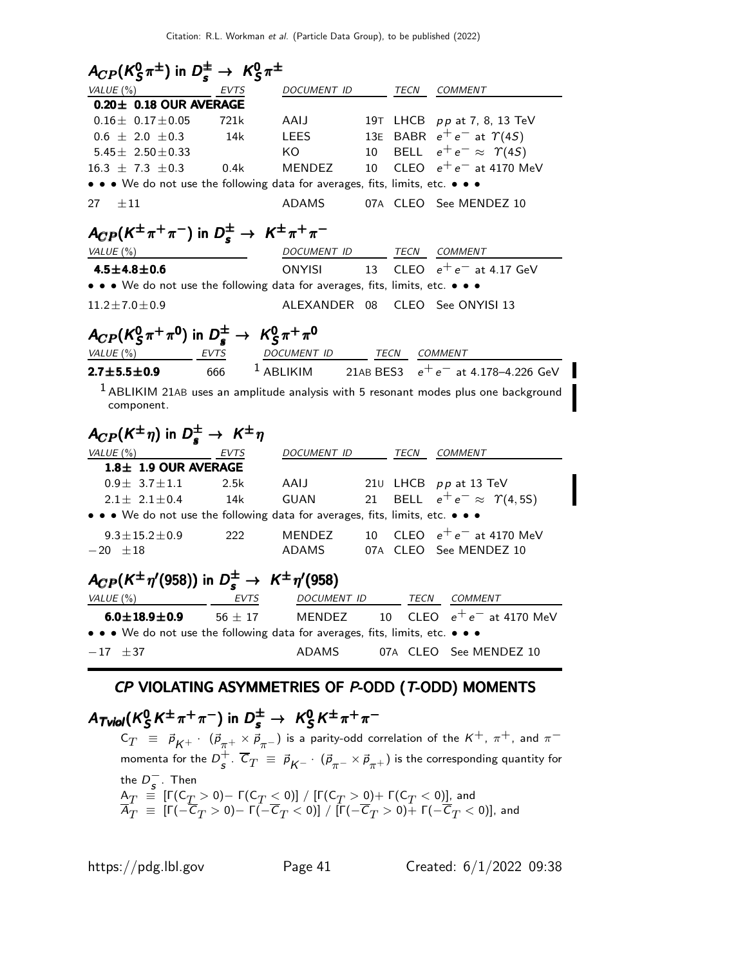| VALUE $(\%)$<br>EVTS                                                                                | $A_{CP}(K_S^0 \pi^{\pm})$ in $D_s^{\pm} \rightarrow K_S^0 \pi^{\pm}$<br>DOCUMENT ID |     | TECN        | <b>COMMENT</b>                                             |
|-----------------------------------------------------------------------------------------------------|-------------------------------------------------------------------------------------|-----|-------------|------------------------------------------------------------|
| $0.20 \pm 0.18$ OUR AVERAGE                                                                         |                                                                                     |     |             |                                                            |
| $0.16 \pm 0.17 \pm 0.05$<br>721k                                                                    | AAIJ                                                                                |     |             | 19T LHCB pp at 7, 8, 13 TeV                                |
| $0.6 \pm 2.0 \pm 0.3$<br>14k                                                                        | LEES                                                                                | 13E |             | BABR $e^+e^-$ at $\Upsilon(4S)$                            |
| 5.45 $\pm$ 2.50 $\pm$ 0.33                                                                          | KO                                                                                  | 10  |             | BELL $e^+e^- \approx \Upsilon(4S)$                         |
| $16.3 \pm 7.3 \pm 0.3$<br>0.4k                                                                      | MENDEZ                                                                              | 10  |             | CLEO $e^+e^-$ at 4170 MeV                                  |
| • • • We do not use the following data for averages, fits, limits, etc. • • •                       |                                                                                     |     |             |                                                            |
| 27<br>$\pm 11$                                                                                      | <b>ADAMS</b>                                                                        |     |             | 07A CLEO See MENDEZ 10                                     |
| $A_{CP}(K^{\pm}\pi^{+}\pi^{-})$ in $D_{s}^{\pm} \rightarrow K^{\pm}\pi^{+}\pi^{-}$                  |                                                                                     |     |             |                                                            |
| VALUE (%)                                                                                           | DOCUMENT ID                                                                         |     |             | TECN COMMENT                                               |
| $4.5 \pm 4.8 \pm 0.6$                                                                               | <b>ONYISI</b>                                                                       | 13  |             | CLEO $e^+e^-$ at 4.17 GeV                                  |
| • • • We do not use the following data for averages, fits, limits, etc. • • •                       |                                                                                     |     |             |                                                            |
| $11.2 \pm 7.0 \pm 0.9$                                                                              | ALEXANDER 08                                                                        |     |             | CLEO See ONYISI 13                                         |
| $A_{CP}(K_S^0 \pi^+ \pi^0)$ in $D_s^{\pm} \rightarrow K_S^0 \pi^+ \pi^0$                            |                                                                                     |     |             |                                                            |
| VALUE(%)<br><b>EVTS</b>                                                                             | DOCUMENT ID TECN COMMENT                                                            |     |             |                                                            |
| 666<br>$2.7 \pm 5.5 \pm 0.9$                                                                        |                                                                                     |     |             | <sup>1</sup> ABLIKIM 21AB BES3 $e^+e^-$ at 4.178-4.226 GeV |
| $1$ ABLIKIM 21AB uses an amplitude analysis with 5 resonant modes plus one background<br>component. |                                                                                     |     |             |                                                            |
| $A_{CP}(K^{\pm}\eta)$ in $D_{\epsilon}^{\pm} \rightarrow K^{\pm}\eta$                               |                                                                                     |     |             |                                                            |
| <u>VALUE (%) EVTS</u>                                                                               | DOCUMENT ID                                                                         |     | TECN        | <b>COMMENT</b>                                             |
| 1.8± 1.9 OUR AVERAGE                                                                                |                                                                                     |     |             |                                                            |
| $0.9 \pm 3.7 \pm 1.1$<br>2.5k                                                                       | AAIJ                                                                                |     |             | 210 LHCB $pp$ at 13 TeV                                    |
| $2.1 \pm 2.1 \pm 0.4$<br>14k                                                                        | GUAN                                                                                | 21  | <b>BELL</b> | $e^+e^- \approx \Upsilon(4, 5S)$                           |
| • • • We do not use the following data for averages, fits, limits, etc. • • •                       |                                                                                     |     |             |                                                            |
| 222<br>$9.3 \pm 15.2 \pm 0.9$                                                                       | MENDEZ                                                                              | 10  |             | CLEO $e^+e^-$ at 4170 MeV                                  |
| $-20 \pm 18$                                                                                        | ADAMS                                                                               |     |             | 07A CLEO See MENDEZ 10                                     |
| $A_{CP}(K^{\pm}\eta'(958))$ in $D_s^{\pm} \rightarrow K^{\pm}\eta'(958)$                            |                                                                                     |     |             |                                                            |
| EVTS<br>VALUE (%)                                                                                   | DOCUMENT ID                                                                         |     |             | TECN COMMENT                                               |
| $6.0 \pm 18.9 \pm 0.9$<br>$56 \pm 17$                                                               | MENDEZ                                                                              | 10  | CLEO        | $e^+e^-$ at 4170 MeV                                       |
| . . We do not use the following data for averages, fits, limits, etc.                               |                                                                                     |     |             |                                                            |
| $-17$ $\pm 37$                                                                                      | ADAMS                                                                               |     |             | 07A CLEO See MENDEZ 10                                     |

#### CP VIOLATING ASYMMETRIES OF P-ODD (T-ODD) MOMENTS

#### A $_{\mathcal{T}$ viol $(\mathcal{K}^{0}_{\mathcal{S}})$  $S^0 S K^{\pm} \pi^+ \pi^-$ ) in  $D^{\pm}_{\mathbf{s}} \to K^0_S$  $A_{\mathcal{T} \mathcal{N} \mathcal{N}}(K^0_S K^{\pm}\pi^+\pi^-)$  in  $D^{\pm}_s \rightarrow~\mathcal{K}^0_S K^{\pm}\pi^+\pi^ \frac{1}{\pi} \frac{1}{\sqrt{2}} K^{\pm} \pi^+ \pi^-$  in  $D_s^{\pm} \to K_S^0 K^{\pm} \pi^+ \pi^-$

 $\mathsf{C}_T$   $~\equiv~$   $~\vec{\rho}^{}_{K^+}$   $\cdot~$   $~(\vec{\rho}^{}_{\pi^+} \times \vec{\rho}^{}_{\pi^-})$  is a parity-odd correlation of the  $K^+$ ,  $\pi^+$ , and  $\pi^$ momenta for the  $D_{\rm c}^+$  $^+_\mathcal{s}$  .  $\,C_T \;\equiv\; \vec{\rho}^{}_{\mathcal{K}^-} \cdot\; (\vec{\rho}^{}_{\pi^-} \times \vec{\rho}^{}_{\pi^+})$  is the corresponding quantity for the  $D_s^-$ . Then  ${\sf A}_T~\equiv~[{\sf \Gamma}({\sf C}_T>0)-{\sf \Gamma}({\sf C}_T\le 0)]~/~[{\sf \Gamma}({\sf C}_T>0)+{\sf \Gamma}({\sf C}_T< 0)]$  , and  $A_T~\equiv~$  [Г $(-{\cal C}_T>0)-$  Г $(-{\cal C}_T< 0)$ ] / [Г $(-{\cal C}_T>0)+$  Г $(-{\cal C}_T< 0)$ ], and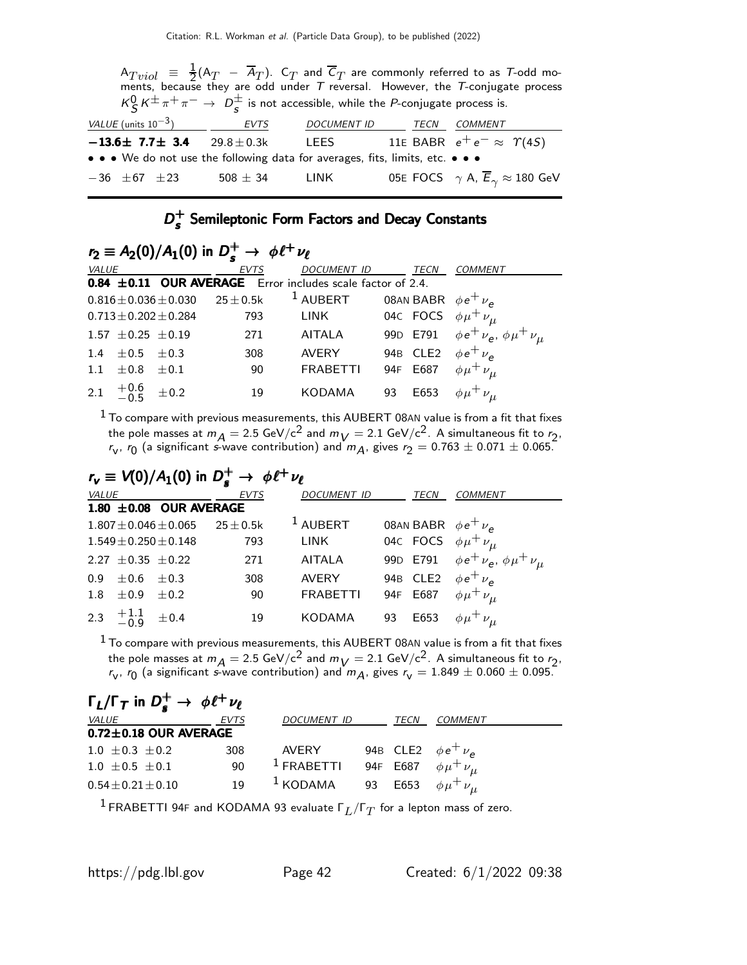$\mathsf{A}_{Tviol}$   $\equiv$   $\frac{1}{2}$  $\frac{1}{2}$ (A $_T$  – A $_T$ ). C $_T$  and C $_T$  are commonly referred to as T-odd moments, because they are odd under  $\mathcal T$  reversal. However, the  $\mathcal T$ -conjugate process  $\kappa_S^0 \, \kappa^\pm \, \pi^+ \, \pi^- \to \ D_s^\pm$  is not accessible, while the *P*-conjugate process is.  $VALU E$  (units 10<sup>-3</sup>) EVTS DOCUMENT ID TECN COMMENT  $-13.6\pm$  7.7 $\pm$  3.4 29.8 $\pm$ 0.3k LEES 11E BABR  $e^+e^- \approx$   $\Upsilon(4S)$ • • • We do not use the following data for averages, fits, limits, etc. • • •  $-36$   $\pm 67$   $\pm 23$  508  $\pm$  34 LINK 05E FOCS  $\gamma$  A,  $\overline{E}_{\gamma} \approx 180$  GeV

#### $D_{\epsilon}^+$  $_{s}^{+}$  Semileptonic Form Factors and Decay Constants

|               | $r_2 \equiv A_2(0)/A_1(0)$ in $D_s^+ \to \phi \ell^+ \nu_{\ell}$ |                         |                                           |                                                            |                             |                                           |  |  |  |
|---------------|------------------------------------------------------------------|-------------------------|-------------------------------------------|------------------------------------------------------------|-----------------------------|-------------------------------------------|--|--|--|
| VALUE         |                                                                  |                         | <b>EVTS</b>                               | <b>DOCUMENT ID</b><br>TECN                                 |                             | <b>COMMENT</b>                            |  |  |  |
|               |                                                                  |                         |                                           | 0.84 ±0.11 OUR AVERAGE Error includes scale factor of 2.4. |                             |                                           |  |  |  |
|               |                                                                  |                         | $0.816 \pm 0.036 \pm 0.030$ 25 $\pm$ 0.5k | <sup>1</sup> AUBERT                                        | 08AN BABR $\phi e^+ \nu_e$  |                                           |  |  |  |
|               |                                                                  | $0.713 + 0.202 + 0.284$ | 793                                       | LINK                                                       | 04c FOCS $\phi\mu^+\nu_\mu$ |                                           |  |  |  |
|               | $1.57 \pm 0.25 \pm 0.19$                                         |                         | 271                                       | AITALA                                                     | 99D E791                    | $\phi e^+ \nu_e$ , $\phi \mu^+ \nu_{\mu}$ |  |  |  |
| $1.4^{\circ}$ | $\pm 0.5$ $\pm 0.3$                                              |                         | 308                                       | <b>AVERY</b>                                               | 94B CLE2                    | $\phi e^+ \nu_a$                          |  |  |  |
| 1.1           | $\pm 0.8$                                                        | $+0.1$                  | 90                                        | <b>FRABETTI</b>                                            | E687<br>94F                 | $\phi\mu^+\nu_\mu$                        |  |  |  |
|               | 2.1 $+0.6$ $\pm 0.2$                                             |                         | 19                                        | <b>KODAMA</b>                                              | E653<br>93                  | $\phi \mu^+ \nu_{\mu}$                    |  |  |  |

 $^{\rm 1}$  To compare with previous measurements, this AUBERT 08AN value is from a fit that fixes the pole masses at  $m_A = 2.5 \text{ GeV/c}^2$  and  $m_V = 2.1 \text{ GeV/c}^2$ . A simultaneous fit to  $r_2$ ,  $r_{\sf v},\,r_{\sf 0}$  (a significant *s*-wave contribution) and  $m_{\sf A},$  gives  $r_{\sf 2}=0.763\pm0.071\pm0.065.$ 

$$
r_{\mathbf{v}} \equiv V(0)/A_1(0) \text{ in } D_s^+ \to \phi \ell^+ \nu_{\ell}
$$

| <i>VALUE</i>                | <b>EVTS</b>    | DOCUMENT ID         | <b>TECN</b>                     | COMMENT                                 |
|-----------------------------|----------------|---------------------|---------------------------------|-----------------------------------------|
| 1.80 $\pm$ 0.08 OUR AVERAGE |                |                     |                                 |                                         |
| $1.807 \pm 0.046 \pm 0.065$ | $25 \pm 0.5$ k | <sup>1</sup> AUBERT | 08AN BABR $\phi e^+ \nu_e$      |                                         |
| $1.549 \pm 0.250 \pm 0.148$ | 793            | <b>LINK</b>         | 04c FOCS $\phi \mu^+ \nu_{\mu}$ |                                         |
| 2.27 $\pm$ 0.35 $\pm$ 0.22  | 271            | <b>AITALA</b>       | 99D E791                        | $\phi e^+ \nu_e$ , $\phi \mu^+ \nu_\mu$ |
| $0.9 \pm 0.6 \pm 0.3$       | 308            | <b>AVERY</b>        | 94B CLE2 $\phi e^+ \nu_a$       |                                         |
| 1.8 $\pm 0.9$ $\pm 0.2$     | 90             | <b>FRABETTI</b>     | 94F E687                        | $\phi\mu^+\nu_\mu$                      |
| 2.3 $\pm 1.1$ $\pm 0.4$     | 19             | <b>KODAMA</b>       | E653<br>93                      | $\phi\mu^+\nu_\mu$                      |
|                             |                |                     |                                 |                                         |

 $1$  To compare with previous measurements, this AUBERT 08AN value is from a fit that fixes the pole masses at  $m_A = 2.5 \text{ GeV/c}^2$  and  $m_V = 2.1 \text{ GeV/c}^2$ . A simultaneous fit to  $r_2$ ,  $r_{\sf v},\,r_{\sf 0}$  (a significant *s*-wave contribution) and  $m_{\sf A},$  gives  $r_{\sf v}=1.849\pm0.060\pm0.095.$ 

| $\Gamma_L/\Gamma_T$ in $D_s^+ \rightarrow \phi \ell^+ \nu_{\ell}$ |             |                                                     |    |      |                           |
|-------------------------------------------------------------------|-------------|-----------------------------------------------------|----|------|---------------------------|
| <i>VALUE</i>                                                      | <b>EVTS</b> | <b>DOCUMENT ID</b>                                  |    | TECN | COMMENT                   |
| $0.72 \pm 0.18$ OUR AVERAGE                                       |             |                                                     |    |      |                           |
| $1.0 \pm 0.3 \pm 0.2$                                             | 308         | AVERY                                               |    |      | 94B CLE2 $\phi e^+ \nu_e$ |
| $1.0 \pm 0.5 \pm 0.1$                                             | 90          | <sup>1</sup> FRABETTI 94F E687 $\phi \mu^+ \nu_\mu$ |    |      |                           |
| $0.54 \pm 0.21 \pm 0.10$                                          | 19          | $1$ KODAMA                                          | 93 | E653 | $\phi \mu^+ \nu_{\mu}$    |

 $^1$ FRABETTI 94F and KODAMA 93 evaluate  $\mathsf{F}_L/\mathsf{F}_T$  for a lepton mass of zero.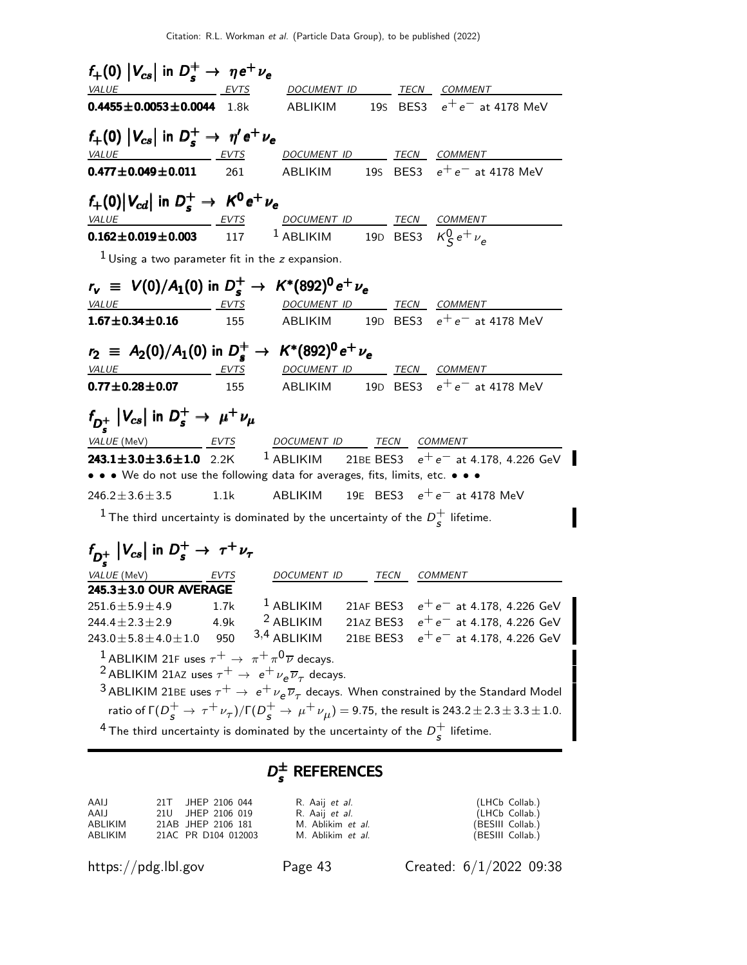| $f_+(0)$ $ V_{cs} $ in $D_s^+ \rightarrow \eta e^+ \nu_e$                                                                                         |      |                                  |  |                                                                                                                              |
|---------------------------------------------------------------------------------------------------------------------------------------------------|------|----------------------------------|--|------------------------------------------------------------------------------------------------------------------------------|
| VALUE EVTS                                                                                                                                        |      | DOCUMENT ID _______ TECN COMMENT |  |                                                                                                                              |
| $0.4455 \pm 0.0053 \pm 0.0044$ 1.8k                                                                                                               |      |                                  |  | ABLIKIM 195 BES3 $e^+e^-$ at 4178 MeV                                                                                        |
| $f_+(0)$ $ V_{cs} $ in $D_s^+ \rightarrow \eta' e^+ \nu_e$                                                                                        |      |                                  |  |                                                                                                                              |
|                                                                                                                                                   |      |                                  |  | <u>VALUE EVTS DOCUMENT ID TECN COMMENT</u>                                                                                   |
| $0.477 \pm 0.049 \pm 0.011$ 261                                                                                                                   |      |                                  |  | ABLIKIM 195 BES3 $e^+e^-$ at 4178 MeV                                                                                        |
| $f_+(0) V_{cd} $ in $D_s^+ \rightarrow K^0 e^+ \nu_e$                                                                                             |      |                                  |  |                                                                                                                              |
| VALUE EVTS DOCUMENT ID TECN COMMENT                                                                                                               |      |                                  |  |                                                                                                                              |
| <b>0.162±0.019±0.003</b> 117 <sup>1</sup> ABLIKIM 19D BES3 $K_S^0 e^+ \nu_e$                                                                      |      |                                  |  |                                                                                                                              |
| $1$ Using a two parameter fit in the z expansion.                                                                                                 |      |                                  |  |                                                                                                                              |
| $r_{\rm v}$ = $V(0)/A_1(0)$ in $D_s^+ \to K^*(892)^0 e^+ \nu_e$                                                                                   |      |                                  |  |                                                                                                                              |
| $\frac{VALUE}{1.67 \pm 0.34 \pm 0.16}$ $\frac{EVTS}{1.55}$ $\frac{DOCUMENT}{ABLIKIM}$ $\frac{TECN}{1.9D}$ $\frac{CENI}{ESS}$ $e^+e^-$ at 4178 MeV |      |                                  |  |                                                                                                                              |
|                                                                                                                                                   |      |                                  |  |                                                                                                                              |
| $r_2$ = A <sub>2</sub> (0)/A <sub>1</sub> (0) in $D_s^+ \to K^*(892)^0 e^+ \nu_e$                                                                 |      |                                  |  |                                                                                                                              |
| VALUE EVTS DOCUMENT ID TECN COMMENT                                                                                                               |      |                                  |  |                                                                                                                              |
| <b>0.77±0.28±0.07</b> 155 ABLIKIM 19D BES3 $e^+e^-$ at 4178 MeV                                                                                   |      |                                  |  |                                                                                                                              |
| $f_{D_s^+}$ $ V_{cs} $ in $D_s^+ \rightarrow \mu^+ \nu_\mu$                                                                                       |      |                                  |  |                                                                                                                              |
|                                                                                                                                                   |      |                                  |  |                                                                                                                              |
|                                                                                                                                                   |      |                                  |  | <b>243.1±3.0±3.6±1.0</b> 2.2K <sup>1</sup> ABLIKIM 21BE BES3 $e^+e^-$ at 4.178, 4.226 GeV                                    |
| • • • We do not use the following data for averages, fits, limits, etc. • • •                                                                     |      |                                  |  |                                                                                                                              |
| $246.2 \pm 3.6 \pm 3.5$                                                                                                                           | 1.1k |                                  |  | ABLIKIM 19E BES3 $e^+e^-$ at 4178 MeV                                                                                        |
| <sup>1</sup> The third uncertainty is dominated by the uncertainty of the $D_s^+$ lifetime.                                                       |      |                                  |  |                                                                                                                              |
| $f_{D_s^+}$ $ V_{cs} $ in $D_s^+ \rightarrow \tau^+ \nu_{\tau}$                                                                                   |      |                                  |  |                                                                                                                              |
| VALUE (MeV) EVTS                                                                                                                                  |      | DOCUMENT ID TECN COMMENT         |  |                                                                                                                              |
| 245.3±3.0 OUR AVERAGE                                                                                                                             |      |                                  |  |                                                                                                                              |
| $251.6 \pm 5.9 \pm 4.9$ 1.7k                                                                                                                      |      |                                  |  | <sup>1</sup> ABLIKIM 21AF BES3 $e^+e^-$ at 4.178, 4.226 GeV                                                                  |
| $244.4 \pm 2.3 \pm 2.9$                                                                                                                           | 4.9k | <sup>2</sup> ABLIKIM             |  | 21AZ BES3 $e^+e^-$ at 4.178, 4.226 GeV                                                                                       |
| $243.0 \pm 5.8 \pm 4.0 \pm 1.0$                                                                                                                   | 950  | $3,4$ ABLIKIM                    |  | 21BE BES3 $e^+e^-$ at 4.178, 4.226 GeV                                                                                       |
| <sup>1</sup> ABLIKIM 21F uses $\tau^+ \to \pi^+ \pi^0 \overline{\nu}$ decays.                                                                     |      |                                  |  |                                                                                                                              |
| <sup>2</sup> ABLIKIM 21AZ uses $\tau^+ \to e^+ \nu_e \overline{\nu}_\tau$ decays.                                                                 |      |                                  |  |                                                                                                                              |
|                                                                                                                                                   |      |                                  |  | $^3$ ABLIKIM 21BE uses $\tau^+ \to~ e^+ \nu_e \overline{\nu}_\tau$ decays. When constrained by the Standard Model            |
|                                                                                                                                                   |      |                                  |  | ratio of $\Gamma(D_s^+ \to \tau^+ \nu_\tau)/\Gamma(D_s^+ \to \mu^+ \nu_\mu) = 9.75$ , the result is 243.2 ± 2.3 ± 3.3 ± 1.0. |

<sup>4</sup> The third uncertainty is dominated by the uncertainty of the  $D_{\epsilon}^{+}$  $\frac{1}{s}$  lifetime.

### $D_{s}^{\pm}$  References

| AAIJ    | 21T JHEP 2106 044   | R. Aaij <i>et al.</i> | (LHCb Collab.)   |
|---------|---------------------|-----------------------|------------------|
| AAIJ    | 21U JHEP 2106 019   | R. Aaij <i>et al.</i> | (LHCb Collab.)   |
| ABLIKIM | 21AB JHEP 2106 181  | M. Ablikim et al.     | (BESIII Collab.) |
| ABLIKIM | 21AC PR D104 012003 | M. Ablikim et al.     | (BESIII Collab.) |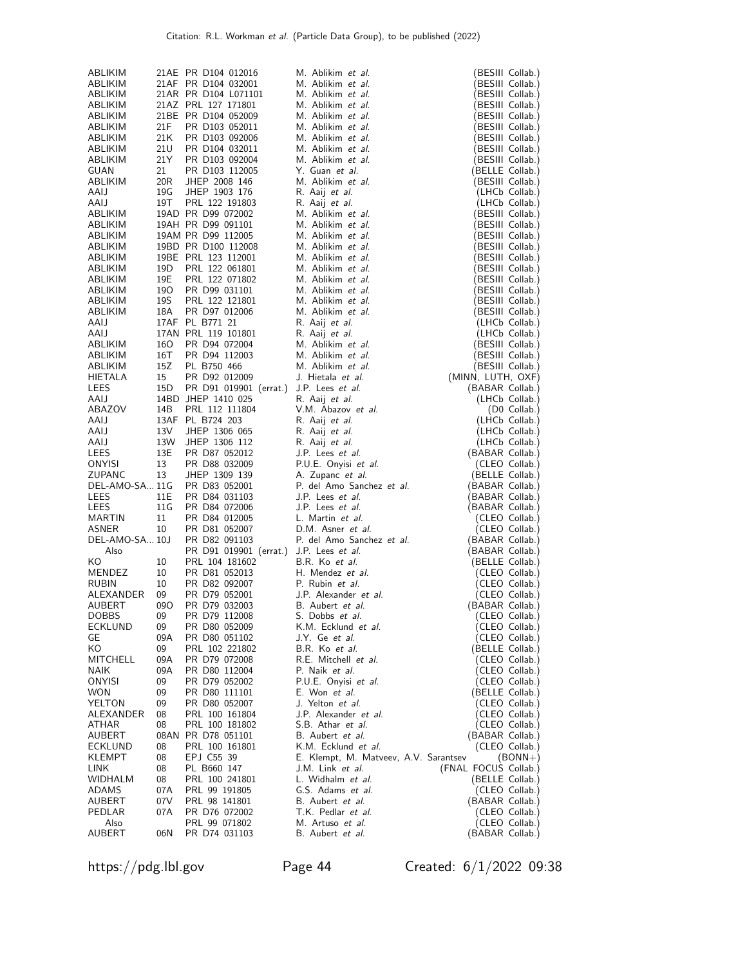| ABLIKIM            |                 | 21AE PR D104 012016               | M. Ablikim et al.                       | (BESIII Collab.)                     |
|--------------------|-----------------|-----------------------------------|-----------------------------------------|--------------------------------------|
| ABLIKIM            |                 | 21AF PR D104 032001               | M. Ablikim et al.                       | (BESIII Collab.)                     |
| ABLIKIM            |                 | 21AR PR D104 L071101              | M. Ablikim et al.                       | (BESIII Collab.)                     |
| ABLIKIM            |                 | 21AZ PRL 127 171801               | M. Ablikim et al.                       | (BESIII Collab.)                     |
| ABLIKIM            |                 | 21BE PR D104 052009               | M. Ablikim et al.                       | (BESIII Collab.)                     |
| ABLIKIM<br>ABLIKIM | 21F             | PR D103 052011<br>PR D103 092006  | M. Ablikim et al.                       | (BESIII Collab.)                     |
| ABLIKIM            | 21K<br>21U      | PR D104 032011                    | M. Ablikim et al.<br>M. Ablikim et al.  | (BESIII Collab.)<br>(BESIII Collab.) |
| ABLIKIM            | 21Y             | PR D103 092004                    | M. Ablikim et al.                       | (BESIII Collab.)                     |
| GUAN               | 21              | PR D103 112005                    | Y. Guan et al.                          | (BELLE Collab.)                      |
| ABLIKIM            | 20 <sub>R</sub> | JHEP 2008 146                     | M. Ablikim et al.                       | (BESIII Collab.)                     |
| AAIJ               | 19G             | JHEP 1903 176                     | R. Aaij <i>et al.</i>                   | (LHCb Collab.)                       |
| AAIJ               | 19T             | PRL 122 191803                    | R. Aaij et al.                          | (LHCb Collab.)                       |
| ABLIKIM            |                 | 19AD PR D99 072002                | M. Ablikim et al.                       | (BESIII Collab.)                     |
| ABLIKIM            |                 | 19AH PR D99 091101                | M. Ablikim et al.                       | (BESIII Collab.)                     |
| ABLIKIM            |                 | 19AM PR D99 112005                | M. Ablikim et al.                       | (BESIII Collab.)                     |
| ABLIKIM            |                 | 19BD PR D100 112008               | M. Ablikim et al.                       | (BESIII Collab.)                     |
| ABLIKIM            |                 | 19BE PRL 123 112001               | M. Ablikim et al.                       | (BESIII Collab.)                     |
| ABLIKIM<br>ABLIKIM | 19D<br>19E      | PRL 122 061801<br>PRL 122 071802  | M. Ablikim et al.<br>M. Ablikim et al.  | (BESIII Collab.)<br>(BESIII Collab.) |
| ABLIKIM            | 190             | PR D99 031101                     | M. Ablikim et al.                       | (BESIII Collab.)                     |
| ABLIKIM            | 19S             | PRL 122 121801                    | M. Ablikim et al.                       | (BESIII Collab.)                     |
| ABLIKIM            | 18A             | PR D97 012006                     | M. Ablikim et al.                       | (BESIII Collab.)                     |
| AAIJ               |                 | 17AF PL B771 21                   | R. Aaij <i>et al.</i>                   | (LHCb Collab.)                       |
| AAIJ               |                 | 17AN PRL 119 101801               | R. Aaij et al.                          | (LHCb Collab.)                       |
| ABLIKIM            | 160             | PR D94 072004                     | M. Ablikim et al.                       | (BESIII Collab.)                     |
| ABLIKIM            | 16T             | PR D94 112003                     | M. Ablikim et al.                       | (BESIII Collab.)                     |
| ABLIKIM            | 15Z             | PL B750 466                       | M. Ablikim et al.                       | (BESIII Collab.)                     |
| <b>HIETALA</b>     | 15              | PR D92 012009                     | J. Hietala <i>et al.</i>                | (MINN, LUTH, OXF)                    |
| LEES               | 15D             | PR D91 019901 (errat.)            | J.P. Lees <i>et al.</i>                 | (BABAR Collab.)                      |
| AAIJ               |                 | 14BD JHEP 1410 025                | R. Aaij <i>et al.</i>                   | (LHCb Collab.)                       |
| ABAZOV             | 14B             | PRL 112 111804                    | V.M. Abazov et al.                      | (D0 Collab.)                         |
| AAIJ<br>AAIJ       | 13V             | 13AF PL B724 203<br>JHEP 1306 065 | R. Aaij <i>et al.</i><br>R. Aaij et al. | (LHCb Collab.)                       |
| AAIJ               | 13W             | JHEP 1306 112                     | R. Aaij et al.                          | (LHCb Collab.)<br>(LHCb Collab.)     |
| LEES               | 13E             | PR D87 052012                     | J.P. Lees et al.                        | (BABAR Collab.)                      |
| ONYISI             | 13              | PR D88 032009                     | P.U.E. Onyisi et al.                    | (CLEO Collab.)                       |
| ZUPANC             | 13              | JHEP 1309 139                     | A. Zupanc et al.                        | (BELLE Collab.)                      |
| DEL-AMO-SA 11G     |                 | PR D83 052001                     | P. del Amo Sanchez et al.               | (BABAR Collab.)                      |
| LEES               | 11E             | PR D84 031103                     | J.P. Lees et al.                        | (BABAR Collab.)                      |
| LEES               | 11G             | PR D84 072006                     | J.P. Lees et al.                        | (BABAR Collab.)                      |
| MARTIN             | 11              | PR D84 012005                     | L. Martin et al.                        | (CLEO Collab.)                       |
| ASNER              | 10              | PR D81 052007                     | D.M. Asner et al.                       | (CLEO Collab.)                       |
| DEL-AMO-SA 10J     |                 | PR D82 091103                     | P. del Amo Sanchez et al.               | (BABAR Collab.)                      |
| Also               |                 | PR D91 019901 (errat.)            | J.P. Lees et al.<br>B.R. Ko et al.      | (BABAR Collab.)                      |
| ΚO<br>MENDEZ       | 10<br>10        | PRL 104 181602<br>PR D81 052013   | H. Mendez et al.                        | (BELLE Collab.)<br>(CLEO Collab.)    |
| <b>RUBIN</b>       | 10              | PR D82 092007                     | P. Rubin et al.                         | (CLEO Collab.)                       |
| ALEXANDER          | 09              | PR D79 052001                     | J.P. Alexander et al.                   | (CLEO Collab.)                       |
| AUBERT             | 09O             | PR D79 032003                     | B. Aubert et al.                        | (BABAR Collab.)                      |
| <b>DOBBS</b>       | 09              | PR D79 112008                     | S. Dobbs et al.                         | (CLEO Collab.)                       |
| ECKLUND            | 09              | PR D80 052009                     | K.M. Ecklund et al.                     | (CLEO Collab.)                       |
| GE                 | 09A             | PR D80 051102                     | J.Y. Ge et al.                          | (CLEO Collab.)                       |
| ΚO                 | 09              | PRL 102 221802                    | B.R. Ko et al.                          | (BELLE Collab.)                      |
| MITCHELL           | 09A             | PR D79 072008                     | R.E. Mitchell et al.                    | (CLEO Collab.)                       |
| <b>NAIK</b>        | 09A             | PR D80 112004                     | P. Naik et al.                          | (CLEO Collab.)                       |
| ONYISI<br>WON      | 09<br>09        | PR D79 052002<br>PR D80 111101    | P.U.E. Onyisi et al.<br>E. Won et al.   | (CLEO Collab.)<br>(BELLE Collab.)    |
| YELTON             | 09              | PR D80 052007                     | J. Yelton et al.                        | (CLEO Collab.)                       |
| ALEXANDER          | 08              | PRL 100 161804                    | J.P. Alexander et al.                   | (CLEO Collab.)                       |
| ATHAR              | 08              | PRL 100 181802                    | S.B. Athar et al.                       | (CLEO Collab.)                       |
| AUBERT             |                 | 08AN PR D78 051101                | B. Aubert et al.                        | (BABAR Collab.)                      |
| ECKLUND            | 08              | PRL 100 161801                    | K.M. Ecklund et al.                     | (CLEO Collab.)                       |
| KLEMPT             | 08              | EPJ C55 39                        | E. Klempt, M. Matveev, A.V. Sarantsev   | $(BONN+)$                            |
| LINK               | 08              | PL B660 147                       | J.M. Link et al.                        | (FNAL FOCUS Collab.)                 |
| WIDHALM            | 08              | PRL 100 241801                    | L. Widhalm et al.                       | (BELLE Collab.)                      |
| ADAMS              | 07A             | PRL 99 191805                     | G.S. Adams et al.                       | (CLEO Collab.)                       |
| AUBERT             | 07 V            | PRL 98 141801                     | B. Aubert et al.                        | (BABAR Collab.)                      |
| PEDLAR<br>Also     | 07A             | PR D76 072002<br>PRL 99 071802    | T.K. Pedlar et al.<br>M. Artuso et al.  | (CLEO Collab.)<br>(CLEO Collab.)     |
| AUBERT             | 06N             | PR D74 031103                     | B. Aubert et al.                        | (BABAR Collab.)                      |
|                    |                 |                                   |                                         |                                      |

https://pdg.lbl.gov Page 44 Created: 6/1/2022 09:38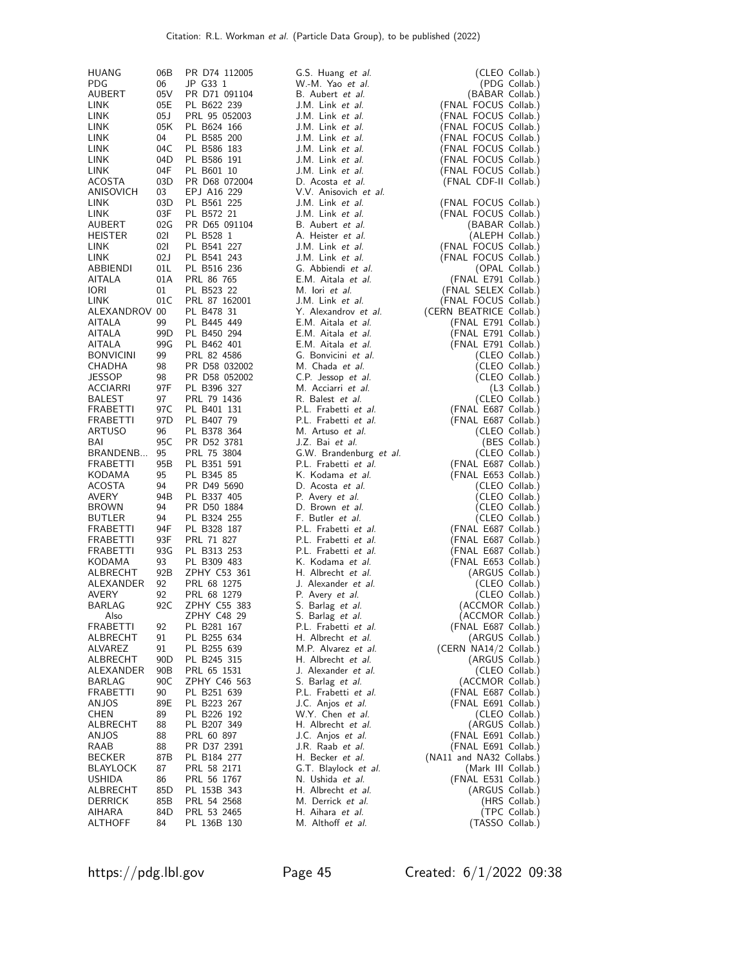| <b>HUANG</b>                  | 06B                    | PR D74 112005                | G.S. Huang et al.                              | (CLEO Collab.)                                 |
|-------------------------------|------------------------|------------------------------|------------------------------------------------|------------------------------------------------|
| <b>PDG</b>                    | 06                     | JP G33 1                     | W.-M. Yao et al.                               | (PDG Collab.)                                  |
| AUBERT                        | 05V                    | PR D71 091104                | B. Aubert et al.                               | (BABAR Collab.)                                |
| LINK<br>LINK                  | 05E<br>05 J            | PL B622 239<br>PRL 95 052003 | J.M. Link et al.<br>J.M. Link et al.           | (FNAL FOCUS Collab.)                           |
| LINK                          | 05K                    | PL B624 166                  | J.M. Link et al.                               | (FNAL FOCUS Collab.)<br>(FNAL FOCUS Collab.)   |
| LINK                          | 04                     | PL B585 200                  | J.M. Link et al.                               | (FNAL FOCUS Collab.)                           |
| LINK                          | 04C                    | PL B586 183                  | J.M. Link et al.                               | (FNAL FOCUS Collab.)                           |
| LINK                          | 04D                    | PL B586 191                  | J.M. Link et al.                               | (FNAL FOCUS Collab.)                           |
| LINK                          | 04F                    | PL B601 10                   | J.M. Link et al.                               | (FNAL FOCUS Collab.)                           |
| ACOSTA                        | 03D                    | PR D68 072004                | D. Acosta et al.                               | (FNAL CDF-II Collab.)                          |
| ANISOVICH                     | 03                     | EPJ A16 229                  | V.V. Anisovich et al.                          |                                                |
| LINK                          | 03D                    | PL B561 225                  | J.M. Link et al.                               | (FNAL FOCUS Collab.)                           |
| LINK<br>AUBERT                | 03F<br>02G             | PL B572 21<br>PR D65 091104  | J.M. Link et al.<br>B. Aubert et al.           | (FNAL FOCUS Collab.)<br>(BABAR Collab.)        |
| <b>HEISTER</b>                | 021                    | PL B528 1                    | A. Heister et al.                              | (ALEPH Collab.)                                |
| LINK                          | 021                    | PL B541 227                  | J.M. Link et al.                               | (FNAL FOCUS Collab.)                           |
| <b>LINK</b>                   | 02J                    | PL B541 243                  | J.M. Link et al.                               | (FNAL FOCUS Collab.)                           |
| ABBIENDI                      | 01L                    | PL B516 236                  | G. Abbiendi et al.                             | (OPAL Collab.)                                 |
| AITALA                        | 01A                    | PRL 86 765                   | E.M. Aitala et al.                             | (FNAL E791 Collab.)                            |
| <b>IORI</b>                   | 01                     | PL B523 22                   | M. lori et al.                                 | (FNAL SELEX Collab.)                           |
| <b>LINK</b>                   | 01C                    | PRL 87 162001                | J.M. Link et al.                               | (FNAL FOCUS Collab.)                           |
| ALEXANDROV 00<br>AITALA       | 99                     | PL B478 31<br>PL B445 449    | Y. Alexandrov et al.<br>E.M. Aitala et al.     | (CERN BEATRICE Collab.)<br>(FNAL E791 Collab.) |
| AITALA                        | 99D                    | PL B450 294                  | E.M. Aitala et al.                             | (FNAL E791 Collab.)                            |
| AITALA                        | 99G                    | PL B462 401                  | E.M. Aitala et al.                             | (FNAL E791 Collab.)                            |
| <b>BONVICINI</b>              | 99                     | PRL 82 4586                  | G. Bonvicini et al.                            | (CLEO Collab.)                                 |
| CHADHA                        | 98                     | PR D58 032002                | M. Chada et al.                                | (CLEO Collab.)                                 |
| <b>JESSOP</b>                 | 98                     | PR D58 052002                | C.P. Jessop et al.                             | (CLEO Collab.)                                 |
| ACCIARRI                      | 97F                    | PL B396 327                  | M. Acciarri et al.                             | (L3 Collab.)                                   |
| BALEST                        | 97                     | PRL 79 1436                  | R. Balest et al.                               | (CLEO Collab.)                                 |
| FRABETTI                      | 97C<br>97 <sub>D</sub> | PL B401 131                  | P.L. Frabetti et al.<br>P.L. Frabetti et al.   | (FNAL E687 Collab.)<br>(FNAL E687 Collab.)     |
| FRABETTI<br>ARTUSO            | 96                     | PL B407 79<br>PL B378 364    | M. Artuso et al.                               | (CLEO Collab.)                                 |
| BAI                           | 95C                    | PR D52 3781                  | J.Z. Bai et al.                                | (BES Collab.)                                  |
| BRANDENB                      | 95                     | PRL 75 3804                  | G.W. Brandenburg et al.                        | (CLEO Collab.)                                 |
| FRABETTI                      | 95B                    | PL B351 591                  | P.L. Frabetti et al.                           | (FNAL E687 Collab.)                            |
| KODAMA                        | 95                     | PL B345 85                   | K. Kodama et al.                               | (FNAL E653 Collab.)                            |
| ACOSTA                        | 94                     | PR D49 5690                  | D. Acosta et al.                               | (CLEO Collab.)                                 |
| <b>AVERY</b>                  | 94B                    | PL B337 405                  | P. Avery <i>et al.</i>                         | (CLEO Collab.)                                 |
| <b>BROWN</b><br><b>BUTLER</b> | 94<br>94               | PR D50 1884<br>PL B324 255   | D. Brown et al.<br>F. Butler <i>et al.</i>     | (CLEO Collab.)<br>(CLEO Collab.)               |
| FRABETTI                      | 94F                    | PL B328 187                  | P.L. Frabetti et al.                           | (FNAL E687 Collab.)                            |
| FRABETTI                      | 93F                    | PRL 71 827                   | P.L. Frabetti et al.                           | (FNAL E687 Collab.)                            |
| FRABETTI                      | 93G                    | PL B313 253                  | P.L. Frabetti et al.                           | (FNAL E687 Collab.)                            |
| KODAMA                        | 93                     | PL B309 483                  | K. Kodama et al.                               | (FNAL E653 Collab.)                            |
| ALBRECHT                      | 92B                    | ZPHY C53 361                 | H. Albrecht et al.                             | (ARGUS Collab.)                                |
| ALEXANDER                     | 92                     | PRL 68 1275                  | J. Alexander et al.                            | (CLEO Collab.)                                 |
| <b>AVERY</b><br>BARLAG        | 92<br>92C              | PRL 68 1279<br>ZPHY C55 383  | P. Avery <i>et al.</i>                         | (CLEO Collab.)<br>(ACCMOR Collab.)             |
| Also                          |                        | ZPHY C48 29                  | S. Barlag et al.<br>5. Barlag <i>et al.</i>    | (ACCMOR Collab.)                               |
| <b>FRABETTI</b>               | 92                     | PL B281 167                  | P.L. Frabetti et al.                           | (FNAL E687 Collab.)                            |
| ALBRECHT                      | 91                     | PL B255 634                  | H. Albrecht et al.                             | (ARGUS Collab.)                                |
| ALVAREZ                       | 91                     | PL B255 639                  | M.P. Alvarez et al.                            | (CERN NA14/2 Collab.)                          |
| ALBRECHT                      | 90 <sub>D</sub>        | PL B245 315                  | H. Albrecht et al.                             | (ARGUS Collab.)                                |
| ALEXANDER                     | 90 <sub>B</sub>        | PRL 65 1531                  | J. Alexander et al.                            | (CLEO Collab.)                                 |
| BARLAG<br>FRABETTI            | 90C<br>90              | ZPHY C46 563<br>PL B251 639  | S. Barlag et al.<br>P.L. Frabetti et al.       | (ACCMOR Collab.)<br>(FNAL E687 Collab.)        |
| ANJOS                         | 89E                    | PL B223 267                  | J.C. Anjos et al.                              | (FNAL E691 Collab.)                            |
| CHEN                          | 89                     | PL B226 192                  | W.Y. Chen et al.                               | (CLEO Collab.)                                 |
| ALBRECHT                      | 88                     | PL B207 349                  | H. Albrecht et al.                             | (ARGUS Collab.)                                |
| ANJOS                         | 88                     | PRL 60 897                   | J.C. Anjos et al.                              | (FNAL E691 Collab.)                            |
| RAAB                          | 88                     | PR D37 2391                  | J.R. Raab et al.                               | (FNAL E691 Collab.)                            |
| <b>BECKER</b>                 | 87B                    | PL B184 277                  | H. Becker et al.                               | (NA11 and NA32 Collabs.)                       |
| BLAYLOCK                      | 87                     | PRL 58 2171                  | G.T. Blaylock et al.                           | (Mark III Collab.)                             |
| <b>USHIDA</b><br>ALBRECHT     | 86<br>85D              | PRL 56 1767<br>PL 153B 343   | N. Ushida <i>et al</i> .<br>H. Albrecht et al. | (FNAL E531 Collab.)<br>(ARGUS Collab.)         |
| DERRICK                       | 85B                    | PRL 54 2568                  | M. Derrick <i>et al.</i>                       | (HRS Collab.)                                  |
| AIHARA                        | 84D                    | PRL 53 2465                  | H. Aihara et al.                               | (TPC Collab.)                                  |
| <b>ALTHOFF</b>                | 84                     | PL 136B 130                  | M. Althoff et al.                              | (TASSO Collab.)                                |